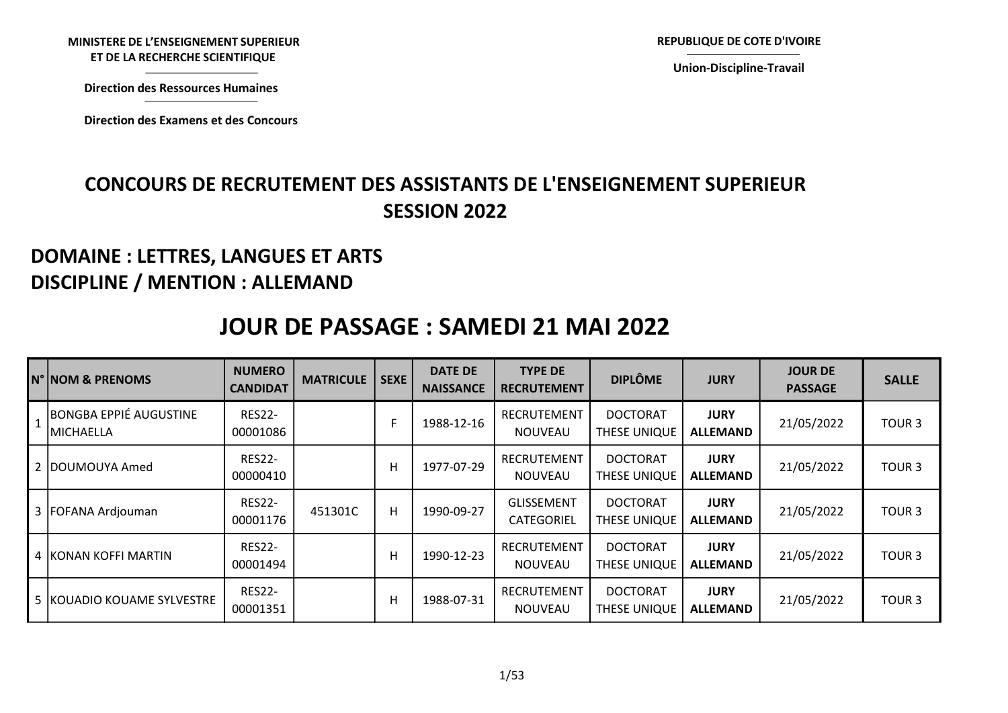MINISTERE DE L'ENSEIGNEMENT SUPERIEUR STERE DE L'ENSEIGNEMENT SUPERIEUR<br>ET DE LA RECHERCHE SCIENTIFIQUE<br>Direction des Ressources Humaines<br>Direction des Examens et des Concours REPUBLIQUE DE COTE D'IVOIRE<br>Union-Discipline-Travail

Union-Discipline-Travail

Direction des Ressources Humaines

# CONCOURS DE RECRUTEMENT DES ASSISTANTS DE L'ENSEIGNEMENT SUPERIEUR SESSION 2022 NISTERE DE L'ENSEIGNEMENT SUPERIEUR<br>
ET DE LA RECHERCHE SCIENTIFIQUE<br>
Direction des Ressources Humaines<br>
Direction des Examens et des Concours<br>
CONCOURS DE RECRUTEMENT DES ASSISTANTS DE L'ENSEIGNI<br>
SESSION 2022

#### DOMAINE : LETTRES, LANGUES ET ARTS DISCIPLINE / MENTION : ALLEMAND

### JOUR DE PASSAGE : SAMEDI 21 MAI 2022

|     | <b>N° NOM &amp; PRENOMS</b>                 | <b>NUMERO</b><br><b>CANDIDAT</b> | <b>MATRICULE</b> | <b>SEXE</b> | <b>DATE DE</b><br><b>NAISSANCE</b> | <b>TYPE DE</b><br><b>RECRUTEMENT</b> | <b>DIPLÔME</b>                  | <b>JURY</b>                    | <b>JOUR DE</b><br><b>PASSAGE</b> | <b>SALLE</b> |
|-----|---------------------------------------------|----------------------------------|------------------|-------------|------------------------------------|--------------------------------------|---------------------------------|--------------------------------|----------------------------------|--------------|
| l 1 | <b>BONGBA EPPIÉ AUGUSTINE</b><br>IMICHAELLA | <b>RES22-</b><br>00001086        |                  | F.          | 1988-12-16                         | RECRUTEMENT<br><b>NOUVEAU</b>        | <b>DOCTORAT</b><br>THESE UNIQUE | <b>JURY</b><br><b>ALLEMAND</b> | 21/05/2022                       | <b>TOUR3</b> |
|     | 2 DOUMOUYA Amed                             | <b>RES22-</b><br>00000410        |                  | н           | 1977-07-29                         | RECRUTEMENT<br><b>NOUVEAU</b>        | <b>DOCTORAT</b><br>THESE UNIQUE | <b>JURY</b><br><b>ALLEMAND</b> | 21/05/2022                       | <b>TOUR3</b> |
|     | 3 FOFANA Ardjouman                          | <b>RES22-</b><br>00001176        | 451301C          | н           | 1990-09-27                         | <b>GLISSEMENT</b><br>CATEGORIEL      | <b>DOCTORAT</b><br>THESE UNIQUE | <b>JURY</b><br><b>ALLEMAND</b> | 21/05/2022                       | <b>TOUR3</b> |
|     | 4 KONAN KOFFI MARTIN                        | <b>RES22-</b><br>00001494        |                  | н           | 1990-12-23                         | RECRUTEMENT<br><b>NOUVEAU</b>        | <b>DOCTORAT</b><br>THESE UNIQUE | <b>JURY</b><br><b>ALLEMAND</b> | 21/05/2022                       | <b>TOUR3</b> |
|     | 5 KOUADIO KOUAME SYLVESTRE                  | <b>RES22-</b><br>00001351        |                  | н           | 1988-07-31                         | RECRUTEMENT<br><b>NOUVEAU</b>        | <b>DOCTORAT</b><br>THESE UNIQUE | <b>JURY</b><br><b>ALLEMAND</b> | 21/05/2022                       | <b>TOUR3</b> |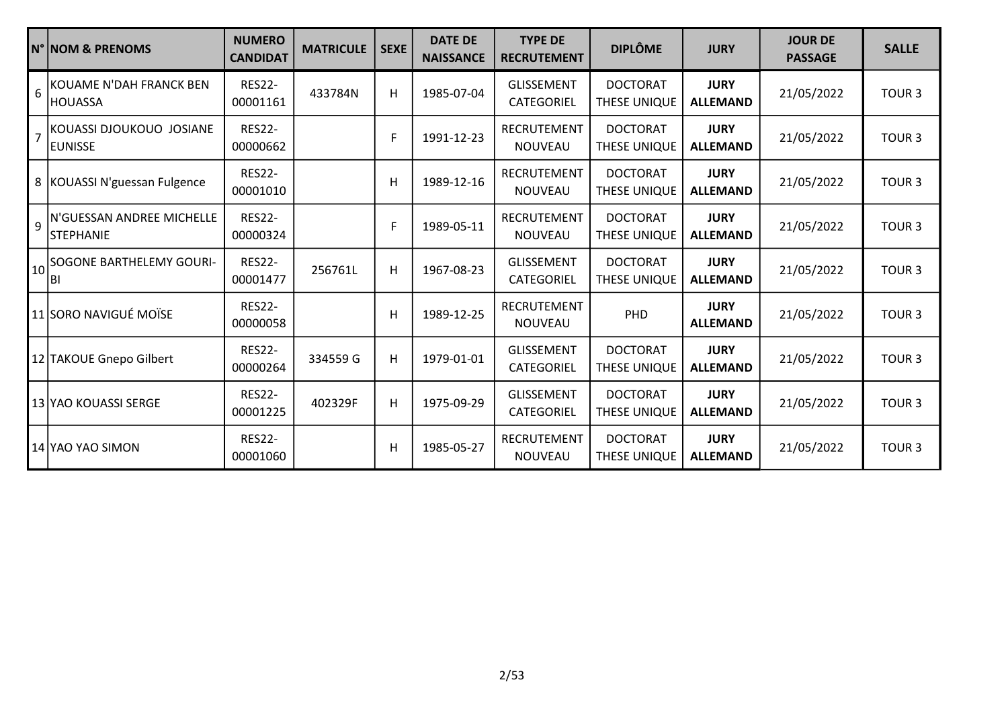|                 | <b>N° NOM &amp; PRENOMS</b>                | <b>NUMERO</b><br><b>CANDIDAT</b> | <b>MATRICULE</b> | <b>SEXE</b> | <b>DATE DE</b><br><b>NAISSANCE</b> | <b>TYPE DE</b><br><b>RECRUTEMENT</b> | <b>DIPLÔME</b>                         | <b>JURY</b>                    | <b>JOUR DE</b><br><b>PASSAGE</b> | <b>SALLE</b>      |
|-----------------|--------------------------------------------|----------------------------------|------------------|-------------|------------------------------------|--------------------------------------|----------------------------------------|--------------------------------|----------------------------------|-------------------|
| $6\overline{6}$ | KOUAME N'DAH FRANCK BEN<br><b>HOUASSA</b>  | <b>RES22-</b><br>00001161        | 433784N          | н           | 1985-07-04                         | <b>GLISSEMENT</b><br>CATEGORIEL      | <b>DOCTORAT</b><br>THESE UNIQUE        | <b>JURY</b><br><b>ALLEMAND</b> | 21/05/2022                       | TOUR <sub>3</sub> |
| $\overline{7}$  | KOUASSI DJOUKOUO JOSIANE<br><b>EUNISSE</b> | <b>RES22-</b><br>00000662        |                  | F           | 1991-12-23                         | <b>RECRUTEMENT</b><br><b>NOUVEAU</b> | <b>DOCTORAT</b><br>THESE UNIQUE        | <b>JURY</b><br><b>ALLEMAND</b> | 21/05/2022                       | TOUR <sub>3</sub> |
|                 | 8 KOUASSI N'guessan Fulgence               | <b>RES22-</b><br>00001010        |                  | н           | 1989-12-16                         | <b>RECRUTEMENT</b><br><b>NOUVEAU</b> | <b>DOCTORAT</b><br>THESE UNIQUE        | <b>JURY</b><br><b>ALLEMAND</b> | 21/05/2022                       | TOUR <sub>3</sub> |
| $\overline{9}$  | N'GUESSAN ANDREE MICHELLE<br> STEPHANIE    | <b>RES22-</b><br>00000324        |                  | F           | 1989-05-11                         | <b>RECRUTEMENT</b><br><b>NOUVEAU</b> | <b>DOCTORAT</b><br><b>THESE UNIQUE</b> | <b>JURY</b><br><b>ALLEMAND</b> | 21/05/2022                       | TOUR <sub>3</sub> |
| 10              | <b>SOGONE BARTHELEMY GOURI-</b><br>IBI     | <b>RES22-</b><br>00001477        | 256761L          | н           | 1967-08-23                         | <b>GLISSEMENT</b><br>CATEGORIEL      | <b>DOCTORAT</b><br>THESE UNIQUE        | <b>JURY</b><br><b>ALLEMAND</b> | 21/05/2022                       | TOUR <sub>3</sub> |
|                 | 11 SORO NAVIGUÉ MOÏSE                      | <b>RES22-</b><br>00000058        |                  | Н           | 1989-12-25                         | RECRUTEMENT<br><b>NOUVEAU</b>        | PHD                                    | <b>JURY</b><br><b>ALLEMAND</b> | 21/05/2022                       | TOUR <sub>3</sub> |
|                 | 12 TAKOUE Gnepo Gilbert                    | <b>RES22-</b><br>00000264        | 334559 G         | н           | 1979-01-01                         | <b>GLISSEMENT</b><br>CATEGORIEL      | <b>DOCTORAT</b><br><b>THESE UNIQUE</b> | <b>JURY</b><br><b>ALLEMAND</b> | 21/05/2022                       | TOUR <sub>3</sub> |
|                 | 13 YAO KOUASSI SERGE                       | <b>RES22-</b><br>00001225        | 402329F          | н           | 1975-09-29                         | <b>GLISSEMENT</b><br>CATEGORIEL      | <b>DOCTORAT</b><br>THESE UNIQUE        | <b>JURY</b><br><b>ALLEMAND</b> | 21/05/2022                       | TOUR <sub>3</sub> |
|                 | 14 YAO YAO SIMON                           | <b>RES22-</b><br>00001060        |                  | Η           | 1985-05-27                         | <b>RECRUTEMENT</b><br><b>NOUVEAU</b> | <b>DOCTORAT</b><br>THESE UNIQUE        | <b>JURY</b><br><b>ALLEMAND</b> | 21/05/2022                       | TOUR <sub>3</sub> |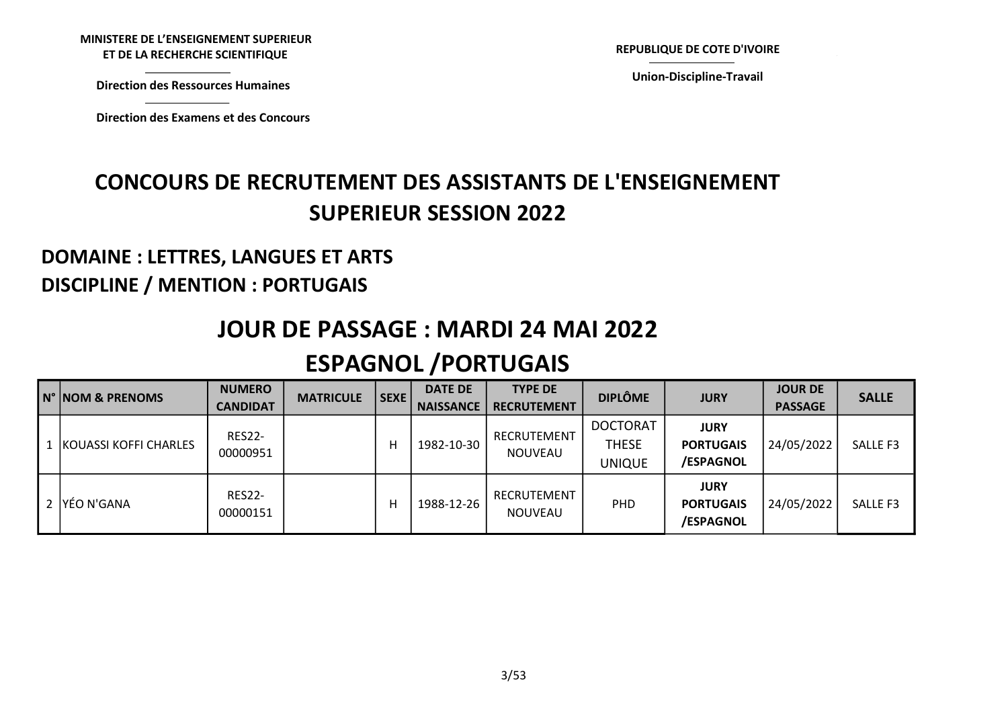# MINISTERE DE L'ENSEIGNEMENT SUPERIEUR STERE DE L'ENSEIGNEMENT SUPERIEUR<br>ET DE LA RECHERCHE SCIENTIFIQUE<br>Direction des Ressources Humaines<br>Direction des Examens et des Concours

Direction des Ressources Humaines

REPUBLIQUE DE COTE D'IVOIRE<br>Union-Discipline-Travail

Union-Discipline-Travail

# CONCOURS DE RECRUTEMENT DES ASSISTANTS DE L'ENSEIGNEMENT SUPERIEUR SESSION 2022 NISTERE DE L'ENSEIGNEMENT SUPERIEUR<br>
ET DE LA RECHERCHE SCIENTIFIQUE<br>
Direction des Ressources Humaines<br>
Direction des Examens et des Concours<br>
CONCOURS DE RECRUTEMENT DES ASSISTANTS DE L'ENS

#### DOMAINE : LETTRES, LANGUES ET ARTS DISCIPLINE / MENTION : PORTUGAIS

### JOUR DE PASSAGE : MARDI 24 MAI 2022

### ESPAGNOL /PORTUGAIS

| N° NOM & PRENOMS        | <b>NUMERO</b><br><b>CANDIDAT</b> | <b>MATRICULE</b> | SEXE | <b>DATE DE</b><br><b>NAISSANCE</b> | <b>TYPE DE</b><br><b>RECRUTEMENT</b> | <b>DIPLÔME</b>                                   | <b>JURY</b>                                  | <b>JOUR DE</b><br><b>PASSAGE</b> | <b>SALLE</b> |
|-------------------------|----------------------------------|------------------|------|------------------------------------|--------------------------------------|--------------------------------------------------|----------------------------------------------|----------------------------------|--------------|
| 1 KOUASSI KOFFI CHARLES | <b>RES22-</b><br>00000951        |                  | н    | 1982-10-30                         | RECRUTEMENT<br>NOUVEAU               | <b>DOCTORAT</b><br><b>THESE</b><br><b>UNIQUE</b> | <b>JURY</b><br><b>PORTUGAIS</b><br>/ESPAGNOL | 24/05/2022                       | SALLE F3     |
| 2 YÉO N'GANA            | <b>RES22-</b><br>00000151        |                  | н    | 1988-12-26                         | RECRUTEMENT<br>NOUVEAU               | PH <sub>D</sub>                                  | <b>JURY</b><br><b>PORTUGAIS</b><br>/ESPAGNOL | 24/05/2022                       | SALLE F3     |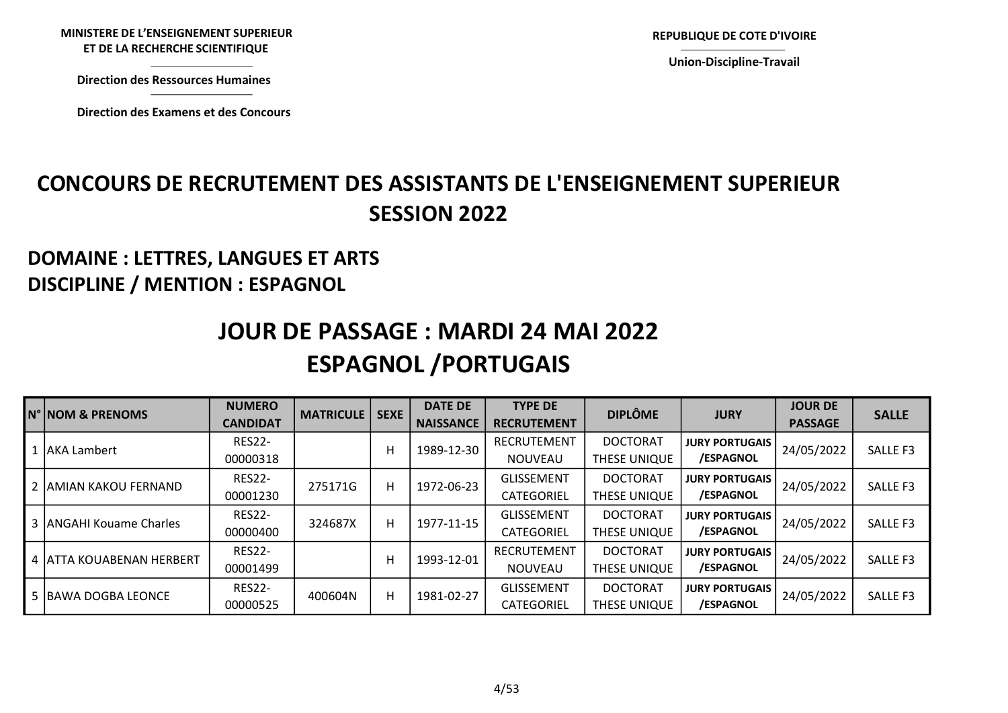# MINISTERE DE L'ENSEIGNEMENT SUPERIEUR STERE DE L'ENSEIGNEMENT SUPERIEUR<br>ET DE LA RECHERCHE SCIENTIFIQUE<br>Direction des Ressources Humaines<br>Direction des Examens et des Concours

Direction des Ressources Humaines

REPUBLIQUE DE COTE D'IVOIRE<br>Union-Discipline-Travail

Union-Discipline-Travail

# CONCOURS DE RECRUTEMENT DES ASSISTANTS DE L'ENSEIGNEMENT SUPERIEUR SESSION 2022 NISTERE DE L'ENSEIGNEMENT SUPERIEUR<br>ET DE LA RECHERCHE SCIENTIFIQUE<br>Direction des Ressources Humaines<br>Direction des Examens et des Concours<br>ICOURS DE RECRUTEMENT DES ASSISTANTS DE L'ENSEIG

#### DOMAINE : LETTRES, LANGUES ET ARTS DISCIPLINE / MENTION : ESPAGNOL

# JOUR DE PASSAGE : MARDI 24 MAI 2022 ESPAGNOL /PORTUGAIS

|   | N°   NOM & PRENOMS            | <b>NUMERO</b><br><b>CANDIDAT</b> | <b>MATRICULE</b> | <b>SEXE</b> | <b>DATE DE</b><br><b>NAISSANCE</b> | <b>TYPE DE</b><br><b>RECRUTEMENT</b> | <b>DIPLÔME</b>  | <b>JURY</b>           | <b>JOUR DE</b><br><b>PASSAGE</b> | <b>SALLE</b>    |
|---|-------------------------------|----------------------------------|------------------|-------------|------------------------------------|--------------------------------------|-----------------|-----------------------|----------------------------------|-----------------|
|   | IAKA Lambert                  | <b>RES22-</b>                    |                  | Η           | 1989-12-30                         | RECRUTEMENT                          | <b>DOCTORAT</b> | <b>JURY PORTUGAIS</b> | 24/05/2022                       | SALLE F3        |
|   |                               | 00000318                         |                  |             |                                    | <b>NOUVEAU</b>                       | THESE UNIQUE    | /ESPAGNOL             |                                  |                 |
|   | JAMIAN KAKOU FERNAND          | <b>RES22-</b>                    | 275171G          | н           | 1972-06-23                         | <b>GLISSEMENT</b>                    | <b>DOCTORAT</b> | <b>JURY PORTUGAIS</b> | 24/05/2022                       | <b>SALLE F3</b> |
|   |                               | 00001230                         |                  |             |                                    | CATEGORIEL                           | THESE UNIQUE    | /ESPAGNOL             |                                  |                 |
| 3 | <b>JANGAHI Kouame Charles</b> | <b>RES22-</b>                    | 324687X          | H           | 1977-11-15                         | <b>GLISSEMENT</b>                    | <b>DOCTORAT</b> | <b>JURY PORTUGAIS</b> | 24/05/2022                       | SALLE F3        |
|   |                               | 00000400                         |                  |             |                                    | CATEGORIEL                           | THESE UNIQUE    | /ESPAGNOL             |                                  |                 |
|   | 4 JATTA KOUABENAN HERBERT     | <b>RES22-</b>                    |                  | н           | 1993-12-01                         | RECRUTEMENT                          | <b>DOCTORAT</b> | <b>JURY PORTUGAIS</b> | 24/05/2022                       | SALLE F3        |
|   |                               | 00001499                         |                  |             |                                    | NOUVEAU                              | THESE UNIQUE    | /ESPAGNOL             |                                  |                 |
|   | 5 BAWA DOGBA LEONCE           | <b>RES22-</b>                    | 400604N          | H           | 1981-02-27                         | <b>GLISSEMENT</b>                    | <b>DOCTORAT</b> | <b>JURY PORTUGAIS</b> | 24/05/2022                       | SALLE F3        |
|   |                               | 00000525                         |                  |             |                                    | <b>CATEGORIEL</b>                    | THESE UNIQUE    | /ESPAGNOL             |                                  |                 |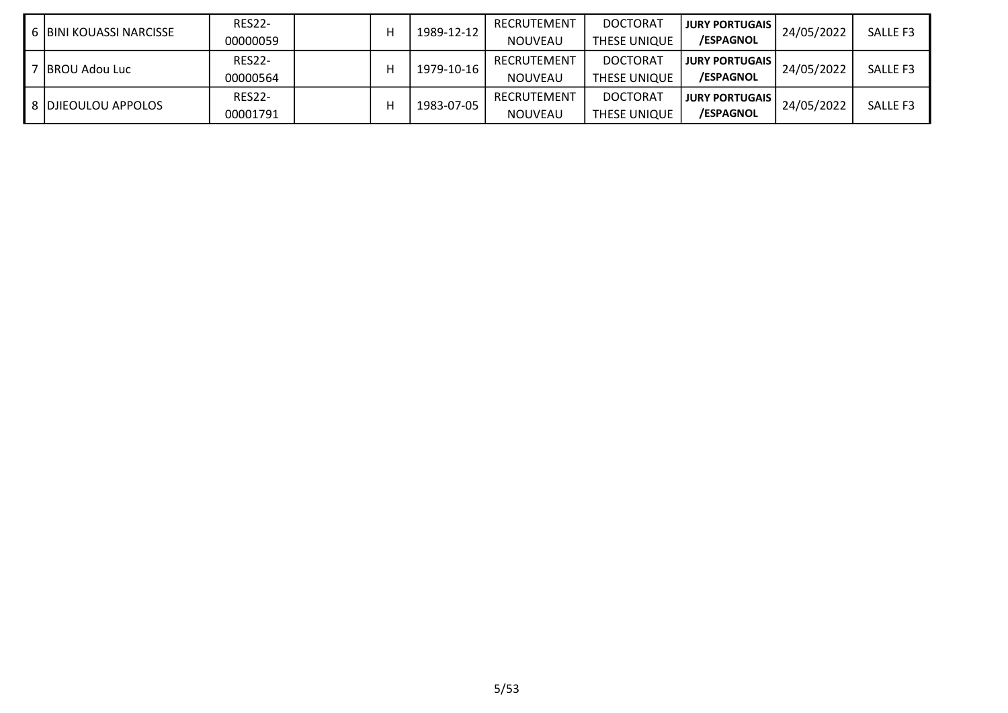| 6 BINI KOUASSI NARCISSE | <b>RES22-</b><br>00000059 | ۲ | 1989-12-12 | RECRUTEMENT<br><b>NOUVEAU</b> | <b>DOCTORAT</b><br>THESE UNIQUE | <b>JURY PORTUGAIS</b><br>/ESPAGNOL | 24/05/2022 | SALLE F3 |
|-------------------------|---------------------------|---|------------|-------------------------------|---------------------------------|------------------------------------|------------|----------|
| BROU Adou Luc           | <b>RES22-</b><br>00000564 | ۲ | 1979-10-16 | RECRUTEMENT<br><b>NOUVEAU</b> | <b>DOCTORAT</b><br>THESE UNIQUE | <b>JURY PORTUGAIS</b><br>/ESPAGNOL | 24/05/2022 | SALLE F3 |
| 8 DJIEOULOU APPOLOS     | <b>RES22-</b><br>00001791 |   | 1983-07-05 | RECRUTEMENT<br><b>NOUVEAU</b> | <b>DOCTORAT</b><br>THESE UNIQUE | <b>JURY PORTUGAIS</b><br>/ESPAGNOL | 24/05/2022 | SALLE F3 |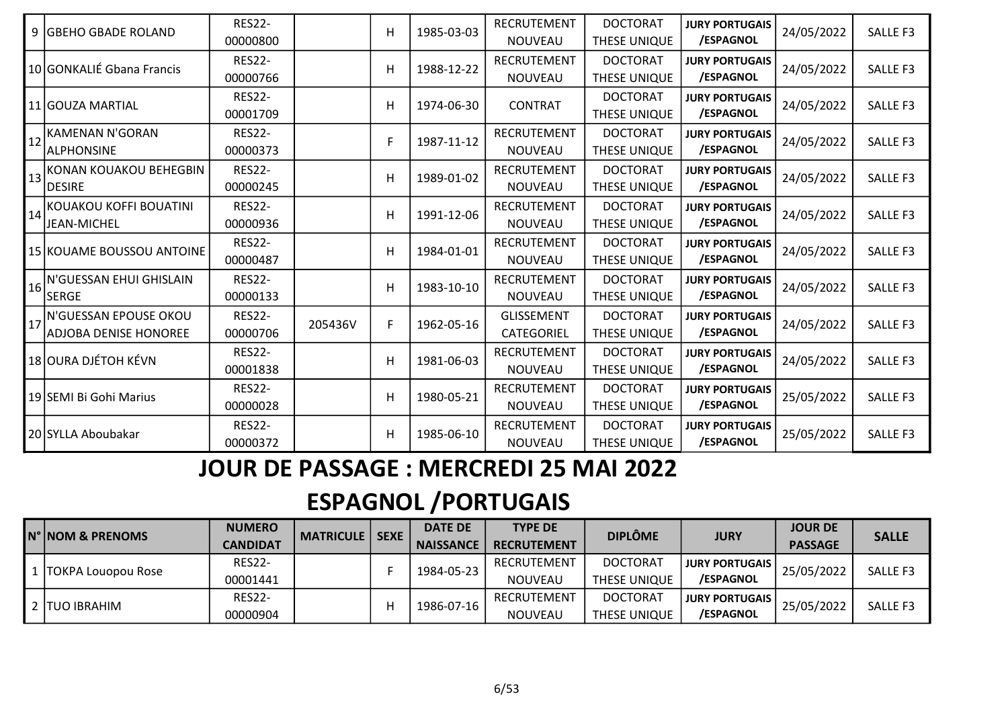|    | 9 GBEHO GBADE ROLAND                                         | <b>RES22-</b><br>00000800 |         | н | 1985-03-03 | <b>RECRUTEMENT</b><br><b>NOUVEAU</b> | <b>DOCTORAT</b><br><b>THESE UNIQUE</b> | <b>JURY PORTUGAIS</b><br>/ESPAGNOL | 24/05/2022 | SALLE F3        |
|----|--------------------------------------------------------------|---------------------------|---------|---|------------|--------------------------------------|----------------------------------------|------------------------------------|------------|-----------------|
|    | 10 GONKALIÉ Gbana Francis                                    | <b>RES22-</b><br>00000766 |         | H | 1988-12-22 | <b>RECRUTEMENT</b><br>NOUVEAU        | <b>DOCTORAT</b><br>THESE UNIQUE        | <b>JURY PORTUGAIS</b><br>/ESPAGNOL | 24/05/2022 | SALLE F3        |
|    | 11 IGOUZA MARTIAL                                            | <b>RES22-</b><br>00001709 |         | н | 1974-06-30 | <b>CONTRAT</b>                       | <b>DOCTORAT</b><br><b>THESE UNIQUE</b> | <b>JURY PORTUGAIS</b><br>/ESPAGNOL | 24/05/2022 | <b>SALLE F3</b> |
| 12 | KAMENAN N'GORAN<br><b>JALPHONSINE</b>                        | <b>RES22-</b><br>00000373 |         | F | 1987-11-12 | RECRUTEMENT<br>NOUVEAU               | <b>DOCTORAT</b><br>THESE UNIQUE        | <b>JURY PORTUGAIS</b><br>/ESPAGNOL | 24/05/2022 | SALLE F3        |
|    | 13 KONAN KOUAKOU BEHEGBIN<br>DESIRE                          | <b>RES22-</b><br>00000245 |         | Η | 1989-01-02 | <b>RECRUTEMENT</b><br>NOUVEAU        | <b>DOCTORAT</b><br>THESE UNIQUE        | <b>JURY PORTUGAIS</b><br>/ESPAGNOL | 24/05/2022 | <b>SALLE F3</b> |
| 14 | KOUAKOU KOFFI BOUATINI<br>JEAN-MICHEL                        | <b>RES22-</b><br>00000936 |         | H | 1991-12-06 | <b>RECRUTEMENT</b><br><b>NOUVEAU</b> | <b>DOCTORAT</b><br><b>THESE UNIQUE</b> | <b>JURY PORTUGAIS</b><br>/ESPAGNOL | 24/05/2022 | <b>SALLE F3</b> |
|    | 15 KOUAME BOUSSOU ANTOINE                                    | <b>RES22-</b><br>00000487 |         | H | 1984-01-01 | <b>RECRUTEMENT</b><br><b>NOUVEAU</b> | <b>DOCTORAT</b><br>THESE UNIQUE        | <b>JURY PORTUGAIS</b><br>/ESPAGNOL | 24/05/2022 | <b>SALLE F3</b> |
|    | 16 N'GUESSAN EHUI GHISLAIN<br><b>SERGE</b>                   | <b>RES22-</b><br>00000133 |         | Н | 1983-10-10 | <b>RECRUTEMENT</b><br><b>NOUVEAU</b> | <b>DOCTORAT</b><br>THESE UNIQUE        | <b>JURY PORTUGAIS</b><br>/ESPAGNOL | 24/05/2022 | <b>SALLE F3</b> |
|    | 17 <sup>N'GUESSAN EPOUSE OKOU</sup><br>ADJOBA DENISE HONOREE | <b>RES22-</b><br>00000706 | 205436V | F | 1962-05-16 | <b>GLISSEMENT</b><br>CATEGORIEL      | <b>DOCTORAT</b><br>THESE UNIQUE        | <b>JURY PORTUGAIS</b><br>/ESPAGNOL | 24/05/2022 | <b>SALLE F3</b> |
|    | 18 OURA DJÉTOH KÉVN                                          | <b>RES22-</b><br>00001838 |         | н | 1981-06-03 | <b>RECRUTEMENT</b><br>NOUVEAU        | <b>DOCTORAT</b><br>THESE UNIQUE        | <b>JURY PORTUGAIS</b><br>/ESPAGNOL | 24/05/2022 | SALLE F3        |
|    | 19 SEMI Bi Gohi Marius                                       | <b>RES22-</b><br>00000028 |         | Η | 1980-05-21 | RECRUTEMENT<br>NOUVEAU               | <b>DOCTORAT</b><br><b>THESE UNIQUE</b> | <b>JURY PORTUGAIS</b><br>/ESPAGNOL | 25/05/2022 | <b>SALLE F3</b> |
|    | 20 SYLLA Aboubakar                                           | <b>RES22-</b><br>00000372 |         | н | 1985-06-10 | RECRUTEMENT<br><b>NOUVEAU</b>        | <b>DOCTORAT</b><br><b>THESE UNIQUE</b> | <b>JURY PORTUGAIS</b><br>/ESPAGNOL | 25/05/2022 | <b>SALLE F3</b> |

## JOUR DE PASSAGE : MERCREDI 25 MAI 2022

# ESPAGNOL /PORTUGAIS

| N°   NOM & PRENOMS    | <b>NUMERO</b>   | <b>MATRICULE   SEXE</b> | <b>DATE DE</b>   | <b>TYPE DE</b>     | <b>DIPLÔME</b>  | <b>JURY</b>           | <b>JOUR DE</b> | <b>SALLE</b> |
|-----------------------|-----------------|-------------------------|------------------|--------------------|-----------------|-----------------------|----------------|--------------|
|                       | <b>CANDIDAT</b> |                         | <b>NAISSANCE</b> | <b>RECRUTEMENT</b> |                 |                       | <b>PASSAGE</b> |              |
|                       | <b>RES22-</b>   |                         | 1984-05-23       | RECRUTEMENT        | <b>DOCTORAT</b> | <b>JURY PORTUGAIS</b> | 25/05/2022     | SALLE F3     |
| ⊥  TOKPA Louopou Rose | 00001441        |                         |                  | <b>NOUVEAU</b>     | THESE UNIQUE    | /ESPAGNOL             |                |              |
| 2   TUO IBRAHIM       | <b>RES22-</b>   |                         | 1986-07-16       | RECRUTEMENT        | <b>DOCTORAT</b> | <b>JURY PORTUGAIS</b> | 25/05/2022     | SALLE F3     |
|                       | 00000904        |                         |                  | <b>NOUVEAU</b>     | THESE UNIQUE    | /ESPAGNOL             |                |              |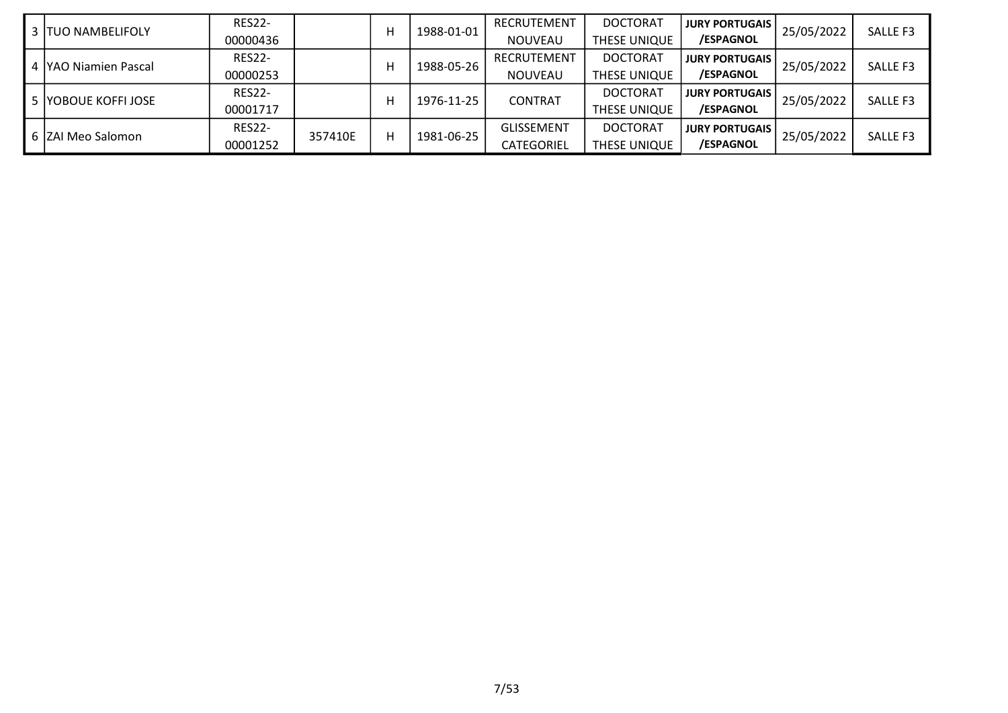| 3   TUO NAMBELIFOLY    | <b>RES22-</b> |         |   | 1988-01-01 | RECRUTEMENT       | <b>DOCTORAT</b> | <b>JURY PORTUGAIS I</b> | 25/05/2022 | SALLE F3 |
|------------------------|---------------|---------|---|------------|-------------------|-----------------|-------------------------|------------|----------|
|                        | 00000436      |         | н |            | NOUVEAU           | THESE UNIQUE    | /ESPAGNOL               |            |          |
| 4   YAO Niamien Pascal | <b>RES22-</b> |         | Н | 1988-05-26 | RECRUTEMENT       | <b>DOCTORAT</b> | <b>JURY PORTUGAIS</b>   | 25/05/2022 | SALLE F3 |
|                        | 00000253      |         |   |            | <b>NOUVEAU</b>    | THESE UNIQUE    | /ESPAGNOL               |            |          |
| 5 IYOBOUE KOFFI JOSE   | <b>RES22-</b> |         |   |            |                   | <b>DOCTORAT</b> | <b>JURY PORTUGAIS</b>   | 25/05/2022 |          |
|                        | 00001717      |         | н | 1976-11-25 | <b>CONTRAT</b>    | THESE UNIQUE    | /ESPAGNOL               |            | SALLE F3 |
|                        | <b>RES22-</b> |         |   |            | <b>GLISSEMENT</b> | <b>DOCTORAT</b> | <b>JURY PORTUGAIS</b>   |            |          |
| 6 ZAI Meo Salomon      | 00001252      | 357410E | н | 1981-06-25 | <b>CATEGORIEL</b> | THESE UNIQUE    | /ESPAGNOL               | 25/05/2022 | SALLE F3 |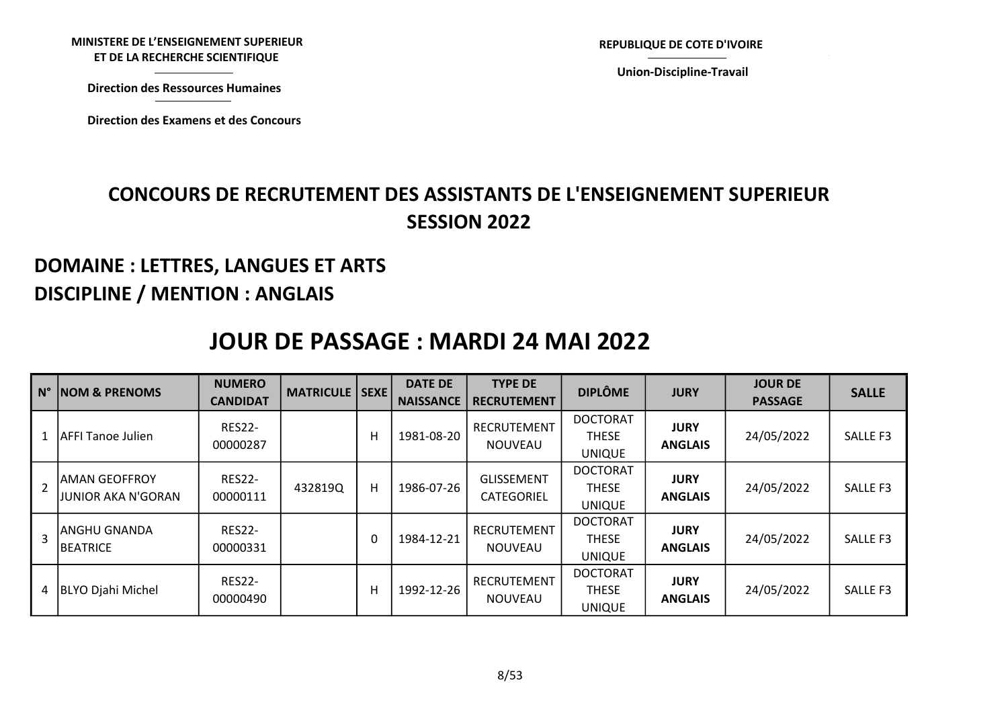MINISTERE DE L'ENSEIGNEMENT SUPERIEUR ET DE LA RECHERCHE SCIENTIFIQUE STERE DE L'ENSEIGNEMENT SUPERIEUR<br>ET DE LA RECHERCHE SCIENTIFIQUE<br>Virection des Ressources Humaines<br>Virection des Examens et des Concours STERE DE L'ENSEIGNEMENT SUPERIEUR<br>ET DE LA RECHERCHE SCIENTIFIQUE<br>Virection des Ressources Humaines<br>Virection des Examens et des Concours REPUBLIQUE DE COTE D'IVOIRE<br>Union-Discipline-Travail

Union-Discipline-Travail

Direction des Ressources Humaines

Direction des Examens et des Concours

# CONCOURS DE RECRUTEMENT DES ASSISTANTS DE L'ENSEIGNEMENT SUPERIEUR SESSION 2022 NISTERE DE L'ENSEIGNEMENT SUPERIEUR<br>
ET DE LA RECHERCHE SCIENTIFIQUE<br>
Direction des Ressources Humaines<br>
Direction des Examens et des Concours<br>
CONCOURS DE RECRUTEMENT DES ASSISTANTS DE L'ENSEIG

#### DOMAINE : LETTRES, LANGUES ET ARTS DISCIPLINE / MENTION : ANGLAIS

### JOUR DE PASSAGE : MARDI 24 MAI 2022

| $\mathsf{N}^\circ$ | <b>NOM &amp; PRENOMS</b>                   | <b>NUMERO</b><br><b>CANDIDAT</b> | <b>MATRICULE   SEXE  </b> |    | <b>DATE DE</b><br><b>NAISSANCE</b> | <b>TYPE DE</b><br><b>RECRUTEMENT</b> | <b>DIPLÔME</b>                                   | <b>JURY</b>                   | <b>JOUR DE</b><br><b>PASSAGE</b> | <b>SALLE</b> |
|--------------------|--------------------------------------------|----------------------------------|---------------------------|----|------------------------------------|--------------------------------------|--------------------------------------------------|-------------------------------|----------------------------------|--------------|
|                    | <b>AFFI Tanoe Julien</b>                   | <b>RES22-</b><br>00000287        |                           | н  | 1981-08-20                         | <b>RECRUTEMENT</b><br><b>NOUVEAU</b> | <b>DOCTORAT</b><br><b>THESE</b><br><b>UNIQUE</b> | <b>JURY</b><br><b>ANGLAIS</b> | 24/05/2022                       | SALLE F3     |
|                    | AMAN GEOFFROY<br><b>JUNIOR AKA N'GORAN</b> | <b>RES22-</b><br>00000111        | 432819Q                   | H. | 1986-07-26                         | <b>GLISSEMENT</b><br>CATEGORIEL      | <b>DOCTORAT</b><br><b>THESE</b><br><b>UNIQUE</b> | <b>JURY</b><br><b>ANGLAIS</b> | 24/05/2022                       | SALLE F3     |
|                    | IANGHU GNANDA<br>IBEATRICE                 | <b>RES22-</b><br>00000331        |                           | 0  | 1984-12-21                         | RECRUTEMENT<br><b>NOUVEAU</b>        | <b>DOCTORAT</b><br><b>THESE</b><br><b>UNIQUE</b> | <b>JURY</b><br><b>ANGLAIS</b> | 24/05/2022                       | SALLE F3     |
| 4                  | <b>BLYO Djahi Michel</b>                   | <b>RES22-</b><br>00000490        |                           | н  | 1992-12-26                         | <b>RECRUTEMENT</b><br><b>NOUVEAU</b> | <b>DOCTORAT</b><br><b>THESE</b><br><b>UNIQUE</b> | <b>JURY</b><br><b>ANGLAIS</b> | 24/05/2022                       | SALLE F3     |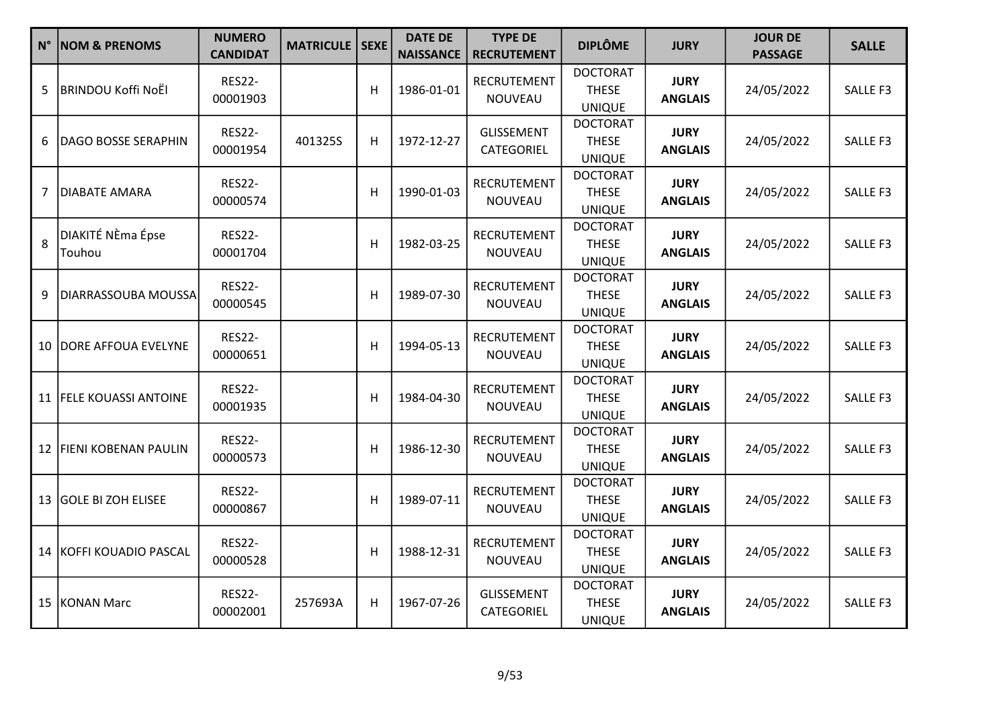| $N^{\circ}$ | <b>NOM &amp; PRENOMS</b>    | <b>NUMERO</b><br><b>CANDIDAT</b> | <b>MATRICULE   SEXE</b> |   | <b>DATE DE</b><br><b>NAISSANCE</b> | <b>TYPE DE</b><br><b>RECRUTEMENT</b> | <b>DIPLÔME</b>                                   | <b>JURY</b>                   | <b>JOUR DE</b><br><b>PASSAGE</b> | <b>SALLE</b>    |
|-------------|-----------------------------|----------------------------------|-------------------------|---|------------------------------------|--------------------------------------|--------------------------------------------------|-------------------------------|----------------------------------|-----------------|
| 5           | <b>BRINDOU Koffi NoËI</b>   | <b>RES22-</b><br>00001903        |                         | H | 1986-01-01                         | RECRUTEMENT<br>NOUVEAU               | <b>DOCTORAT</b><br><b>THESE</b><br><b>UNIQUE</b> | <b>JURY</b><br><b>ANGLAIS</b> | 24/05/2022                       | SALLE F3        |
| 6           | DAGO BOSSE SERAPHIN         | <b>RES22-</b><br>00001954        | 401325S                 | н | 1972-12-27                         | <b>GLISSEMENT</b><br>CATEGORIEL      | <b>DOCTORAT</b><br><b>THESE</b><br><b>UNIQUE</b> | <b>JURY</b><br><b>ANGLAIS</b> | 24/05/2022                       | SALLE F3        |
| 7           | IDIABATE AMARA              | <b>RES22-</b><br>00000574        |                         | H | 1990-01-03                         | <b>RECRUTEMENT</b><br>NOUVEAU        | <b>DOCTORAT</b><br><b>THESE</b><br><b>UNIQUE</b> | <b>JURY</b><br><b>ANGLAIS</b> | 24/05/2022                       | SALLE F3        |
| 8           | DIAKITÉ NÈma Épse<br>Touhou | <b>RES22-</b><br>00001704        |                         | н | 1982-03-25                         | RECRUTEMENT<br>NOUVEAU               | <b>DOCTORAT</b><br><b>THESE</b><br><b>UNIQUE</b> | <b>JURY</b><br><b>ANGLAIS</b> | 24/05/2022                       | SALLE F3        |
| 9           | DIARRASSOUBA MOUSSA         | <b>RES22-</b><br>00000545        |                         | H | 1989-07-30                         | <b>RECRUTEMENT</b><br><b>NOUVEAU</b> | <b>DOCTORAT</b><br><b>THESE</b><br><b>UNIQUE</b> | <b>JURY</b><br><b>ANGLAIS</b> | 24/05/2022                       | SALLE F3        |
|             | 10 DORE AFFOUA EVELYNE      | <b>RES22-</b><br>00000651        |                         | H | 1994-05-13                         | <b>RECRUTEMENT</b><br>NOUVEAU        | <b>DOCTORAT</b><br><b>THESE</b><br><b>UNIQUE</b> | <b>JURY</b><br><b>ANGLAIS</b> | 24/05/2022                       | SALLE F3        |
|             | 11   FELE KOUASSI ANTOINE   | <b>RES22-</b><br>00001935        |                         | H | 1984-04-30                         | RECRUTEMENT<br>NOUVEAU               | <b>DOCTORAT</b><br><b>THESE</b><br><b>UNIQUE</b> | <b>JURY</b><br><b>ANGLAIS</b> | 24/05/2022                       | SALLE F3        |
|             | 12 FIENI KOBENAN PAULIN     | <b>RES22-</b><br>00000573        |                         | H | 1986-12-30                         | RECRUTEMENT<br>NOUVEAU               | <b>DOCTORAT</b><br><b>THESE</b><br><b>UNIQUE</b> | <b>JURY</b><br><b>ANGLAIS</b> | 24/05/2022                       | SALLE F3        |
|             | 13 GOLE BI ZOH ELISEE       | <b>RES22-</b><br>00000867        |                         | H | 1989-07-11                         | <b>RECRUTEMENT</b><br>NOUVEAU        | <b>DOCTORAT</b><br><b>THESE</b><br><b>UNIQUE</b> | <b>JURY</b><br><b>ANGLAIS</b> | 24/05/2022                       | SALLE F3        |
|             | 14 KOFFI KOUADIO PASCAL     | <b>RES22-</b><br>00000528        |                         | H | 1988-12-31                         | RECRUTEMENT<br>NOUVEAU               | <b>DOCTORAT</b><br><b>THESE</b><br><b>UNIQUE</b> | <b>JURY</b><br><b>ANGLAIS</b> | 24/05/2022                       | SALLE F3        |
|             | 15 KONAN Marc               | <b>RES22-</b><br>00002001        | 257693A                 | н | 1967-07-26                         | <b>GLISSEMENT</b><br>CATEGORIEL      | <b>DOCTORAT</b><br><b>THESE</b><br><b>UNIQUE</b> | <b>JURY</b><br><b>ANGLAIS</b> | 24/05/2022                       | <b>SALLE F3</b> |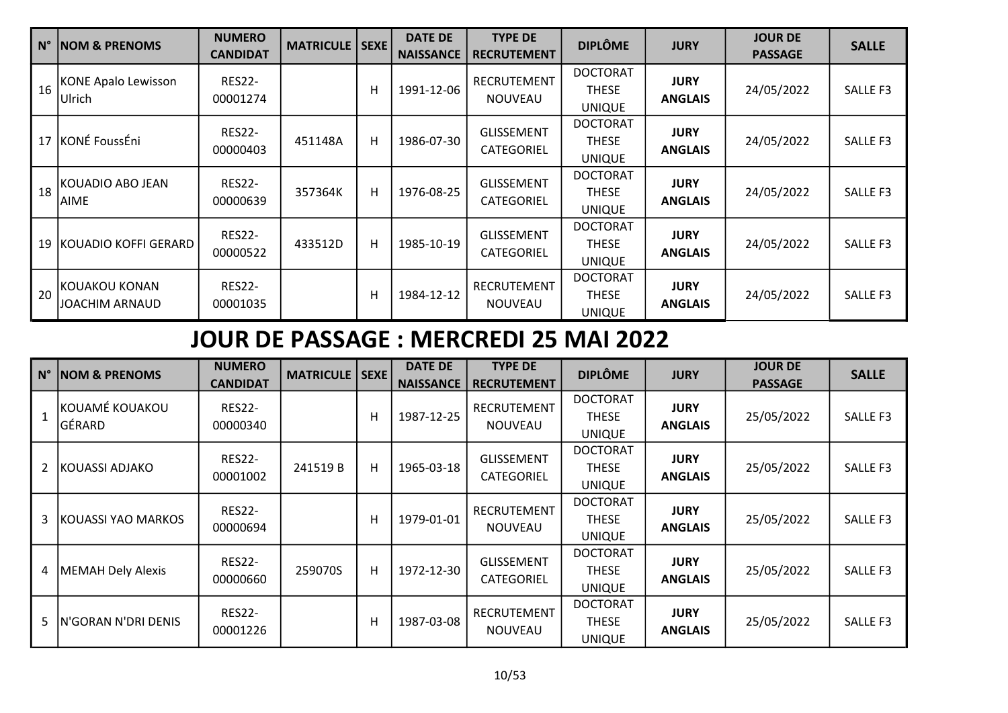| $N^{\circ}$ | <b>NOM &amp; PRENOMS</b>             | <b>NUMERO</b><br><b>CANDIDAT</b> | <b>MATRICULE   SEXE  </b> |   | <b>DATE DE</b><br><b>NAISSANCE</b> | <b>TYPE DE</b><br><b>RECRUTEMENT</b> | <b>DIPLÔME</b>                                   | <b>JURY</b>                   | <b>JOUR DE</b><br><b>PASSAGE</b> | <b>SALLE</b> |
|-------------|--------------------------------------|----------------------------------|---------------------------|---|------------------------------------|--------------------------------------|--------------------------------------------------|-------------------------------|----------------------------------|--------------|
| 16          | <b>KONE Apalo Lewisson</b><br>Ulrich | <b>RES22-</b><br>00001274        |                           | Н | 1991-12-06                         | RECRUTEMENT<br><b>NOUVEAU</b>        | <b>DOCTORAT</b><br><b>THESE</b><br><b>UNIQUE</b> | <b>JURY</b><br><b>ANGLAIS</b> | 24/05/2022                       | SALLE F3     |
|             | 17 KONÉ FoussÉni                     | <b>RES22-</b><br>00000403        | 451148A                   | Н | 1986-07-30                         | <b>GLISSEMENT</b><br>CATEGORIEL      | <b>DOCTORAT</b><br>THESE<br><b>UNIQUE</b>        | <b>JURY</b><br><b>ANGLAIS</b> | 24/05/2022                       | SALLE F3     |
| 18          | KOUADIO ABO JEAN<br>IAIME            | <b>RES22-</b><br>00000639        | 357364K                   | H | 1976-08-25                         | <b>GLISSEMENT</b><br>CATEGORIEL      | <b>DOCTORAT</b><br><b>THESE</b><br><b>UNIQUE</b> | <b>JURY</b><br><b>ANGLAIS</b> | 24/05/2022                       | SALLE F3     |
|             | 19 KOUADIO KOFFI GERARD              | <b>RES22-</b><br>00000522        | 433512D                   | H | 1985-10-19                         | <b>GLISSEMENT</b><br>CATEGORIEL      | <b>DOCTORAT</b><br>THESE<br><b>UNIQUE</b>        | <b>JURY</b><br><b>ANGLAIS</b> | 24/05/2022                       | SALLE F3     |
| 20          | KOUAKOU KONAN<br>JOACHIM ARNAUD      | <b>RES22-</b><br>00001035        |                           | Н | 1984-12-12                         | <b>RECRUTEMENT</b><br><b>NOUVEAU</b> | <b>DOCTORAT</b><br><b>THESE</b><br><b>UNIQUE</b> | <b>JURY</b><br><b>ANGLAIS</b> | 24/05/2022                       | SALLE F3     |

| $\mathsf{N}^\circ$ | <b>INOM &amp; PRENOMS</b>  | <b>NUMERO</b><br><b>CANDIDAT</b> | <b>MATRICULE   SEXE  </b> |   | <b>DATE DE</b><br><b>NAISSANCE</b> | <b>TYPE DE</b><br><b>RECRUTEMENT</b>   | <b>DIPLÔME</b>                                   | <b>JURY</b>                   | <b>JOUR DE</b><br><b>PASSAGE</b> | <b>SALLE</b> |
|--------------------|----------------------------|----------------------------------|---------------------------|---|------------------------------------|----------------------------------------|--------------------------------------------------|-------------------------------|----------------------------------|--------------|
| $\mathbf{1}$       | lkouamé kouakou<br>lgérard | <b>RES22-</b><br>00000340        |                           | H | 1987-12-25                         | RECRUTEMENT<br><b>NOUVEAU</b>          | <b>DOCTORAT</b><br><b>THESE</b><br><b>UNIQUE</b> | <b>JURY</b><br><b>ANGLAIS</b> | 25/05/2022                       | SALLE F3     |
| $\overline{2}$     | KOUASSI ADJAKO             | <b>RES22-</b><br>00001002        | 241519B                   | H | 1965-03-18                         | <b>GLISSEMENT</b><br>CATEGORIEL        | <b>DOCTORAT</b><br><b>THESE</b><br><b>UNIQUE</b> | <b>JURY</b><br><b>ANGLAIS</b> | 25/05/2022                       | SALLE F3     |
| 3                  | KOUASSI YAO MARKOS         | <b>RES22-</b><br>00000694        |                           | H | 1979-01-01                         | RECRUTEMENT<br><b>NOUVEAU</b>          | <b>DOCTORAT</b><br><b>THESE</b><br><b>UNIQUE</b> | <b>JURY</b><br><b>ANGLAIS</b> | 25/05/2022                       | SALLE F3     |
| 4                  | MEMAH Dely Alexis          | <b>RES22-</b><br>00000660        | 259070S                   | Н | 1972-12-30                         | <b>GLISSEMENT</b><br><b>CATEGORIEL</b> | <b>DOCTORAT</b><br><b>THESE</b><br><b>UNIQUE</b> | <b>JURY</b><br><b>ANGLAIS</b> | 25/05/2022                       | SALLE F3     |
| 5.                 | IN'GORAN N'DRI DENIS       | <b>RES22-</b><br>00001226        |                           | Н | 1987-03-08                         | <b>RECRUTEMENT</b><br><b>NOUVEAU</b>   | <b>DOCTORAT</b><br><b>THESE</b><br><b>UNIQUE</b> | <b>JURY</b><br><b>ANGLAIS</b> | 25/05/2022                       | SALLE F3     |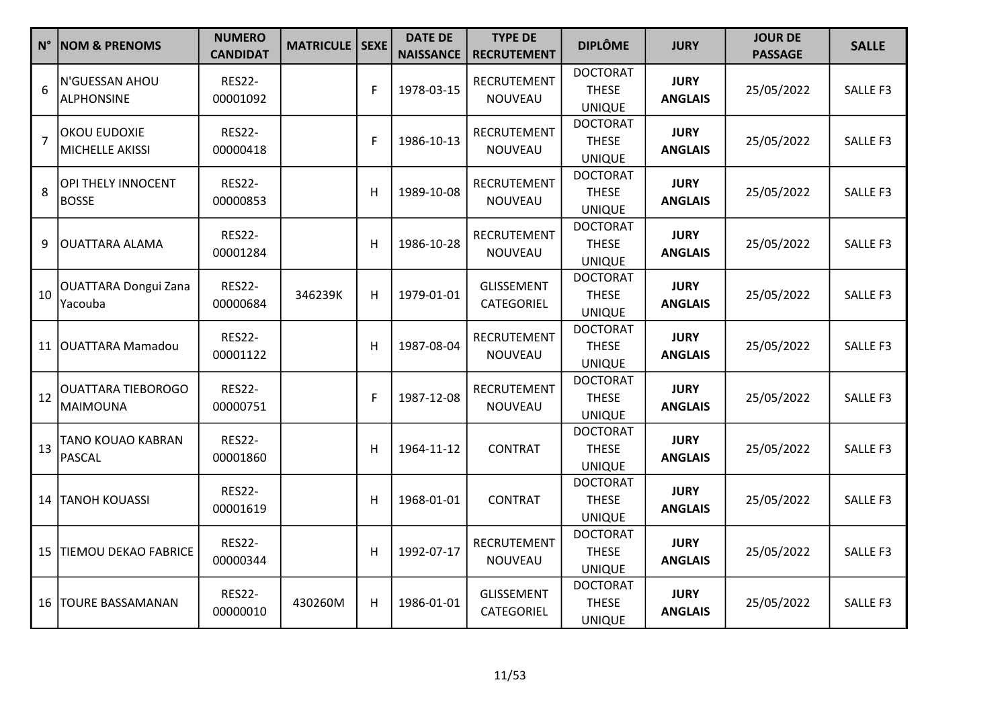| I N°           | <b>NOM &amp; PRENOMS</b>               | <b>NUMERO</b><br><b>CANDIDAT</b> | <b>MATRICULE   SEXE</b> |                | <b>DATE DE</b><br><b>NAISSANCE</b> | <b>TYPE DE</b><br><b>RECRUTEMENT</b> | <b>DIPLÔME</b>                                   | <b>JURY</b>                   | <b>JOUR DE</b><br><b>PASSAGE</b> | <b>SALLE</b> |
|----------------|----------------------------------------|----------------------------------|-------------------------|----------------|------------------------------------|--------------------------------------|--------------------------------------------------|-------------------------------|----------------------------------|--------------|
| 6              | N'GUESSAN AHOU<br><b>ALPHONSINE</b>    | <b>RES22-</b><br>00001092        |                         | F              | 1978-03-15                         | RECRUTEMENT<br>NOUVEAU               | <b>DOCTORAT</b><br><b>THESE</b><br><b>UNIQUE</b> | <b>JURY</b><br><b>ANGLAIS</b> | 25/05/2022                       | SALLE F3     |
| $\overline{7}$ | OKOU EUDOXIE<br><b>MICHELLE AKISSI</b> | <b>RES22-</b><br>00000418        |                         | $\mathsf{F}$   | 1986-10-13                         | RECRUTEMENT<br>NOUVEAU               | <b>DOCTORAT</b><br><b>THESE</b><br><b>UNIQUE</b> | <b>JURY</b><br><b>ANGLAIS</b> | 25/05/2022                       | SALLE F3     |
| 8              | OPI THELY INNOCENT<br><b>BOSSE</b>     | <b>RES22-</b><br>00000853        |                         | H              | 1989-10-08                         | RECRUTEMENT<br>NOUVEAU               | <b>DOCTORAT</b><br><b>THESE</b><br><b>UNIQUE</b> | <b>JURY</b><br><b>ANGLAIS</b> | 25/05/2022                       | SALLE F3     |
| 9              | OUATTARA ALAMA                         | <b>RES22-</b><br>00001284        |                         | $\overline{H}$ | 1986-10-28                         | RECRUTEMENT<br><b>NOUVEAU</b>        | <b>DOCTORAT</b><br><b>THESE</b><br><b>UNIQUE</b> | <b>JURY</b><br><b>ANGLAIS</b> | 25/05/2022                       | SALLE F3     |
| 10             | <b>OUATTARA Dongui Zana</b><br>Yacouba | <b>RES22-</b><br>00000684        | 346239K                 | H              | 1979-01-01                         | <b>GLISSEMENT</b><br>CATEGORIEL      | <b>DOCTORAT</b><br><b>THESE</b><br><b>UNIQUE</b> | <b>JURY</b><br><b>ANGLAIS</b> | 25/05/2022                       | SALLE F3     |
| 11             | <b>OUATTARA Mamadou</b>                | <b>RES22-</b><br>00001122        |                         | H              | 1987-08-04                         | <b>RECRUTEMENT</b><br>NOUVEAU        | <b>DOCTORAT</b><br><b>THESE</b><br><b>UNIQUE</b> | <b>JURY</b><br><b>ANGLAIS</b> | 25/05/2022                       | SALLE F3     |
| 12             | <b>OUATTARA TIEBOROGO</b><br>MAIMOUNA  | <b>RES22-</b><br>00000751        |                         | $\mathsf{F}$   | 1987-12-08                         | RECRUTEMENT<br>NOUVEAU               | <b>DOCTORAT</b><br><b>THESE</b><br><b>UNIQUE</b> | <b>JURY</b><br><b>ANGLAIS</b> | 25/05/2022                       | SALLE F3     |
| 13             | TANO KOUAO KABRAN<br><b>PASCAL</b>     | <b>RES22-</b><br>00001860        |                         | H              | 1964-11-12                         | <b>CONTRAT</b>                       | <b>DOCTORAT</b><br><b>THESE</b><br><b>UNIQUE</b> | <b>JURY</b><br><b>ANGLAIS</b> | 25/05/2022                       | SALLE F3     |
| 14             | <b>TANOH KOUASSI</b>                   | <b>RES22-</b><br>00001619        |                         | H              | 1968-01-01                         | <b>CONTRAT</b>                       | <b>DOCTORAT</b><br><b>THESE</b><br><b>UNIQUE</b> | <b>JURY</b><br><b>ANGLAIS</b> | 25/05/2022                       | SALLE F3     |
| 15             | <b>TIEMOU DEKAO FABRICE</b>            | <b>RES22-</b><br>00000344        |                         | H              | 1992-07-17                         | <b>RECRUTEMENT</b><br>NOUVEAU        | <b>DOCTORAT</b><br><b>THESE</b><br><b>UNIQUE</b> | <b>JURY</b><br><b>ANGLAIS</b> | 25/05/2022                       | SALLE F3     |
| 16             | <b>ITOURE BASSAMANAN</b>               | <b>RES22-</b><br>00000010        | 430260M                 | H              | 1986-01-01                         | <b>GLISSEMENT</b><br>CATEGORIEL      | <b>DOCTORAT</b><br><b>THESE</b><br><b>UNIQUE</b> | <b>JURY</b><br><b>ANGLAIS</b> | 25/05/2022                       | SALLE F3     |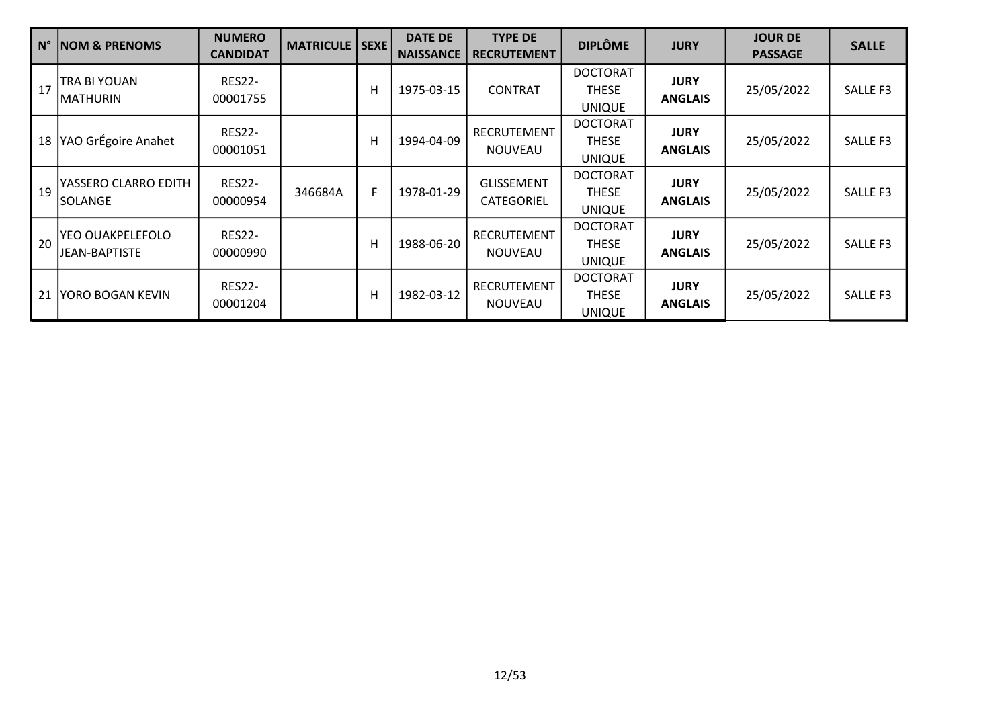| $N^{\circ}$ | <b>NOM &amp; PRENOMS</b>          | <b>NUMERO</b><br><b>CANDIDAT</b> | <b>MATRICULE   SEXE  </b> |   | <b>DATE DE</b><br><b>NAISSANCE</b> | <b>TYPE DE</b><br><b>RECRUTEMENT</b> | <b>DIPLÔME</b>                                   | <b>JURY</b>                   | <b>JOUR DE</b><br><b>PASSAGE</b> | <b>SALLE</b> |
|-------------|-----------------------------------|----------------------------------|---------------------------|---|------------------------------------|--------------------------------------|--------------------------------------------------|-------------------------------|----------------------------------|--------------|
| 17          | TRA BI YOUAN<br>IMATHURIN         | <b>RES22-</b><br>00001755        |                           | Н | 1975-03-15                         | <b>CONTRAT</b>                       | <b>DOCTORAT</b><br><b>THESE</b><br><b>UNIQUE</b> | <b>JURY</b><br><b>ANGLAIS</b> | 25/05/2022                       | SALLE F3     |
|             | 18 YAO GrÉgoire Anahet            | <b>RES22-</b><br>00001051        |                           | H | 1994-04-09                         | RECRUTEMENT<br><b>NOUVEAU</b>        | <b>DOCTORAT</b><br><b>THESE</b><br><b>UNIQUE</b> | <b>JURY</b><br><b>ANGLAIS</b> | 25/05/2022                       | SALLE F3     |
| 19          | YASSERO CLARRO EDITH<br>SOLANGE   | <b>RES22-</b><br>00000954        | 346684A                   | F | 1978-01-29                         | GLISSEMENT<br><b>CATEGORIEL</b>      | <b>DOCTORAT</b><br><b>THESE</b><br><b>UNIQUE</b> | <b>JURY</b><br><b>ANGLAIS</b> | 25/05/2022                       | SALLE F3     |
| 20          | YEO OUAKPELEFOLO<br>JEAN-BAPTISTE | <b>RES22-</b><br>00000990        |                           | H | 1988-06-20                         | <b>RECRUTEMENT</b><br><b>NOUVEAU</b> | <b>DOCTORAT</b><br><b>THESE</b><br><b>UNIQUE</b> | <b>JURY</b><br><b>ANGLAIS</b> | 25/05/2022                       | SALLE F3     |
| 21          | YORO BOGAN KEVIN                  | <b>RES22-</b><br>00001204        |                           | H | 1982-03-12                         | <b>RECRUTEMENT</b><br><b>NOUVEAU</b> | <b>DOCTORAT</b><br><b>THESE</b><br><b>UNIQUE</b> | <b>JURY</b><br><b>ANGLAIS</b> | 25/05/2022                       | SALLE F3     |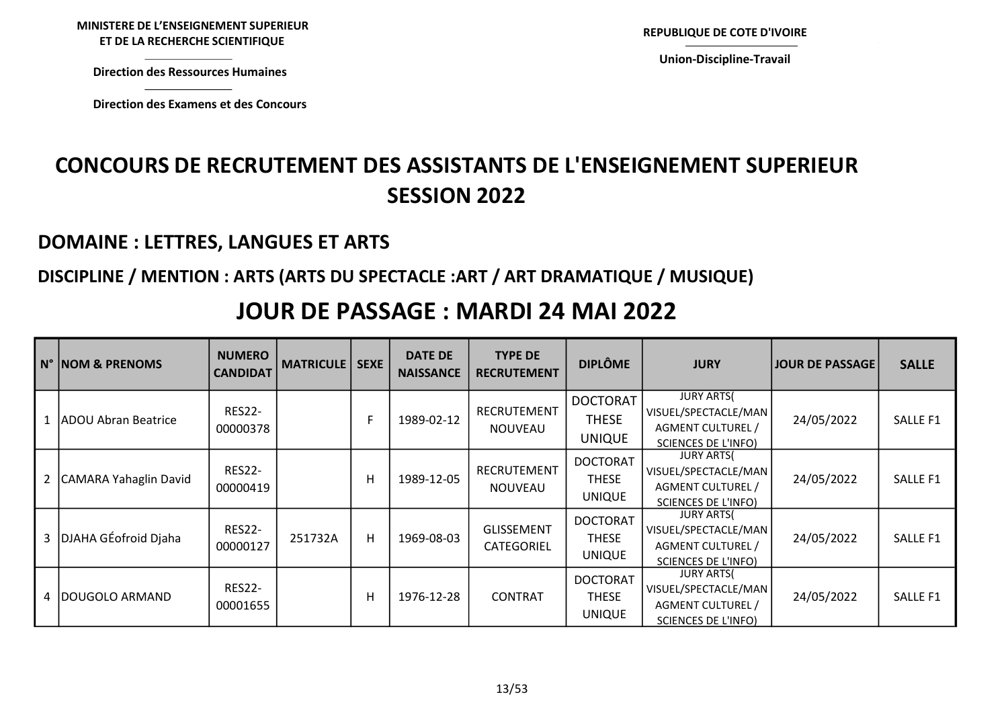MINISTERE DE L'ENSEIGNEMENT SUPERIEUR ISTERE DE L'ENSEIGNEMENT SUPERIEUR<br>ET DE LA RECHERCHE SCIENTIFIQUE<br>Direction des Ressources Humaines<br>Direction des Examens et des Concours REPUBLIQUE DE COTE D'IVOIRE<br>Union-Discipline-Travail

Union-Discipline-Travail

Direction des Ressources Humaines

# CONCOURS DE RECRUTEMENT DES ASSISTANTS DE L'ENSEIGNEMENT SUPERIEUR SESSION 2022 NISTERE DE L'ENSEIGNEMENT SUPERIEUR<br>
ET DE LA RECHERCHE SCIENTIFIQUE<br>
Direction des Ressources Humaines<br>
Direction des Examens et des Concours<br>
NCOURS DE RECRUTEMENT DES ASSISTANTS DE L'ENSEIG

#### DOMAINE : LETTRES, LANGUES ET ARTS

#### DISCIPLINE / MENTION : ARTS (ARTS DU SPECTACLE :ART / ART DRAMATIQUE / MUSIQUE)

#### JOUR DE PASSAGE : MARDI 24 MAI 2022

| N° NOM & PRENOMS        | <b>NUMERO</b><br><b>CANDIDAT</b> | <b>MATRICULE</b> | <b>SEXE</b> | <b>DATE DE</b><br><b>NAISSANCE</b> | <b>TYPE DE</b><br><b>RECRUTEMENT</b>   | <b>DIPLÔME</b>                                   | <b>JURY</b>                                                                                  | <b>JOUR DE PASSAGE</b> | <b>SALLE</b> |
|-------------------------|----------------------------------|------------------|-------------|------------------------------------|----------------------------------------|--------------------------------------------------|----------------------------------------------------------------------------------------------|------------------------|--------------|
| 1 ADOU Abran Beatrice   | <b>RES22-</b><br>00000378        |                  |             | 1989-02-12                         | RECRUTEMENT<br>NOUVEAU                 | <b>DOCTORAT</b><br><b>THESE</b><br><b>UNIQUE</b> | <b>JURY ARTS(</b><br>VISUEL/SPECTACLE/MAN<br>AGMENT CULTUREL /<br><b>SCIENCES DE L'INFO)</b> | 24/05/2022             | SALLE F1     |
| 2 CAMARA Yahaglin David | <b>RES22-</b><br>00000419        |                  | H           | 1989-12-05                         | RECRUTEMENT<br><b>NOUVEAU</b>          | <b>DOCTORAT</b><br><b>THESE</b><br><b>UNIQUE</b> | <b>JURY ARTS</b><br>VISUEL/SPECTACLE/MAN<br>AGMENT CULTUREL /<br><b>SCIENCES DE L'INFO)</b>  | 24/05/2022             | SALLE F1     |
| 3 DJAHA GÉofroid Djaha  | <b>RES22-</b><br>00000127        | 251732A          | H           | 1969-08-03                         | <b>GLISSEMENT</b><br><b>CATEGORIEL</b> | <b>DOCTORAT</b><br><b>THESE</b><br><b>UNIQUE</b> | <b>JURY ARTS</b><br>VISUEL/SPECTACLE/MAN<br>AGMENT CULTUREL /<br><b>SCIENCES DE L'INFO)</b>  | 24/05/2022             | SALLE F1     |
| 4  DOUGOLO ARMAND       | <b>RES22-</b><br>00001655        |                  | H           | 1976-12-28                         | <b>CONTRAT</b>                         | <b>DOCTORAT</b><br><b>THESE</b><br><b>UNIQUE</b> | <b>JURY ARTS</b><br>VISUEL/SPECTACLE/MAN<br>AGMENT CULTUREL /<br><b>SCIENCES DE L'INFO)</b>  | 24/05/2022             | SALLE F1     |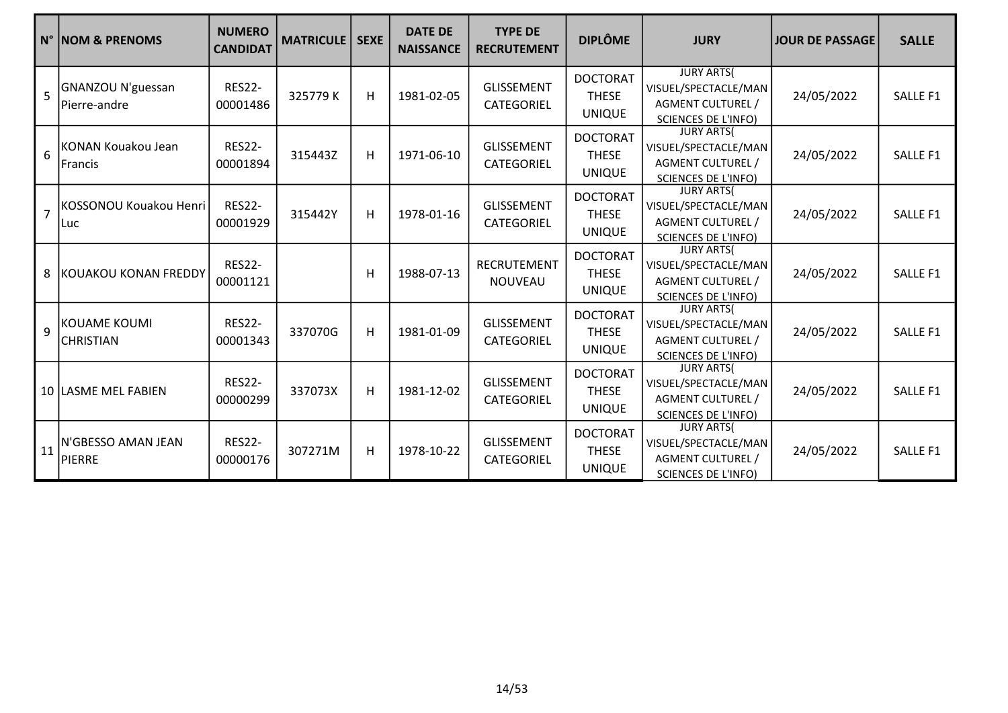|                | N°  NOM & PRENOMS                        | <b>NUMERO</b><br><b>CANDIDAT</b> | <b>MATRICULE</b> | <b>SEXE</b> | <b>DATE DE</b><br><b>NAISSANCE</b> | <b>TYPE DE</b><br><b>RECRUTEMENT</b> | <b>DIPLÔME</b>                                   | <b>JURY</b>                                                                                         | <b>JOUR DE PASSAGE</b> | <b>SALLE</b> |
|----------------|------------------------------------------|----------------------------------|------------------|-------------|------------------------------------|--------------------------------------|--------------------------------------------------|-----------------------------------------------------------------------------------------------------|------------------------|--------------|
| 5              | <b>GNANZOU N'guessan</b><br>Pierre-andre | <b>RES22-</b><br>00001486        | 325779K          | H           | 1981-02-05                         | <b>GLISSEMENT</b><br>CATEGORIEL      | <b>DOCTORAT</b><br><b>THESE</b><br><b>UNIQUE</b> | <b>JURY ARTS(</b><br>VISUEL/SPECTACLE/MAN<br><b>AGMENT CULTUREL /</b><br><b>SCIENCES DE L'INFO)</b> | 24/05/2022             | SALLE F1     |
| 6              | KONAN Kouakou Jean<br><b>Francis</b>     | <b>RES22-</b><br>00001894        | 315443Z          | H           | 1971-06-10                         | <b>GLISSEMENT</b><br>CATEGORIEL      | <b>DOCTORAT</b><br><b>THESE</b><br><b>UNIQUE</b> | <b>JURY ARTS(</b><br>VISUEL/SPECTACLE/MAN<br><b>AGMENT CULTUREL /</b><br><b>SCIENCES DE L'INFO)</b> | 24/05/2022             | SALLE F1     |
| $\overline{7}$ | KOSSONOU Kouakou Henri<br>Luc            | <b>RES22-</b><br>00001929        | 315442Y          | H           | 1978-01-16                         | <b>GLISSEMENT</b><br>CATEGORIEL      | <b>DOCTORAT</b><br><b>THESE</b><br><b>UNIQUE</b> | <b>JURY ARTS(</b><br>VISUEL/SPECTACLE/MAN<br><b>AGMENT CULTUREL /</b><br><b>SCIENCES DE L'INFO)</b> | 24/05/2022             | SALLE F1     |
| 8              | KOUAKOU KONAN FREDDY                     | <b>RES22-</b><br>00001121        |                  | H           | 1988-07-13                         | <b>RECRUTEMENT</b><br><b>NOUVEAU</b> | <b>DOCTORAT</b><br><b>THESE</b><br><b>UNIQUE</b> | <b>JURY ARTS(</b><br>VISUEL/SPECTACLE/MAN<br><b>AGMENT CULTUREL /</b><br><b>SCIENCES DE L'INFO)</b> | 24/05/2022             | SALLE F1     |
| $\overline{9}$ | <b>KOUAME KOUMI</b><br><b>CHRISTIAN</b>  | <b>RES22-</b><br>00001343        | 337070G          | H           | 1981-01-09                         | <b>GLISSEMENT</b><br>CATEGORIEL      | <b>DOCTORAT</b><br><b>THESE</b><br><b>UNIQUE</b> | <b>JURY ARTS(</b><br>VISUEL/SPECTACLE/MAN<br><b>AGMENT CULTUREL /</b><br><b>SCIENCES DE L'INFO)</b> | 24/05/2022             | SALLE F1     |
|                | 10 ILASME MEL FABIEN                     | <b>RES22-</b><br>00000299        | 337073X          | H           | 1981-12-02                         | <b>GLISSEMENT</b><br>CATEGORIEL      | <b>DOCTORAT</b><br><b>THESE</b><br><b>UNIQUE</b> | <b>JURY ARTS(</b><br>VISUEL/SPECTACLE/MAN<br><b>AGMENT CULTUREL /</b><br><b>SCIENCES DE L'INFO)</b> | 24/05/2022             | SALLE F1     |
| 11             | N'GBESSO AMAN JEAN<br><b>PIERRE</b>      | <b>RES22-</b><br>00000176        | 307271M          | H           | 1978-10-22                         | <b>GLISSEMENT</b><br>CATEGORIEL      | <b>DOCTORAT</b><br><b>THESE</b><br><b>UNIQUE</b> | <b>JURY ARTS(</b><br>VISUEL/SPECTACLE/MAN<br><b>AGMENT CULTUREL /</b><br><b>SCIENCES DE L'INFO)</b> | 24/05/2022             | SALLE F1     |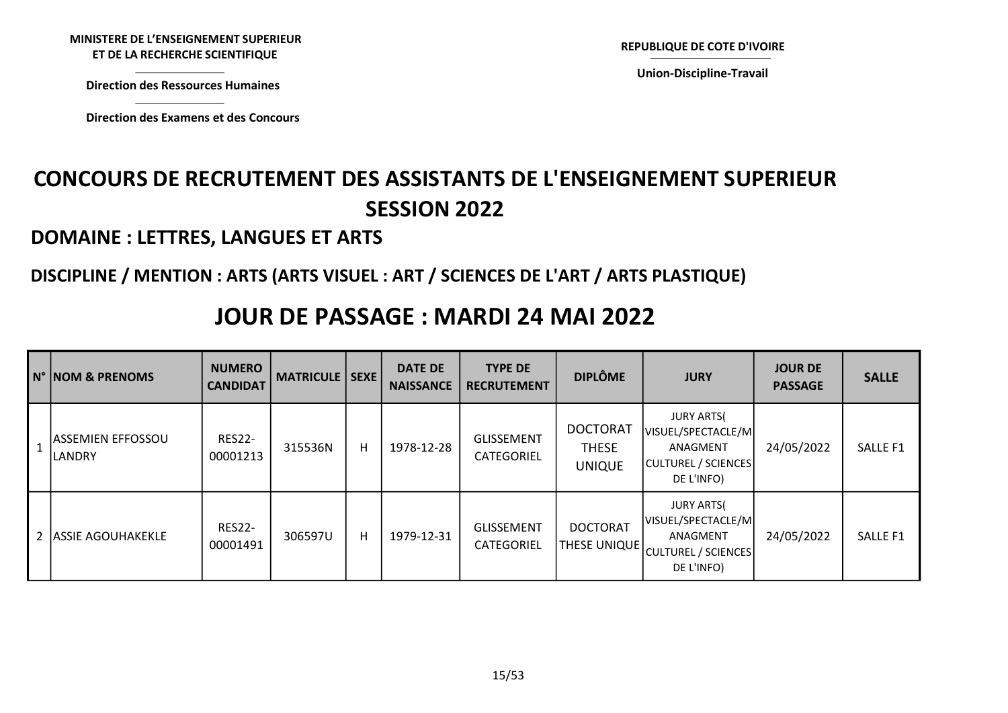REPUBLIQUE DE COTE D'IVOIRE<br>Union-Discipline-Travail

Direction des Ressources Humaines

Union-Discipline-Travail

# CONCOURS DE RECRUTEMENT DES ASSISTANTS DE L'ENSEIGNEMENT SUPERIEUR SESSION 2022 NISTERE DE L'ENSEIGNEMENT SUPERIEUR<br>
ET DE LA RECHERCHE SCIENTIFIQUE<br>
Direction des Ressources Humaines<br>
Direction des Examens et des Concours<br>
COURS DE RECRUTEMENT DES ASSISTANTS DE L'ENSEIGN

#### DOMAINE : LETTRES, LANGUES ET ARTS

#### DISCIPLINE / MENTION : ARTS (ARTS VISUEL : ART / SCIENCES DE L'ART / ARTS PLASTIQUE)

### JOUR DE PASSAGE : MARDI 24 MAI 2022

| IN° NOM & PRENOMS                         | <b>NUMERO</b><br><b>CANDIDAT</b> | <b>MATRICULE   SEXE  </b> |   | <b>DATE DE</b><br><b>NAISSANCE</b> | <b>TYPE DE</b><br><b>RECRUTEMENT</b>   | <b>DIPLÔME</b>                                   | <b>JURY</b>                                                                              | <b>JOUR DE</b><br><b>PASSAGE</b> | <b>SALLE</b> |
|-------------------------------------------|----------------------------------|---------------------------|---|------------------------------------|----------------------------------------|--------------------------------------------------|------------------------------------------------------------------------------------------|----------------------------------|--------------|
| <b>ASSEMIEN EFFOSSOU</b><br><b>LANDRY</b> | <b>RES22-</b><br>00001213        | 315536N                   | H | 1978-12-28                         | <b>GLISSEMENT</b><br>CATEGORIEL        | <b>DOCTORAT</b><br><b>THESE</b><br><b>UNIQUE</b> | JURY ARTS(<br>VISUEL/SPECTACLE/M<br>ANAGMENT<br>CULTUREL / SCIENCES<br>DE L'INFO)        | 24/05/2022                       | SALLE F1     |
| 2 ASSIE AGOUHAKEKLE                       | <b>RES22-</b><br>00001491        | 306597U                   | H | 1979-12-31                         | <b>GLISSEMENT</b><br><b>CATEGORIEL</b> | <b>DOCTORAT</b><br><b>THESE UNIQUE</b>           | <b>JURY ARTS(</b><br>VISUEL/SPECTACLE/M<br>ANAGMENT<br>CULTUREL / SCIENCES<br>DE L'INFO) | 24/05/2022                       | SALLE F1     |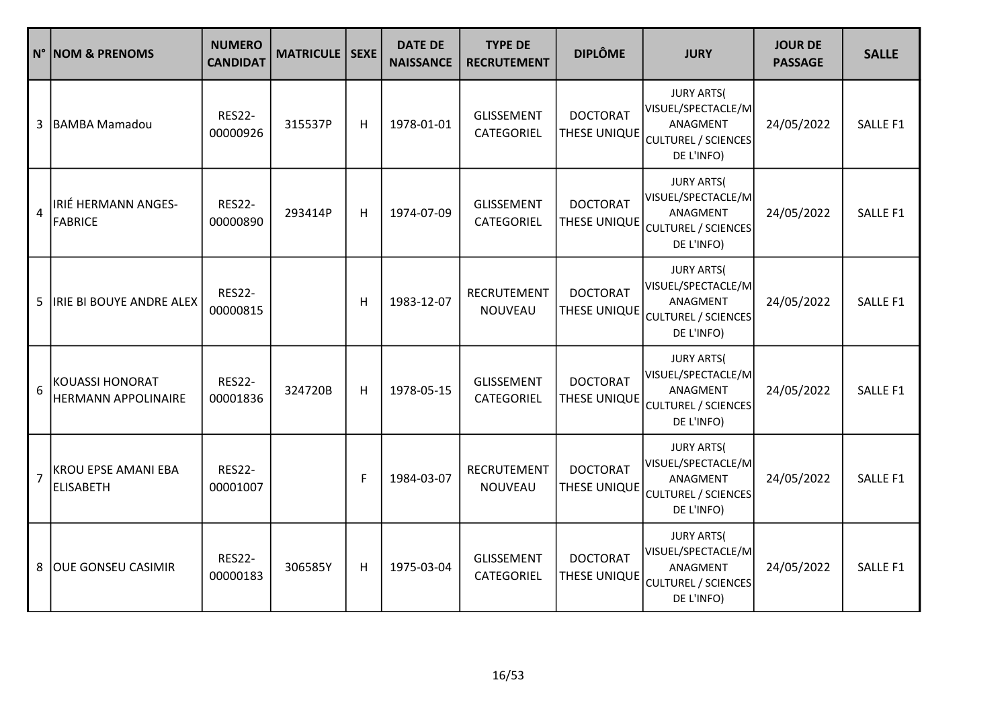|                | N° NOM & PRENOMS                                     | <b>NUMERO</b><br><b>CANDIDAT</b> | <b>MATRICULE</b> | $ $ SEXE | <b>DATE DE</b><br><b>NAISSANCE</b> | <b>TYPE DE</b><br><b>RECRUTEMENT</b> | <b>DIPLÔME</b>                         | <b>JURY</b>                                                                                     | <b>JOUR DE</b><br><b>PASSAGE</b> | <b>SALLE</b> |
|----------------|------------------------------------------------------|----------------------------------|------------------|----------|------------------------------------|--------------------------------------|----------------------------------------|-------------------------------------------------------------------------------------------------|----------------------------------|--------------|
|                | 3   BAMBA Mamadou                                    | <b>RES22-</b><br>00000926        | 315537P          | H        | 1978-01-01                         | <b>GLISSEMENT</b><br>CATEGORIEL      | <b>DOCTORAT</b><br>THESE UNIQUE        | <b>JURY ARTS(</b><br>VISUEL/SPECTACLE/M<br>ANAGMENT<br><b>CULTUREL / SCIENCES</b><br>DE L'INFO) | 24/05/2022                       | SALLE F1     |
| 4              | IRIÉ HERMANN ANGES-<br>FABRICE                       | <b>RES22-</b><br>00000890        | 293414P          | H        | 1974-07-09                         | <b>GLISSEMENT</b><br>CATEGORIEL      | <b>DOCTORAT</b><br>THESE UNIQUE        | <b>JURY ARTS(</b><br>VISUEL/SPECTACLE/M<br>ANAGMENT<br><b>CULTUREL / SCIENCES</b><br>DE L'INFO) | 24/05/2022                       | SALLE F1     |
|                | 5 JIRIE BI BOUYE ANDRE ALEX                          | <b>RES22-</b><br>00000815        |                  | Н        | 1983-12-07                         | <b>RECRUTEMENT</b><br>NOUVEAU        | <b>DOCTORAT</b><br>THESE UNIQUE        | <b>JURY ARTS(</b><br>VISUEL/SPECTACLE/M<br>ANAGMENT<br><b>CULTUREL / SCIENCES</b><br>DE L'INFO) | 24/05/2022                       | SALLE F1     |
| 6              | <b>KOUASSI HONORAT</b><br><b>HERMANN APPOLINAIRE</b> | <b>RES22-</b><br>00001836        | 324720B          | н        | 1978-05-15                         | <b>GLISSEMENT</b><br>CATEGORIEL      | <b>DOCTORAT</b><br>THESE UNIQUE        | <b>JURY ARTS(</b><br>VISUEL/SPECTACLE/M<br>ANAGMENT<br><b>CULTUREL / SCIENCES</b><br>DE L'INFO) | 24/05/2022                       | SALLE F1     |
| $\overline{7}$ | KROU EPSE AMANI EBA<br><b>ELISABETH</b>              | <b>RES22-</b><br>00001007        |                  | F        | 1984-03-07                         | RECRUTEMENT<br>NOUVEAU               | <b>DOCTORAT</b><br>THESE UNIQUE        | <b>JURY ARTS(</b><br>VISUEL/SPECTACLE/M<br>ANAGMENT<br><b>CULTUREL / SCIENCES</b><br>DE L'INFO) | 24/05/2022                       | SALLE F1     |
| 8              | <b>OUE GONSEU CASIMIR</b>                            | <b>RES22-</b><br>00000183        | 306585Y          | H        | 1975-03-04                         | <b>GLISSEMENT</b><br>CATEGORIEL      | <b>DOCTORAT</b><br><b>THESE UNIQUE</b> | <b>JURY ARTS(</b><br>VISUEL/SPECTACLE/M<br>ANAGMENT<br><b>CULTUREL / SCIENCES</b><br>DE L'INFO) | 24/05/2022                       | SALLE F1     |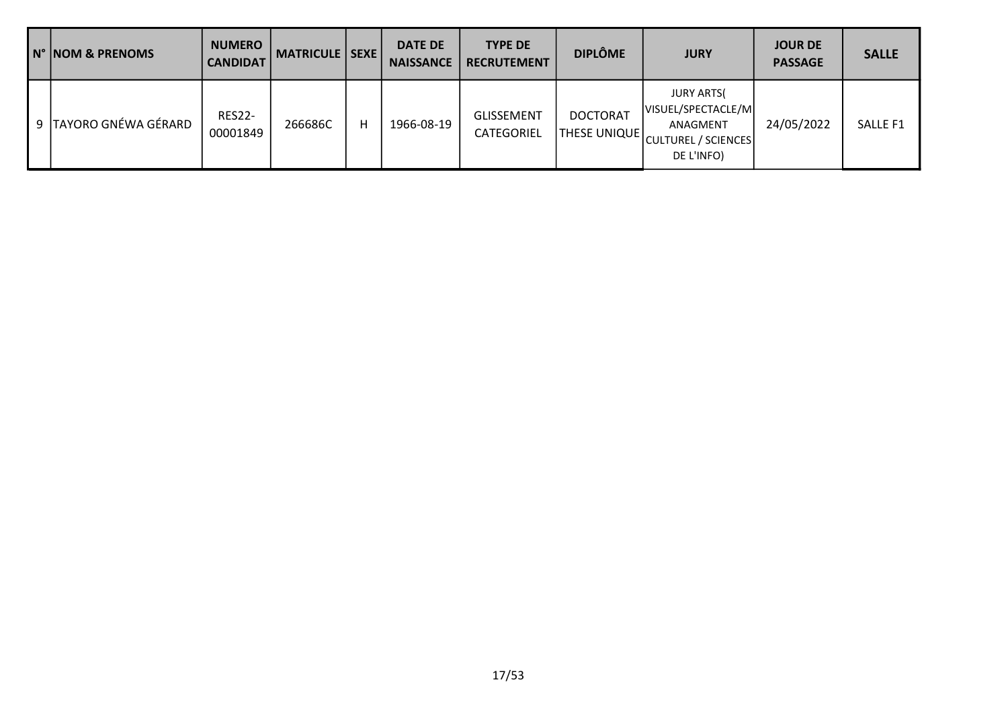| IN° NOM & PRENOMS     | <b>NUMERO</b><br><b>CANDIDAT</b> | MATRICULE   SEXE |   | <b>DATE DE</b><br><b>NAISSANCE</b> | <b>TYPE DE</b><br><b>RECRUTEMENT</b>   | <b>DIPLÔME</b>                  | <b>JURY</b>                                                                              | <b>JOUR DE</b><br><b>PASSAGE</b> | <b>SALLE</b> |
|-----------------------|----------------------------------|------------------|---|------------------------------------|----------------------------------------|---------------------------------|------------------------------------------------------------------------------------------|----------------------------------|--------------|
| 9 TAYORO GNÉWA GÉRARD | <b>RES22-</b><br>00001849        | 266686C          | н | 1966-08-19                         | <b>GLISSEMENT</b><br><b>CATEGORIEL</b> | <b>DOCTORAT</b><br>THESE UNIQUE | <b>JURY ARTS(</b><br>VISUEL/SPECTACLE/M<br>ANAGMENT<br>CULTUREL / SCIENCES<br>DE L'INFO) | 24/05/2022                       | SALLE F1     |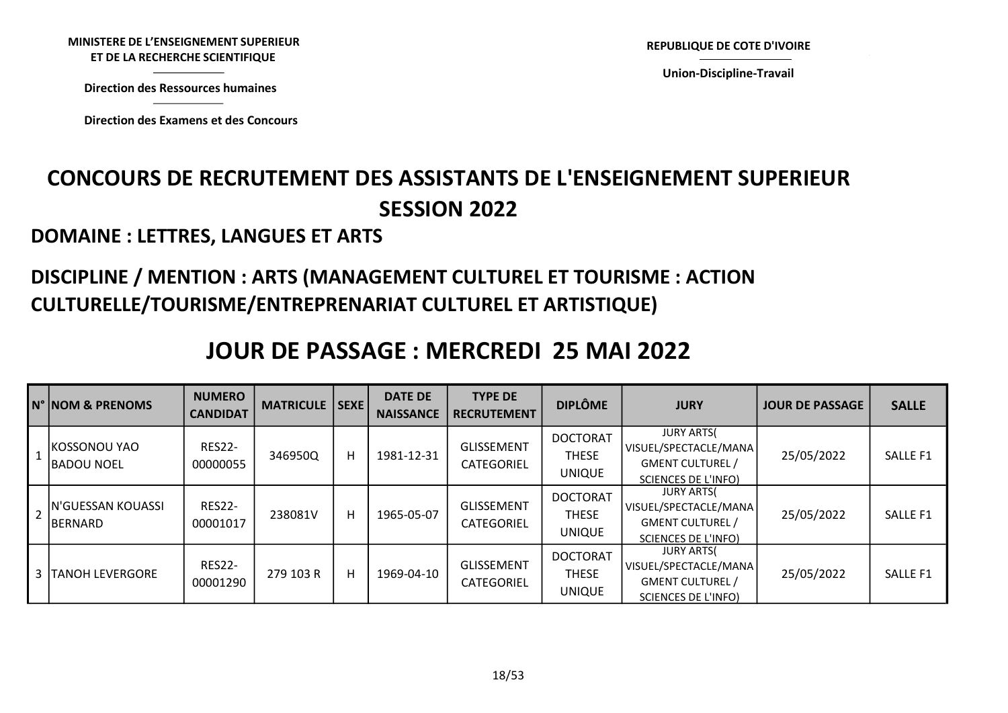REPUBLIQUE DE COTE D'IVOIRE<br>Union-Discipline-Travail

Union-Discipline-Travail

Direction des Ressources humaines

# CONCOURS DE RECRUTEMENT DES ASSISTANTS DE L'ENSEIGNEMENT SUPERIEUR SESSION 2022 NISTERE DE L'ENSEIGNEMENT SUPERIEUR<br>
ET DE LA RECHERCHE SCIENTIFIQUE<br>
Direction des Ressources humaines<br>
Direction des Examens et des Concours<br>
NCOURS DE RECRUTEMENT DES ASSISTANTS DE L'ENSEIC<br>
SESSION 2022

#### DOMAINE : LETTRES, LANGUES ET ARTS

### DISCIPLINE / MENTION : ARTS (MANAGEMENT CULTUREL ET TOURISME : ACTION CULTURELLE/TOURISME/ENTREPRENARIAT CULTUREL ET ARTISTIQUE)

|                | N° NOM & PRENOMS                      | <b>NUMERO</b><br><b>CANDIDAT</b> | <b>MATRICULE</b> | SEXE | <b>DATE DE</b><br><b>NAISSANCE</b> | <b>TYPE DE</b><br><b>RECRUTEMENT</b> | <b>DIPLÔME</b>                                   | <b>JURY</b>                                                                                         | <b>JOUR DE PASSAGE</b> | <b>SALLE</b>    |
|----------------|---------------------------------------|----------------------------------|------------------|------|------------------------------------|--------------------------------------|--------------------------------------------------|-----------------------------------------------------------------------------------------------------|------------------------|-----------------|
|                | IKOSSONOU YAO<br>IBADOU NOEL          | <b>RES22-</b><br>00000055        | 346950Q          | H    | 1981-12-31                         | <b>GLISSEMENT</b><br>CATEGORIEL      | <b>DOCTORAT</b><br><b>THESE</b><br><b>UNIQUE</b> | <b>JURY ARTS(</b><br>VISUEL/SPECTACLE/MANA<br><b>GMENT CULTUREL /</b><br><b>SCIENCES DE L'INFO)</b> | 25/05/2022             | SALLE F1        |
| $\overline{2}$ | IN'GUESSAN KOUASSI<br><b>IBERNARD</b> | <b>RES22-</b><br>00001017        | 238081V          | H    | 1965-05-07                         | <b>GLISSEMENT</b><br>CATEGORIEL      | <b>DOCTORAT</b><br><b>THESE</b><br><b>UNIQUE</b> | <b>JURY ARTS</b><br>VISUEL/SPECTACLE/MANA<br><b>GMENT CULTUREL /</b><br><b>SCIENCES DE L'INFO)</b>  | 25/05/2022             | SALLE F1        |
|                | 3 TANOH LEVERGORE                     | <b>RES22-</b><br>00001290        | 279 103 R        | H    | 1969-04-10                         | <b>GLISSEMENT</b><br>CATEGORIEL      | <b>DOCTORAT</b><br><b>THESE</b><br><b>UNIQUE</b> | <b>JURY ARTS</b><br>VISUEL/SPECTACLE/MANA<br><b>GMENT CULTUREL /</b><br><b>SCIENCES DE L'INFO)</b>  | 25/05/2022             | <b>SALLE F1</b> |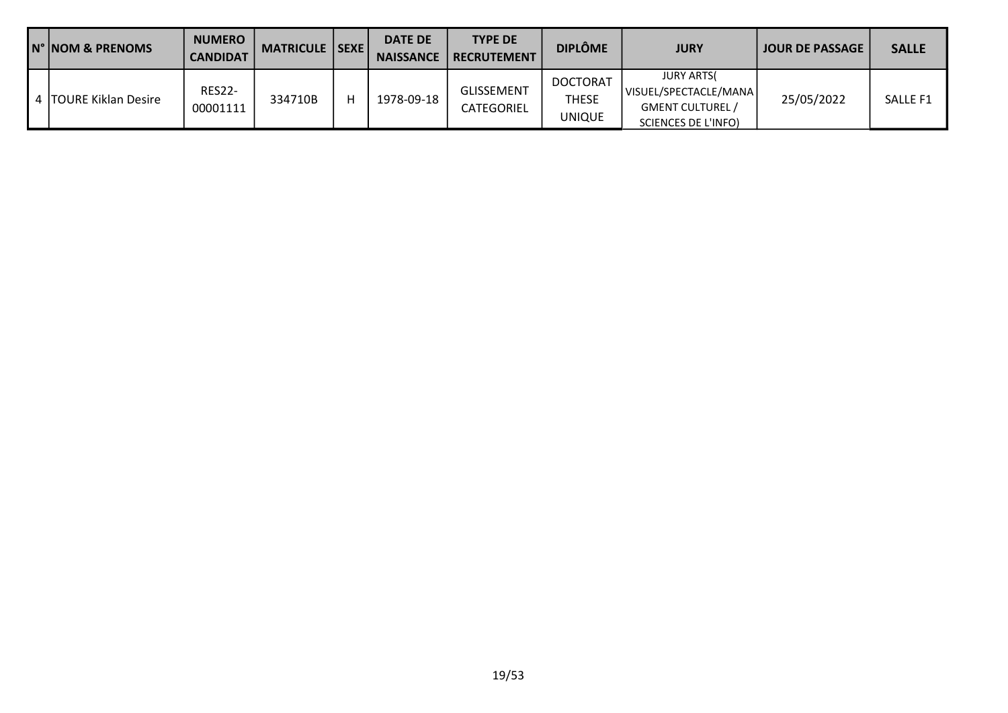| IN° NOM & PRENOMS       | <b>NUMERO</b><br><b>CANDIDAT</b> | <b>MATRICULE   SEXE  </b> |   | <b>DATE DE</b><br><b>NAISSANCE</b> | <b>TYPE DE</b><br><b>RECRUTEMENT</b> | <b>DIPLÔME</b>                            | <b>JURY</b>                                                                                    | <b>JOUR DE PASSAGE</b> | <b>SALLE</b>    |
|-------------------------|----------------------------------|---------------------------|---|------------------------------------|--------------------------------------|-------------------------------------------|------------------------------------------------------------------------------------------------|------------------------|-----------------|
| 4   TOURE Kiklan Desire | <b>RES22-</b><br>00001111        | 334710B                   | н | 1978-09-18                         | <b>GLISSEMENT</b><br>CATEGORIEL      | <b>DOCTORAT</b><br><b>THESE</b><br>UNIQUE | <b>JURY ARTS(</b><br> VISUEL/SPECTACLE/MANA <br><b>GMENT CULTUREL /</b><br>SCIENCES DE L'INFO) | 25/05/2022             | <b>SALLE F1</b> |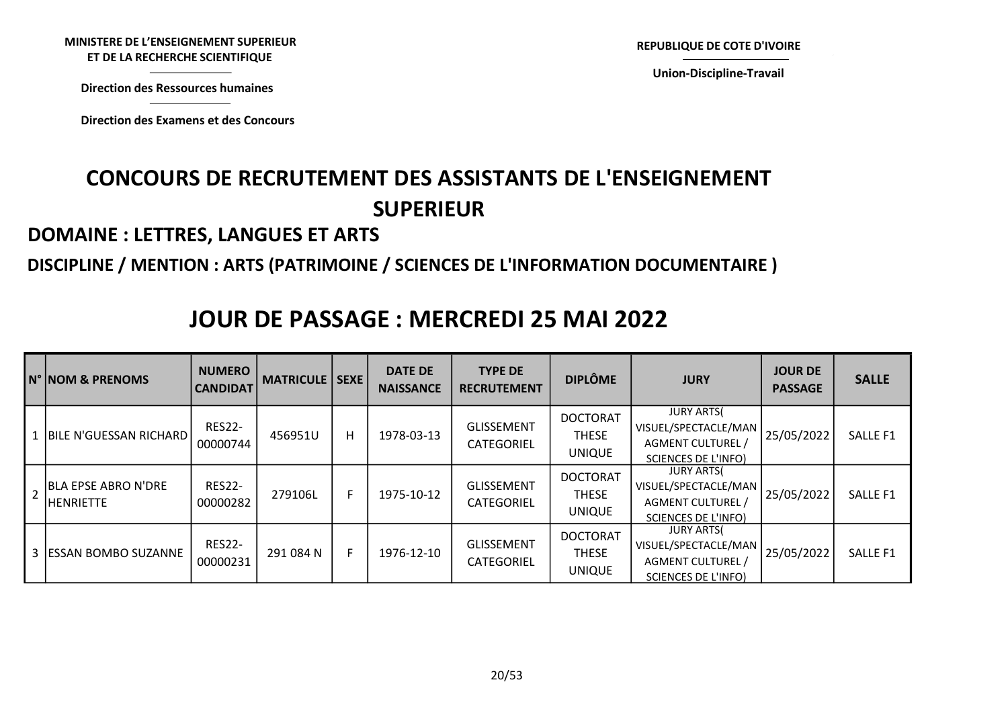REPUBLIQUE DE COTE D'IVOIRE<br>Union-Discipline-Travail

Direction des Ressources humaines

Union-Discipline-Travail

# CONCOURS DE RECRUTEMENT DES ASSISTANTS DE L'ENSEIGNEMENT SUPERIEUR NISTERE DE L'ENSEIGNEMENT SUPERIEUR<br>
ET DE LA RECHERCHE SCIENTIFIQUE<br>
Direction des Ressources humaines<br>
Direction des Examens et des Concours<br>
CONCOURS DE RECRUTEMENT DES ASSISTANTS DE L'EN<br>
SI IDERIELIR

#### DOMAINE : LETTRES, LANGUES ET ARTS

#### DISCIPLINE / MENTION : ARTS (PATRIMOINE / SCIENCES DE L'INFORMATION DOCUMENTAIRE )

|                | IN° NOM & PRENOMS                              | <b>NUMERO</b><br><b>CANDIDAT</b> | <b>MATRICULE   SEXE  </b> |   | <b>DATE DE</b><br><b>NAISSANCE</b> | <b>TYPE DE</b><br><b>RECRUTEMENT</b> | <b>DIPLÔME</b>                            | <b>JURY</b>                                                                                         | <b>JOUR DE</b><br><b>PASSAGE</b> | <b>SALLE</b>        |
|----------------|------------------------------------------------|----------------------------------|---------------------------|---|------------------------------------|--------------------------------------|-------------------------------------------|-----------------------------------------------------------------------------------------------------|----------------------------------|---------------------|
|                | BILE N'GUESSAN RICHARD                         | <b>RES22-</b><br>00000744        | 456951U                   | H | 1978-03-13                         | <b>GLISSEMENT</b><br>CATEGORIEL      | <b>DOCTORAT</b><br>THESE<br><b>UNIQUE</b> | <b>JURY ARTS(</b><br>VISUEL/SPECTACLE/MAN<br><b>AGMENT CULTUREL /</b><br><b>SCIENCES DE L'INFO)</b> | 25/05/2022                       | SALLE <sub>F1</sub> |
| $\overline{2}$ | <b>BLA EPSE ABRO N'DRE</b><br><b>HENRIETTE</b> | <b>RES22-</b><br>00000282        | 279106L                   | F | 1975-10-12                         | <b>GLISSEMENT</b><br>CATEGORIEL      | <b>DOCTORAT</b><br>THESE<br><b>UNIQUE</b> | <b>JURY ARTS</b><br>VISUEL/SPECTACLE/MAN<br><b>AGMENT CULTUREL /</b><br><b>SCIENCES DE L'INFO)</b>  | 25/05/2022                       | SALLE F1            |
|                | 3 ESSAN BOMBO SUZANNE                          | <b>RES22-</b><br>00000231        | 291 084 N                 | F | 1976-12-10                         | <b>GLISSEMENT</b><br>CATEGORIEL      | <b>DOCTORAT</b><br>THESE<br><b>UNIQUE</b> | <b>JURY ARTS</b><br>VISUEL/SPECTACLE/MAN<br><b>AGMENT CULTUREL /</b><br><b>SCIENCES DE L'INFO)</b>  | 25/05/2022                       | SALLE F1            |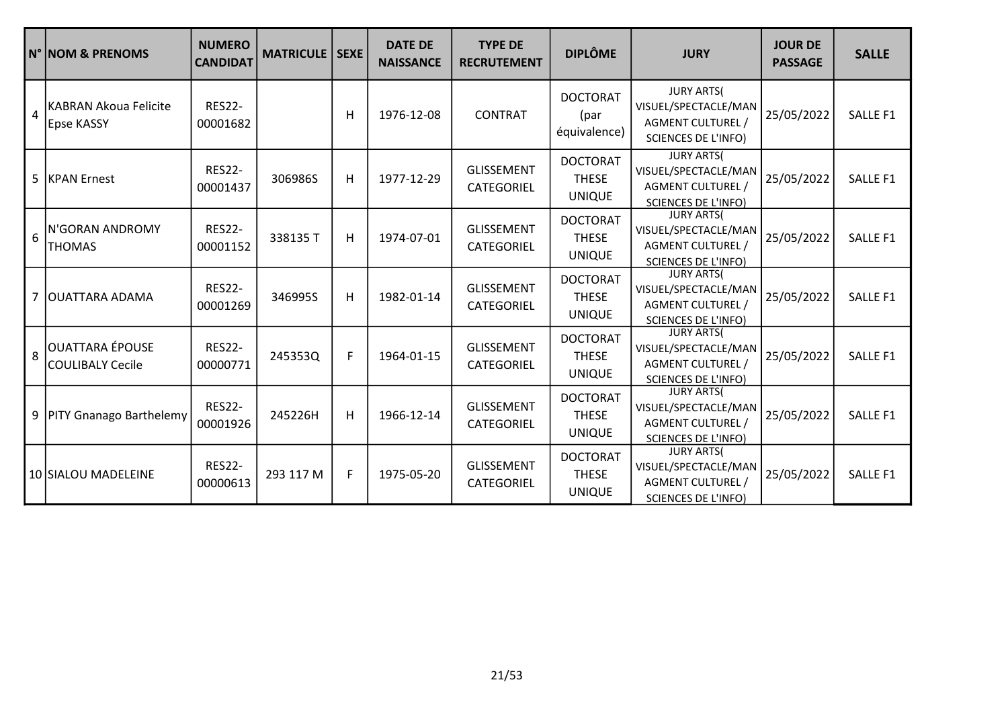|           | N° NOM & PRENOMS                                  | <b>NUMERO</b><br><b>CANDIDAT</b> | <b>MATRICULE</b> | <b>SEXE</b> | <b>DATE DE</b><br><b>NAISSANCE</b> | <b>TYPE DE</b><br><b>RECRUTEMENT</b>   | <b>DIPLÔME</b>                                   | <b>JURY</b>                                                                                         | <b>JOUR DE</b><br><b>PASSAGE</b> | <b>SALLE</b>    |
|-----------|---------------------------------------------------|----------------------------------|------------------|-------------|------------------------------------|----------------------------------------|--------------------------------------------------|-----------------------------------------------------------------------------------------------------|----------------------------------|-----------------|
| $\vert$ 4 | <b>KABRAN Akoua Felicite</b><br>Epse KASSY        | <b>RES22-</b><br>00001682        |                  | Н           | 1976-12-08                         | <b>CONTRAT</b>                         | <b>DOCTORAT</b><br>(par<br>équivalence)          | <b>JURY ARTS(</b><br>VISUEL/SPECTACLE/MAN<br><b>AGMENT CULTUREL /</b><br><b>SCIENCES DE L'INFO)</b> | 25/05/2022                       | SALLE F1        |
|           | 5  KPAN Ernest                                    | <b>RES22-</b><br>00001437        | 306986S          | H           | 1977-12-29                         | <b>GLISSEMENT</b><br><b>CATEGORIEL</b> | <b>DOCTORAT</b><br><b>THESE</b><br><b>UNIQUE</b> | <b>JURY ARTS(</b><br>VISUEL/SPECTACLE/MAN<br><b>AGMENT CULTUREL /</b><br><b>SCIENCES DE L'INFO)</b> | 25/05/2022                       | <b>SALLE F1</b> |
| 6         | IN'GORAN ANDROMY<br><b>THOMAS</b>                 | <b>RES22-</b><br>00001152        | 338135 T         | H           | 1974-07-01                         | <b>GLISSEMENT</b><br>CATEGORIEL        | <b>DOCTORAT</b><br><b>THESE</b><br><b>UNIQUE</b> | <b>JURY ARTS(</b><br>VISUEL/SPECTACLE/MAN<br><b>AGMENT CULTUREL /</b><br><b>SCIENCES DE L'INFO)</b> | 25/05/2022                       | SALLE F1        |
| 7         | <b>JOUATTARA ADAMA</b>                            | <b>RES22-</b><br>00001269        | 346995S          | Н           | 1982-01-14                         | <b>GLISSEMENT</b><br>CATEGORIEL        | <b>DOCTORAT</b><br><b>THESE</b><br><b>UNIQUE</b> | <b>JURY ARTS(</b><br>VISUEL/SPECTACLE/MAN<br><b>AGMENT CULTUREL /</b><br><b>SCIENCES DE L'INFO)</b> | 25/05/2022                       | <b>SALLE F1</b> |
| 8         | <b>OUATTARA ÉPOUSE</b><br><b>COULIBALY Cecile</b> | <b>RES22-</b><br>00000771        | 245353Q          | F           | 1964-01-15                         | <b>GLISSEMENT</b><br>CATEGORIEL        | <b>DOCTORAT</b><br><b>THESE</b><br><b>UNIQUE</b> | <b>JURY ARTS(</b><br>VISUEL/SPECTACLE/MAN<br><b>AGMENT CULTUREL /</b><br><b>SCIENCES DE L'INFO)</b> | 25/05/2022                       | <b>SALLE F1</b> |
|           | 9   PITY Gnanago Barthelemy                       | <b>RES22-</b><br>00001926        | 245226H          | H           | 1966-12-14                         | <b>GLISSEMENT</b><br>CATEGORIEL        | <b>DOCTORAT</b><br><b>THESE</b><br><b>UNIQUE</b> | <b>JURY ARTS(</b><br>VISUEL/SPECTACLE/MAN<br><b>AGMENT CULTUREL /</b><br><b>SCIENCES DE L'INFO)</b> | 25/05/2022                       | SALLE F1        |
|           | 10 SIALOU MADELEINE                               | <b>RES22-</b><br>00000613        | 293 117 M        | F           | 1975-05-20                         | <b>GLISSEMENT</b><br><b>CATEGORIEL</b> | <b>DOCTORAT</b><br><b>THESE</b><br><b>UNIQUE</b> | <b>JURY ARTS(</b><br>VISUEL/SPECTACLE/MAN<br>AGMENT CULTUREL /<br><b>SCIENCES DE L'INFO)</b>        | 25/05/2022                       | SALLE F1        |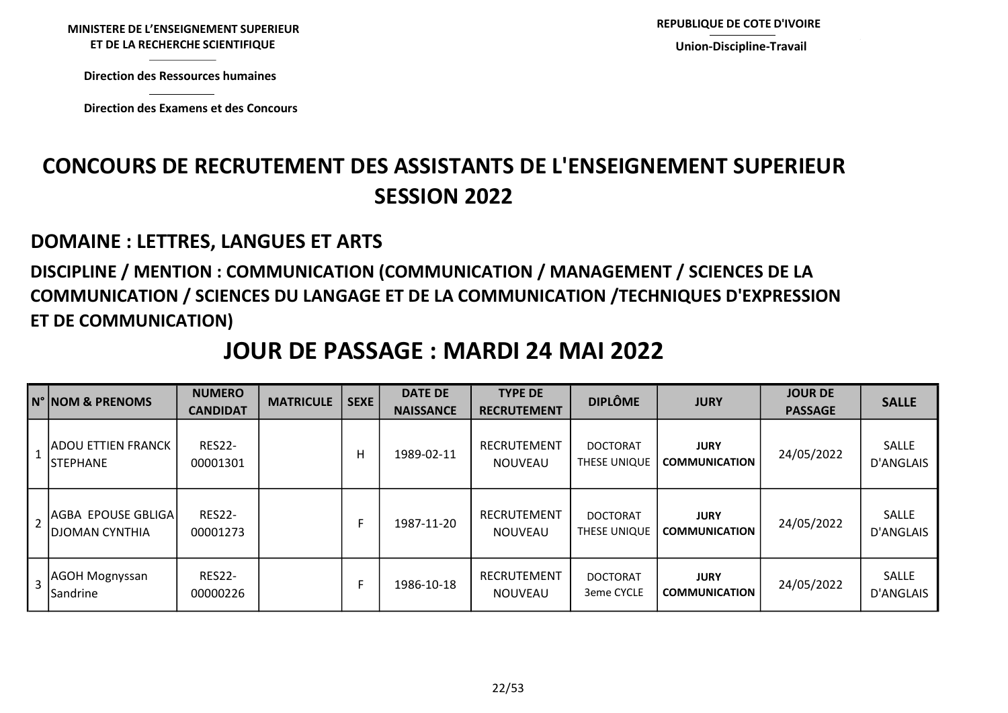Union-Discipline-Travail

Direction des Ressources humaines

# CONCOURS DE RECRUTEMENT DES ASSISTANTS DE L'ENSEIGNEMENT SUPERIEUR SESSION 2022 NISTERE DE L'ENSEIGNEMENT SUPERIEUR<br>
ET DE LA RECHERCHE SCIENTIFIQUE<br>
Direction des Ressources humaines<br>
Direction des Examens et des Concours<br>
ICOURS DE RECRUTEMENT DES ASSISTANTS DE L'ENSEIG<br>
SESSION 2022

#### DOMAINE : LETTRES, LANGUES ET ARTS

#### DISCIPLINE / MENTION : COMMUNICATION (COMMUNICATION / MANAGEMENT / SCIENCES DE LA COMMUNICATION / SCIENCES DU LANGAGE ET DE LA COMMUNICATION /TECHNIQUES D'EXPRESSION ET DE COMMUNICATION)

# TYPE DE JOUR DE PASSAGE : MARDI 24 MAI 2022

|                | IN° NOM & PRENOMS                              | <b>NUMERO</b><br><b>CANDIDAT</b> | <b>MATRICULE</b> | <b>SEXE</b> | <b>DATE DE</b><br><b>NAISSANCE</b> | <b>TYPE DE</b><br><b>RECRUTEMENT</b> | <b>DIPLÔME</b>                  | <b>JURY</b>                         | <b>JOUR DE</b><br><b>PASSAGE</b> | <b>SALLE</b>              |
|----------------|------------------------------------------------|----------------------------------|------------------|-------------|------------------------------------|--------------------------------------|---------------------------------|-------------------------------------|----------------------------------|---------------------------|
|                | <b>JADOU ETTIEN FRANCK</b><br><b>ISTEPHANE</b> | <b>RES22-</b><br>00001301        |                  | Н           | 1989-02-11                         | RECRUTEMENT<br><b>NOUVEAU</b>        | <b>DOCTORAT</b><br>THESE UNIQUE | <b>JURY</b><br><b>COMMUNICATION</b> | 24/05/2022                       | <b>SALLE</b><br>D'ANGLAIS |
|                | <b>AGBA EPOUSE GBLIGA</b><br>IDJOMAN CYNTHIA   | <b>RES22-</b><br>00001273        |                  | F           | 1987-11-20                         | RECRUTEMENT<br><b>NOUVEAU</b>        | <b>DOCTORAT</b><br>THESE UNIQUE | <b>JURY</b><br><b>COMMUNICATION</b> | 24/05/2022                       | SALLE<br>D'ANGLAIS        |
| $\overline{3}$ | AGOH Mognyssan<br>Sandrine                     | <b>RES22-</b><br>00000226        |                  | F           | 1986-10-18                         | RECRUTEMENT<br><b>NOUVEAU</b>        | <b>DOCTORAT</b><br>3eme CYCLE   | <b>JURY</b><br><b>COMMUNICATION</b> | 24/05/2022                       | SALLE<br>D'ANGLAIS        |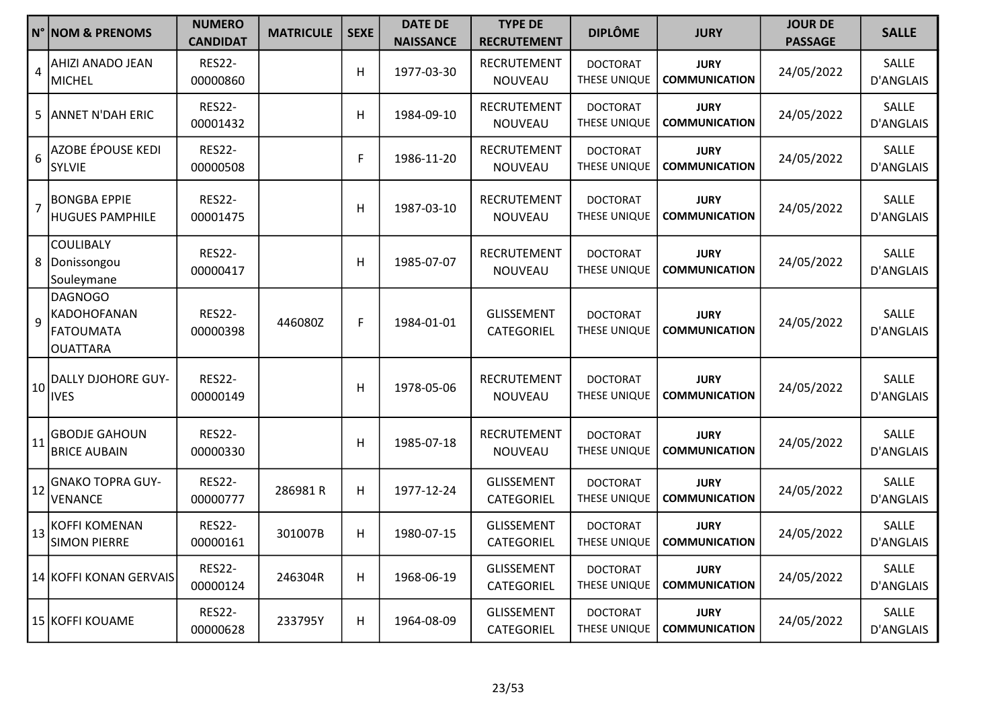|                | N° NOM & PRENOMS                                              | <b>NUMERO</b><br><b>CANDIDAT</b> | <b>MATRICULE</b> | <b>SEXE</b> | <b>DATE DE</b><br><b>NAISSANCE</b> | <b>TYPE DE</b><br><b>RECRUTEMENT</b> | <b>DIPLÔME</b>                  | <b>JURY</b>                         | <b>JOUR DE</b><br><b>PASSAGE</b> | <b>SALLE</b>              |
|----------------|---------------------------------------------------------------|----------------------------------|------------------|-------------|------------------------------------|--------------------------------------|---------------------------------|-------------------------------------|----------------------------------|---------------------------|
| 4              | AHIZI ANADO JEAN<br>MICHEL                                    | <b>RES22-</b><br>00000860        |                  | H           | 1977-03-30                         | <b>RECRUTEMENT</b><br>NOUVEAU        | <b>DOCTORAT</b><br>THESE UNIQUE | <b>JURY</b><br><b>COMMUNICATION</b> | 24/05/2022                       | SALLE<br>D'ANGLAIS        |
| 5              | <b>ANNET N'DAH ERIC</b>                                       | <b>RES22-</b><br>00001432        |                  | H           | 1984-09-10                         | <b>RECRUTEMENT</b><br><b>NOUVEAU</b> | <b>DOCTORAT</b><br>THESE UNIQUE | <b>JURY</b><br><b>COMMUNICATION</b> | 24/05/2022                       | SALLE<br>D'ANGLAIS        |
| 6              | AZOBE ÉPOUSE KEDI<br><b>SYLVIE</b>                            | <b>RES22-</b><br>00000508        |                  | F           | 1986-11-20                         | RECRUTEMENT<br><b>NOUVEAU</b>        | <b>DOCTORAT</b><br>THESE UNIQUE | <b>JURY</b><br><b>COMMUNICATION</b> | 24/05/2022                       | SALLE<br><b>D'ANGLAIS</b> |
| $\overline{7}$ | <b>BONGBA EPPIE</b><br>HUGUES PAMPHILE                        | <b>RES22-</b><br>00001475        |                  | H           | 1987-03-10                         | RECRUTEMENT<br>NOUVEAU               | <b>DOCTORAT</b><br>THESE UNIQUE | <b>JURY</b><br><b>COMMUNICATION</b> | 24/05/2022                       | SALLE<br>D'ANGLAIS        |
|                | <b>COULIBALY</b><br>8 Donissongou<br>Souleymane               | <b>RES22-</b><br>00000417        |                  | H           | 1985-07-07                         | <b>RECRUTEMENT</b><br><b>NOUVEAU</b> | <b>DOCTORAT</b><br>THESE UNIQUE | <b>JURY</b><br><b>COMMUNICATION</b> | 24/05/2022                       | SALLE<br>D'ANGLAIS        |
| 9              | DAGNOGO<br>KADOHOFANAN<br><b>FATOUMATA</b><br><b>OUATTARA</b> | <b>RES22-</b><br>00000398        | 446080Z          | F           | 1984-01-01                         | <b>GLISSEMENT</b><br>CATEGORIEL      | <b>DOCTORAT</b><br>THESE UNIQUE | <b>JURY</b><br><b>COMMUNICATION</b> | 24/05/2022                       | SALLE<br>D'ANGLAIS        |
|                | 10 DALLY DJOHORE GUY-<br><b>IVES</b>                          | <b>RES22-</b><br>00000149        |                  | H           | 1978-05-06                         | RECRUTEMENT<br>NOUVEAU               | <b>DOCTORAT</b><br>THESE UNIQUE | <b>JURY</b><br><b>COMMUNICATION</b> | 24/05/2022                       | SALLE<br><b>D'ANGLAIS</b> |
| 11             | <b>GBODJE GAHOUN</b><br><b>BRICE AUBAIN</b>                   | <b>RES22-</b><br>00000330        |                  | H           | 1985-07-18                         | <b>RECRUTEMENT</b><br>NOUVEAU        | <b>DOCTORAT</b><br>THESE UNIQUE | <b>JURY</b><br><b>COMMUNICATION</b> | 24/05/2022                       | SALLE<br>D'ANGLAIS        |
| <b>12</b>      | <b>GNAKO TOPRA GUY-</b><br>VENANCE                            | <b>RES22-</b><br>00000777        | 286981R          | H           | 1977-12-24                         | <b>GLISSEMENT</b><br>CATEGORIEL      | <b>DOCTORAT</b><br>THESE UNIQUE | <b>JURY</b><br><b>COMMUNICATION</b> | 24/05/2022                       | SALLE<br>D'ANGLAIS        |
| <b>13</b>      | KOFFI KOMENAN<br><b>SIMON PIERRE</b>                          | <b>RES22-</b><br>00000161        | 301007B          | H           | 1980-07-15                         | <b>GLISSEMENT</b><br>CATEGORIEL      | <b>DOCTORAT</b><br>THESE UNIQUE | <b>JURY</b><br><b>COMMUNICATION</b> | 24/05/2022                       | SALLE<br><b>D'ANGLAIS</b> |
|                | 14 KOFFI KONAN GERVAIS                                        | <b>RES22-</b><br>00000124        | 246304R          | н           | 1968-06-19                         | <b>GLISSEMENT</b><br>CATEGORIEL      | <b>DOCTORAT</b><br>THESE UNIQUE | <b>JURY</b><br><b>COMMUNICATION</b> | 24/05/2022                       | SALLE<br>D'ANGLAIS        |
|                | 15 KOFFI KOUAME                                               | <b>RES22-</b><br>00000628        | 233795Y          | H           | 1964-08-09                         | <b>GLISSEMENT</b><br>CATEGORIEL      | <b>DOCTORAT</b><br>THESE UNIQUE | <b>JURY</b><br><b>COMMUNICATION</b> | 24/05/2022                       | SALLE<br>D'ANGLAIS        |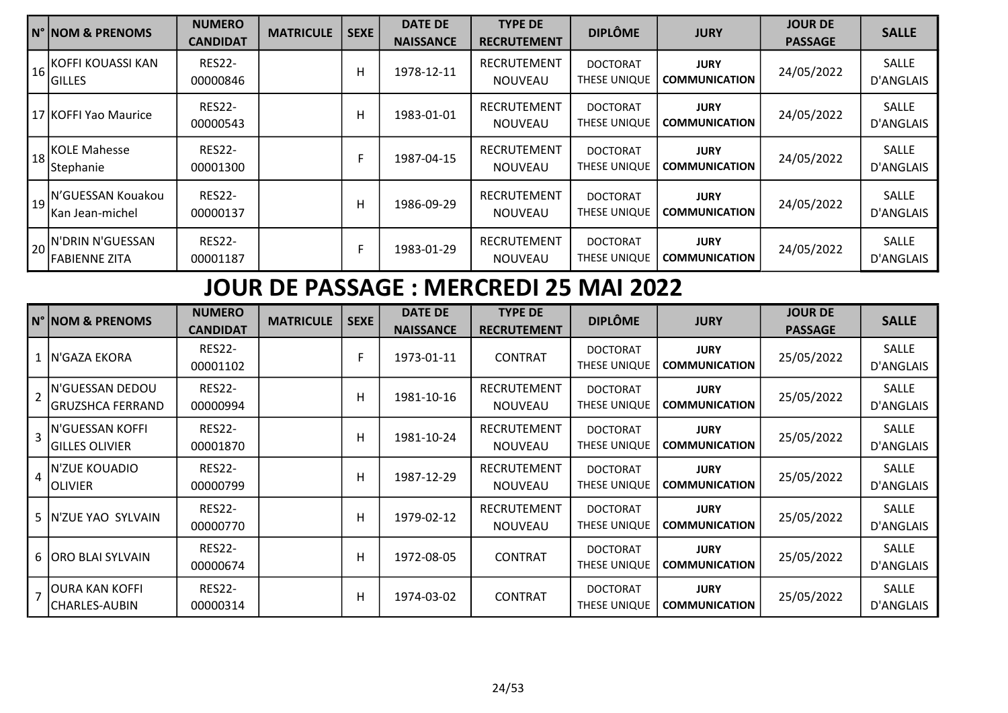|    | <b>N° NOM &amp; PRENOMS</b>                     | <b>NUMERO</b><br><b>CANDIDAT</b> | <b>MATRICULE</b> | <b>SEXE</b> | <b>DATE DE</b><br><b>NAISSANCE</b> | <b>TYPE DE</b><br><b>RECRUTEMENT</b> | <b>DIPLÔME</b>                  | <b>JURY</b>                         | <b>JOUR DE</b><br><b>PASSAGE</b> | <b>SALLE</b>                     |
|----|-------------------------------------------------|----------------------------------|------------------|-------------|------------------------------------|--------------------------------------|---------------------------------|-------------------------------------|----------------------------------|----------------------------------|
| 16 | KOFFI KOUASSI KAN<br><b>GILLES</b>              | <b>RES22-</b><br>00000846        |                  | н           | 1978-12-11                         | <b>RECRUTEMENT</b><br><b>NOUVEAU</b> | <b>DOCTORAT</b><br>THESE UNIQUE | <b>JURY</b><br><b>COMMUNICATION</b> | 24/05/2022                       | SALLE<br><b>D'ANGLAIS</b>        |
|    | 17 KOFFI Yao Maurice                            | <b>RES22-</b><br>00000543        |                  | н           | 1983-01-01                         | RECRUTEMENT<br><b>NOUVEAU</b>        | <b>DOCTORAT</b><br>THESE UNIQUE | <b>JURY</b><br><b>COMMUNICATION</b> | 24/05/2022                       | <b>SALLE</b><br><b>D'ANGLAIS</b> |
| 18 | KOLE Mahesse<br>Stephanie                       | <b>RES22-</b><br>00001300        |                  |             | 1987-04-15                         | <b>RECRUTEMENT</b><br><b>NOUVEAU</b> | <b>DOCTORAT</b><br>THESE UNIQUE | <b>JURY</b><br><b>COMMUNICATION</b> | 24/05/2022                       | SALLE<br>D'ANGLAIS               |
| 19 | N'GUESSAN Kouakou<br>Kan Jean-michel            | <b>RES22-</b><br>00000137        |                  | н           | 1986-09-29                         | <b>RECRUTEMENT</b><br>NOUVEAU        | <b>DOCTORAT</b><br>THESE UNIQUE | <b>JURY</b><br><b>COMMUNICATION</b> | 24/05/2022                       | <b>SALLE</b><br>D'ANGLAIS        |
| 20 | <b>N'DRIN N'GUESSAN</b><br><b>FABIENNE ZITA</b> | <b>RES22-</b><br>00001187        |                  |             | 1983-01-29                         | <b>RECRUTEMENT</b><br>NOUVEAU        | <b>DOCTORAT</b><br>THESE UNIQUE | <b>JURY</b><br><b>COMMUNICATION</b> | 24/05/2022                       | SALLE<br><b>D'ANGLAIS</b>        |

|                | N°   NOM & PRENOMS                                | <b>NUMERO</b><br><b>CANDIDAT</b> | <b>MATRICULE</b> | <b>SEXE</b> | <b>DATE DE</b><br><b>NAISSANCE</b> | <b>TYPE DE</b><br><b>RECRUTEMENT</b> | <b>DIPLÔME</b>                  | <b>JURY</b>                         | <b>JOUR DE</b><br><b>PASSAGE</b> | <b>SALLE</b>       |
|----------------|---------------------------------------------------|----------------------------------|------------------|-------------|------------------------------------|--------------------------------------|---------------------------------|-------------------------------------|----------------------------------|--------------------|
|                | 1   N'GAZA EKORA                                  | <b>RES22-</b><br>00001102        |                  | F           | 1973-01-11                         | <b>CONTRAT</b>                       | <b>DOCTORAT</b><br>THESE UNIQUE | <b>JURY</b><br><b>COMMUNICATION</b> | 25/05/2022                       | SALLE<br>D'ANGLAIS |
| $\overline{2}$ | <b>N'GUESSAN DEDOU</b><br><b>GRUZSHCA FERRAND</b> | <b>RES22-</b><br>00000994        |                  | H           | 1981-10-16                         | <b>RECRUTEMENT</b><br><b>NOUVEAU</b> | <b>DOCTORAT</b><br>THESE UNIQUE | <b>JURY</b><br><b>COMMUNICATION</b> | 25/05/2022                       | SALLE<br>D'ANGLAIS |
| $\overline{3}$ | IN'GUESSAN KOFFI<br><b>GILLES OLIVIER</b>         | <b>RES22-</b><br>00001870        |                  | H           | 1981-10-24                         | RECRUTEMENT<br><b>NOUVEAU</b>        | <b>DOCTORAT</b><br>THESE UNIQUE | <b>JURY</b><br><b>COMMUNICATION</b> | 25/05/2022                       | SALLE<br>D'ANGLAIS |
| 4              | <b>N'ZUE KOUADIO</b><br>IOLIVIER                  | <b>RES22-</b><br>00000799        |                  | H           | 1987-12-29                         | <b>RECRUTEMENT</b><br><b>NOUVEAU</b> | <b>DOCTORAT</b><br>THESE UNIQUE | <b>JURY</b><br><b>COMMUNICATION</b> | 25/05/2022                       | SALLE<br>D'ANGLAIS |
|                | 5 N'ZUE YAO SYLVAIN                               | <b>RES22-</b><br>00000770        |                  | H           | 1979-02-12                         | RECRUTEMENT<br><b>NOUVEAU</b>        | <b>DOCTORAT</b><br>THESE UNIQUE | <b>JURY</b><br><b>COMMUNICATION</b> | 25/05/2022                       | SALLE<br>D'ANGLAIS |
|                | 6   ORO BLAI SYLVAIN                              | <b>RES22-</b><br>00000674        |                  | H           | 1972-08-05                         | <b>CONTRAT</b>                       | <b>DOCTORAT</b><br>THESE UNIQUE | <b>JURY</b><br><b>COMMUNICATION</b> | 25/05/2022                       | SALLE<br>D'ANGLAIS |
| $\overline{7}$ | <b>OURA KAN KOFFI</b><br> CHARLES-AUBIN           | <b>RES22-</b><br>00000314        |                  | H           | 1974-03-02                         | <b>CONTRAT</b>                       | <b>DOCTORAT</b><br>THESE UNIQUE | <b>JURY</b><br><b>COMMUNICATION</b> | 25/05/2022                       | SALLE<br>D'ANGLAIS |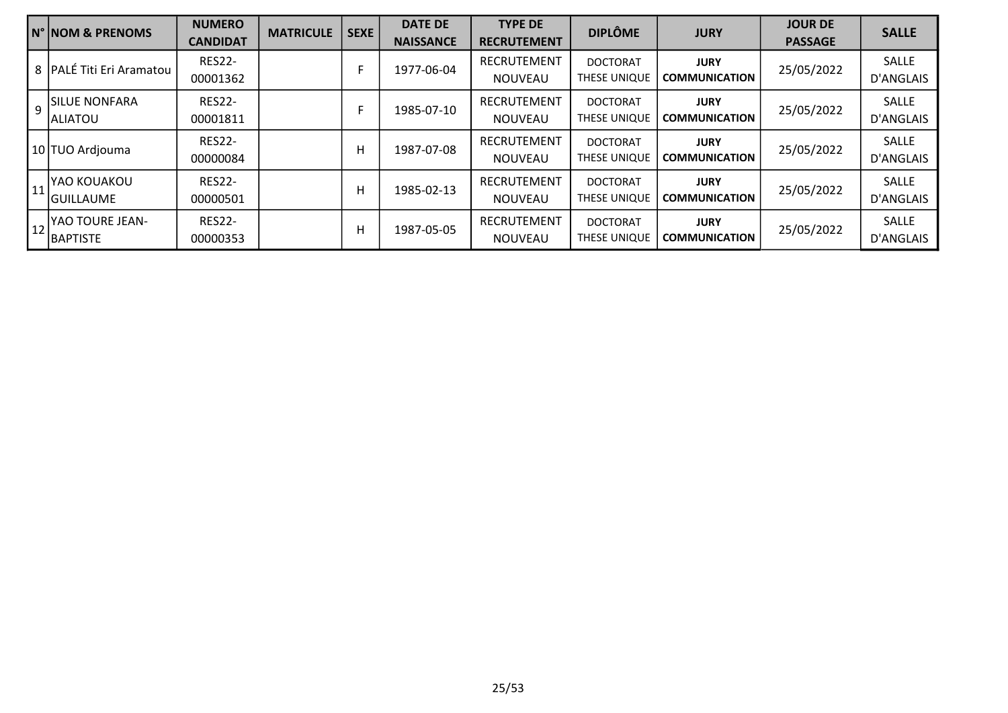|    | <b>N° NOM &amp; PRENOMS</b>               | <b>NUMERO</b><br><b>CANDIDAT</b> | <b>MATRICULE</b> | <b>SEXE</b> | <b>DATE DE</b><br><b>NAISSANCE</b> | <b>TYPE DE</b><br><b>RECRUTEMENT</b> | <b>DIPLÔME</b>                  | <b>JURY</b>                         | <b>JOUR DE</b><br><b>PASSAGE</b> | <b>SALLE</b>                     |
|----|-------------------------------------------|----------------------------------|------------------|-------------|------------------------------------|--------------------------------------|---------------------------------|-------------------------------------|----------------------------------|----------------------------------|
|    | 8 PALÉ Titi Eri Aramatou                  | <b>RES22-</b><br>00001362        |                  |             | 1977-06-04                         | RECRUTEMENT<br><b>NOUVEAU</b>        | <b>DOCTORAT</b><br>THESE UNIQUE | <b>JURY</b><br><b>COMMUNICATION</b> | 25/05/2022                       | SALLE<br><b>D'ANGLAIS</b>        |
| 9  | <b>SILUE NONFARA</b><br><b>ALIATOU</b>    | <b>RES22-</b><br>00001811        |                  |             | 1985-07-10                         | RECRUTEMENT<br><b>NOUVEAU</b>        | <b>DOCTORAT</b><br>THESE UNIQUE | <b>JURY</b><br><b>COMMUNICATION</b> | 25/05/2022                       | SALLE<br><b>D'ANGLAIS</b>        |
|    | 10 TUO Ardjouma                           | <b>RES22-</b><br>00000084        |                  | н           | 1987-07-08                         | RECRUTEMENT<br><b>NOUVEAU</b>        | <b>DOCTORAT</b><br>THESE UNIQUE | <b>JURY</b><br><b>COMMUNICATION</b> | 25/05/2022                       | <b>SALLE</b><br><b>D'ANGLAIS</b> |
| 11 | YAO KOUAKOU<br><b>GUILLAUME</b>           | <b>RES22-</b><br>00000501        |                  | H           | 1985-02-13                         | RECRUTEMENT<br><b>NOUVEAU</b>        | <b>DOCTORAT</b><br>THESE UNIQUE | <b>JURY</b><br><b>COMMUNICATION</b> | 25/05/2022                       | SALLE<br><b>D'ANGLAIS</b>        |
| 12 | <b>YAO TOURE JEAN-</b><br><b>BAPTISTE</b> | <b>RES22-</b><br>00000353        |                  | H           | 1987-05-05                         | RECRUTEMENT<br><b>NOUVEAU</b>        | <b>DOCTORAT</b><br>THESE UNIQUE | <b>JURY</b><br><b>COMMUNICATION</b> | 25/05/2022                       | SALLE<br><b>D'ANGLAIS</b>        |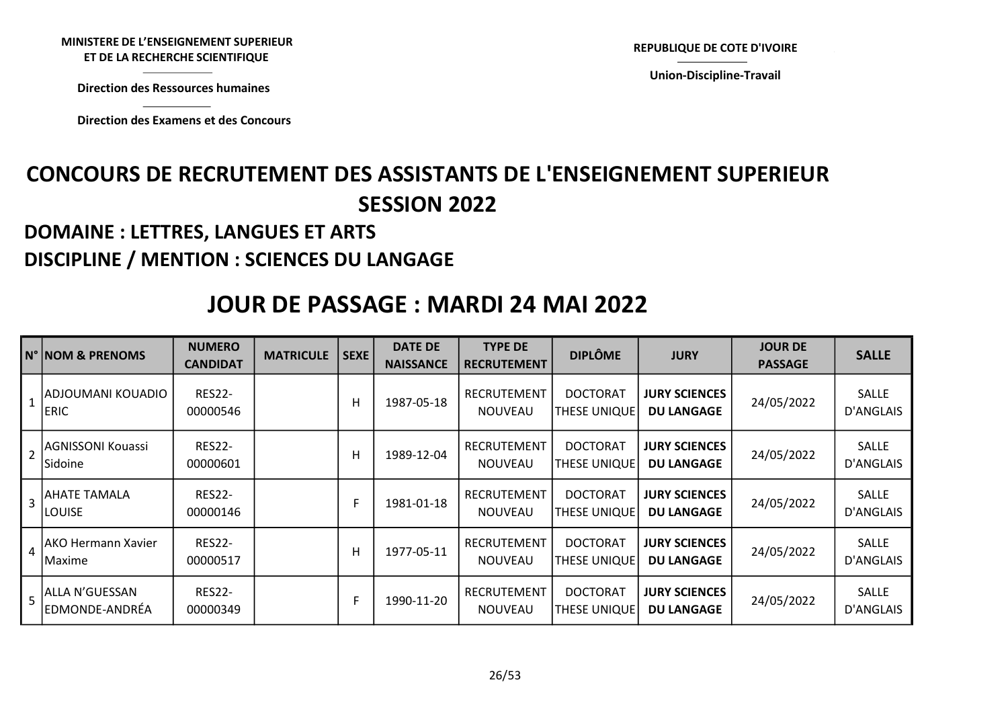Union-Discipline-Travail

Direction des Ressources humaines

# CONCOURS DE RECRUTEMENT DES ASSISTANTS DE L'ENSEIGNEMENT SUPERIEUR SESSION 2022 NISTERE DE L'ENSEIGNEMENT SUPERIEUR<br>
ET DE LA RECHERCHE SCIENTIFIQUE<br>
Direction des Ressources humaines<br>
Direction des Examens et des Concours<br>
COURS DE RECRUTEMENT DES ASSISTANTS DE L'ENSEIGN<br>
SESSION 2022

#### DOMAINE : LETTRES, LANGUES ET ARTS DISCIPLINE / MENTION : SCIENCES DU LANGAGE

### JOUR DE PASSAGE : MARDI 24 MAI 2022

|                | N° NOM & PRENOMS                        | <b>NUMERO</b><br><b>CANDIDAT</b> | <b>MATRICULE</b> | <b>SEXE</b> | <b>DATE DE</b><br><b>NAISSANCE</b> | <b>TYPE DE</b><br><b>RECRUTEMENT</b> | <b>DIPLÔME</b>                         | <b>JURY</b>                               | <b>JOUR DE</b><br><b>PASSAGE</b> | <b>SALLE</b>              |
|----------------|-----------------------------------------|----------------------------------|------------------|-------------|------------------------------------|--------------------------------------|----------------------------------------|-------------------------------------------|----------------------------------|---------------------------|
|                | IADJOUMANI KOUADIO<br><b>ERIC</b>       | <b>RES22-</b><br>00000546        |                  | н           | 1987-05-18                         | <b>RECRUTEMENT</b><br><b>NOUVEAU</b> | <b>DOCTORAT</b><br><b>THESE UNIQUE</b> | <b>JURY SCIENCES</b><br><b>DU LANGAGE</b> | 24/05/2022                       | <b>SALLE</b><br>D'ANGLAIS |
| $\vert$ 2      | AGNISSONI Kouassi<br>Sidoine            | <b>RES22-</b><br>00000601        |                  | н           | 1989-12-04                         | <b>RECRUTEMENT</b><br><b>NOUVEAU</b> | <b>DOCTORAT</b><br>THESE UNIQUE        | <b>JURY SCIENCES</b><br><b>DU LANGAGE</b> | 24/05/2022                       | <b>SALLE</b><br>D'ANGLAIS |
| $\overline{3}$ | <b>JAHATE TAMALA</b><br>ILOUISE         | <b>RES22-</b><br>00000146        |                  | F           | 1981-01-18                         | <b>RECRUTEMENT</b><br><b>NOUVEAU</b> | <b>DOCTORAT</b><br><b>THESE UNIQUE</b> | <b>JURY SCIENCES</b><br><b>DU LANGAGE</b> | 24/05/2022                       | SALLE<br>D'ANGLAIS        |
|                | <b>JAKO Hermann Xavier</b><br>Maxime    | <b>RES22-</b><br>00000517        |                  | H           | 1977-05-11                         | RECRUTEMENT<br><b>NOUVEAU</b>        | <b>DOCTORAT</b><br><b>THESE UNIQUE</b> | <b>JURY SCIENCES</b><br><b>DU LANGAGE</b> | 24/05/2022                       | <b>SALLE</b><br>D'ANGLAIS |
| 5              | <b>ALLA N'GUESSAN</b><br>EDMONDE-ANDRÉA | <b>RES22-</b><br>00000349        |                  | F           | 1990-11-20                         | <b>RECRUTEMENT</b><br><b>NOUVEAU</b> | <b>DOCTORAT</b><br><b>THESE UNIQUE</b> | <b>JURY SCIENCES</b><br><b>DU LANGAGE</b> | 24/05/2022                       | <b>SALLE</b><br>D'ANGLAIS |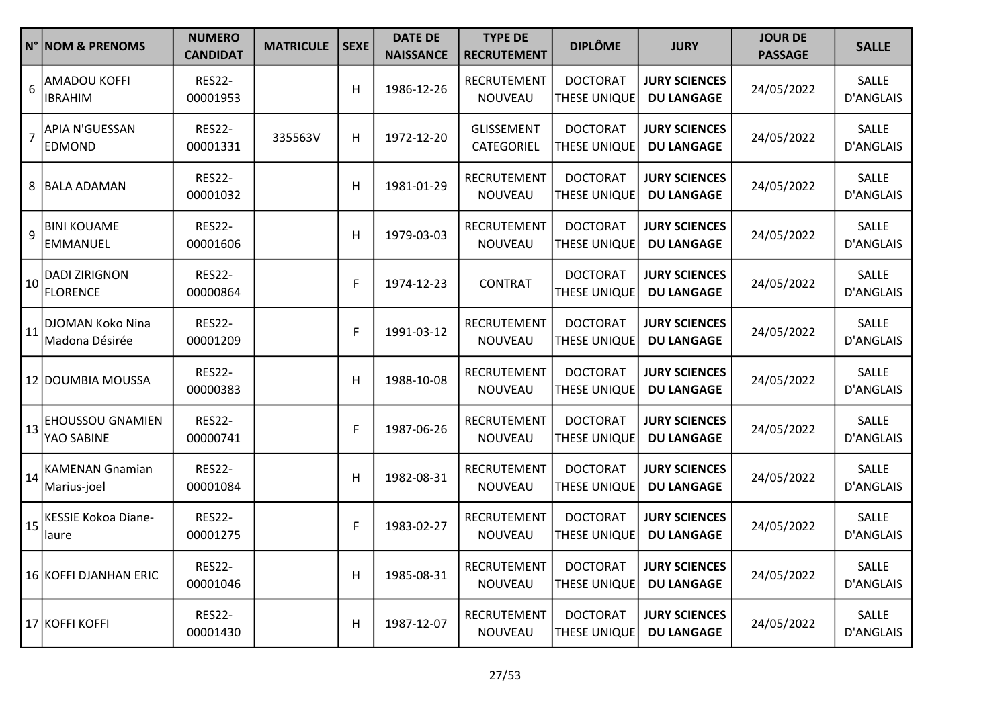|                | N°   NOM & PRENOMS                      | <b>NUMERO</b><br><b>CANDIDAT</b> | <b>MATRICULE</b> | <b>SEXE</b> | <b>DATE DE</b><br><b>NAISSANCE</b> | <b>TYPE DE</b><br><b>RECRUTEMENT</b> | <b>DIPLÔME</b>                  | <b>JURY</b>                               | <b>JOUR DE</b><br><b>PASSAGE</b> | <b>SALLE</b>                     |
|----------------|-----------------------------------------|----------------------------------|------------------|-------------|------------------------------------|--------------------------------------|---------------------------------|-------------------------------------------|----------------------------------|----------------------------------|
| 6              | <b>AMADOU KOFFI</b><br><b>IBRAHIM</b>   | <b>RES22-</b><br>00001953        |                  | H           | 1986-12-26                         | RECRUTEMENT<br>NOUVEAU               | <b>DOCTORAT</b><br>THESE UNIQUE | <b>JURY SCIENCES</b><br><b>DU LANGAGE</b> | 24/05/2022                       | SALLE<br>D'ANGLAIS               |
| $\overline{7}$ | <b>APIA N'GUESSAN</b><br><b>EDMOND</b>  | <b>RES22-</b><br>00001331        | 335563V          | H           | 1972-12-20                         | GLISSEMENT<br>CATEGORIEL             | <b>DOCTORAT</b><br>THESE UNIQUE | <b>JURY SCIENCES</b><br><b>DU LANGAGE</b> | 24/05/2022                       | SALLE<br>D'ANGLAIS               |
| 8              | <b>BALA ADAMAN</b>                      | <b>RES22-</b><br>00001032        |                  | H           | 1981-01-29                         | RECRUTEMENT<br><b>NOUVEAU</b>        | <b>DOCTORAT</b><br>THESE UNIQUE | <b>JURY SCIENCES</b><br><b>DU LANGAGE</b> | 24/05/2022                       | <b>SALLE</b><br><b>D'ANGLAIS</b> |
| $\overline{9}$ | <b>BINI KOUAME</b><br><b>EMMANUEL</b>   | <b>RES22-</b><br>00001606        |                  | H           | 1979-03-03                         | RECRUTEMENT<br><b>NOUVEAU</b>        | <b>DOCTORAT</b><br>THESE UNIQUE | <b>JURY SCIENCES</b><br><b>DU LANGAGE</b> | 24/05/2022                       | SALLE<br>D'ANGLAIS               |
| 10             | <b>DADI ZIRIGNON</b><br><b>FLORENCE</b> | <b>RES22-</b><br>00000864        |                  | F           | 1974-12-23                         | <b>CONTRAT</b>                       | <b>DOCTORAT</b><br>THESE UNIQUE | <b>JURY SCIENCES</b><br><b>DU LANGAGE</b> | 24/05/2022                       | <b>SALLE</b><br>D'ANGLAIS        |
| 11             | DJOMAN Koko Nina<br>Madona Désirée      | <b>RES22-</b><br>00001209        |                  | F           | 1991-03-12                         | <b>RECRUTEMENT</b><br><b>NOUVEAU</b> | <b>DOCTORAT</b><br>THESE UNIQUE | <b>JURY SCIENCES</b><br><b>DU LANGAGE</b> | 24/05/2022                       | <b>SALLE</b><br>D'ANGLAIS        |
|                | 12 DOUMBIA MOUSSA                       | <b>RES22-</b><br>00000383        |                  | H           | 1988-10-08                         | <b>RECRUTEMENT</b><br>NOUVEAU        | <b>DOCTORAT</b><br>THESE UNIQUE | <b>JURY SCIENCES</b><br><b>DU LANGAGE</b> | 24/05/2022                       | SALLE<br>D'ANGLAIS               |
| 13             | <b>EHOUSSOU GNAMIEN</b><br>YAO SABINE   | <b>RES22-</b><br>00000741        |                  | F           | 1987-06-26                         | RECRUTEMENT<br>NOUVEAU               | <b>DOCTORAT</b><br>THESE UNIQUE | <b>JURY SCIENCES</b><br><b>DU LANGAGE</b> | 24/05/2022                       | <b>SALLE</b><br>D'ANGLAIS        |
| 14             | <b>KAMENAN Gnamian</b><br>Marius-joel   | <b>RES22-</b><br>00001084        |                  | H           | 1982-08-31                         | <b>RECRUTEMENT</b><br>NOUVEAU        | <b>DOCTORAT</b><br>THESE UNIQUE | <b>JURY SCIENCES</b><br><b>DU LANGAGE</b> | 24/05/2022                       | <b>SALLE</b><br>D'ANGLAIS        |
| 15             | KESSIE Kokoa Diane-<br>laure            | <b>RES22-</b><br>00001275        |                  | F           | 1983-02-27                         | <b>RECRUTEMENT</b><br>NOUVEAU        | <b>DOCTORAT</b><br>THESE UNIQUE | <b>JURY SCIENCES</b><br><b>DU LANGAGE</b> | 24/05/2022                       | SALLE<br><b>D'ANGLAIS</b>        |
|                | 16 KOFFI DJANHAN ERIC                   | <b>RES22-</b><br>00001046        |                  | H           | 1985-08-31                         | <b>RECRUTEMENT</b><br>NOUVEAU        | <b>DOCTORAT</b><br>THESE UNIQUE | <b>JURY SCIENCES</b><br><b>DU LANGAGE</b> | 24/05/2022                       | SALLE<br>D'ANGLAIS               |
|                | 17 KOFFI KOFFI                          | <b>RES22-</b><br>00001430        |                  | H           | 1987-12-07                         | <b>RECRUTEMENT</b><br>NOUVEAU        | <b>DOCTORAT</b><br>THESE UNIQUE | <b>JURY SCIENCES</b><br><b>DU LANGAGE</b> | 24/05/2022                       | SALLE<br>D'ANGLAIS               |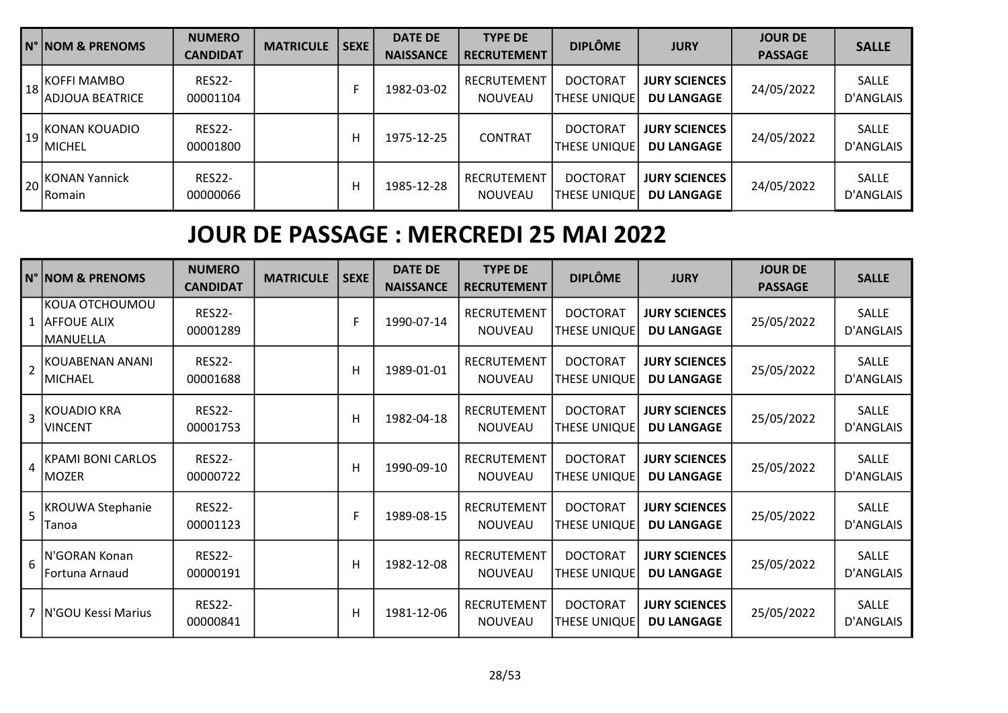|    | N° NOM & PRENOMS                                                          | <b>NUMERO</b><br><b>CANDIDAT</b> | <b>MATRICULE</b> | SEXE | <b>DATE DE</b><br><b>NAISSANCE</b> | <b>TYPE DE</b><br><b>RECRUTEMENT</b> | <b>DIPLÔME</b>                         | <b>JURY</b>                               | <b>JOUR DE</b><br><b>PASSAGE</b> | <b>SALLE</b>              |
|----|---------------------------------------------------------------------------|----------------------------------|------------------|------|------------------------------------|--------------------------------------|----------------------------------------|-------------------------------------------|----------------------------------|---------------------------|
| 18 | KOFFI MAMBO<br> ADJOUA BEATRICE                                           | <b>RES22-</b><br>00001104        |                  | -    | 1982-03-02                         | <b>RECRUTEMENT</b><br><b>NOUVEAU</b> | <b>DOCTORAT</b><br><b>THESE UNIQUE</b> | <b>JURY SCIENCES</b><br><b>DU LANGAGE</b> | 24/05/2022                       | SALLE<br>D'ANGLAIS        |
|    | $\left\lfloor \frac{19}{19} \right\rfloor$ KONAN KOUADIO<br><b>MICHEL</b> | <b>RES22-</b><br>00001800        |                  | н    | 1975-12-25                         | <b>CONTRAT</b>                       | <b>DOCTORAT</b><br><b>THESE UNIQUE</b> | <b>JURY SCIENCES</b><br><b>DU LANGAGE</b> | 24/05/2022                       | SALLE<br>D'ANGLAIS        |
|    | 1 <sub>20</sub> KONAN Yannick<br><b>IRomain</b>                           | <b>RES22-</b><br>00000066        |                  | н    | 1985-12-28                         | RECRUTEMENT<br><b>NOUVEAU</b>        | <b>DOCTORAT</b><br><b>THESE UNIQUE</b> | <b>JURY SCIENCES</b><br><b>DU LANGAGE</b> | 24/05/2022                       | <b>SALLE</b><br>D'ANGLAIS |

|                | N°   NOM & PRENOMS                                 | <b>NUMERO</b><br><b>CANDIDAT</b> | <b>MATRICULE</b> | <b>SEXE</b> | <b>DATE DE</b><br><b>NAISSANCE</b> | <b>TYPE DE</b><br><b>RECRUTEMENT</b> | <b>DIPLÔME</b>                         | <b>JURY</b>                               | <b>JOUR DE</b><br><b>PASSAGE</b> | <b>SALLE</b>              |
|----------------|----------------------------------------------------|----------------------------------|------------------|-------------|------------------------------------|--------------------------------------|----------------------------------------|-------------------------------------------|----------------------------------|---------------------------|
|                | KOUA OTCHOUMOU<br>1 AFFOUE ALIX<br><b>MANUELLA</b> | <b>RES22-</b><br>00001289        |                  | F           | 1990-07-14                         | RECRUTEMENT<br><b>NOUVEAU</b>        | <b>DOCTORAT</b><br>THESE UNIQUE        | <b>JURY SCIENCES</b><br><b>DU LANGAGE</b> | 25/05/2022                       | <b>SALLE</b><br>D'ANGLAIS |
| $\overline{2}$ | KOUABENAN ANANI<br>MICHAEL                         | <b>RES22-</b><br>00001688        |                  | H           | 1989-01-01                         | <b>RECRUTEMENT</b><br>NOUVEAU        | <b>DOCTORAT</b><br>THESE UNIQUE        | <b>JURY SCIENCES</b><br><b>DU LANGAGE</b> | 25/05/2022                       | <b>SALLE</b><br>D'ANGLAIS |
| $\overline{3}$ | KOUADIO KRA<br><b>VINCENT</b>                      | <b>RES22-</b><br>00001753        |                  | Н           | 1982-04-18                         | <b>RECRUTEMENT</b><br><b>NOUVEAU</b> | <b>DOCTORAT</b><br><b>THESE UNIQUE</b> | <b>JURY SCIENCES</b><br><b>DU LANGAGE</b> | 25/05/2022                       | <b>SALLE</b><br>D'ANGLAIS |
| 4              | <b>KPAMI BONI CARLOS</b><br>MOZER                  | <b>RES22-</b><br>00000722        |                  | Н           | 1990-09-10                         | <b>RECRUTEMENT</b><br><b>NOUVEAU</b> | <b>DOCTORAT</b><br>THESE UNIQUE        | <b>JURY SCIENCES</b><br><b>DU LANGAGE</b> | 25/05/2022                       | <b>SALLE</b><br>D'ANGLAIS |
| 5              | KROUWA Stephanie<br>Tanoa                          | <b>RES22-</b><br>00001123        |                  | F           | 1989-08-15                         | <b>RECRUTEMENT</b><br><b>NOUVEAU</b> | <b>DOCTORAT</b><br>THESE UNIQUE        | <b>JURY SCIENCES</b><br><b>DU LANGAGE</b> | 25/05/2022                       | SALLE<br>D'ANGLAIS        |
| 6              | <b>N'GORAN Konan</b><br>Fortuna Arnaud             | <b>RES22-</b><br>00000191        |                  | Н           | 1982-12-08                         | <b>RECRUTEMENT</b><br><b>NOUVEAU</b> | <b>DOCTORAT</b><br>THESE UNIQUE        | <b>JURY SCIENCES</b><br><b>DU LANGAGE</b> | 25/05/2022                       | <b>SALLE</b><br>D'ANGLAIS |
|                | 7   N'GOU Kessi Marius                             | <b>RES22-</b><br>00000841        |                  | Н           | 1981-12-06                         | <b>RECRUTEMENT</b><br><b>NOUVEAU</b> | <b>DOCTORAT</b><br><b>THESE UNIQUE</b> | <b>JURY SCIENCES</b><br><b>DU LANGAGE</b> | 25/05/2022                       | <b>SALLE</b><br>D'ANGLAIS |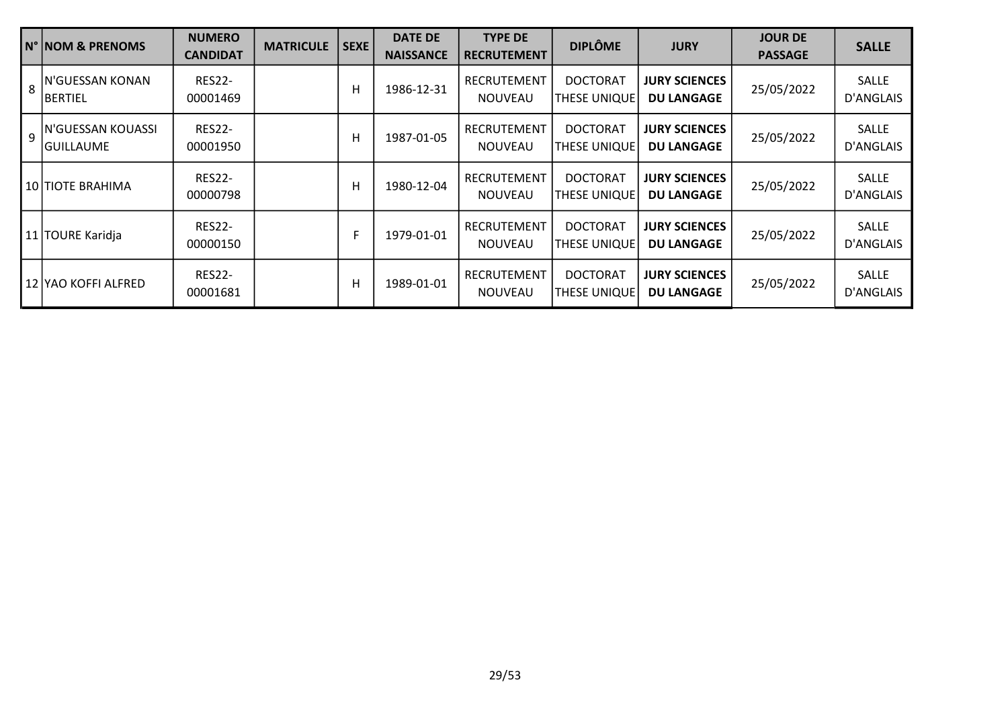|                | <b>N° NOM &amp; PRENOMS</b>         | <b>NUMERO</b><br><b>CANDIDAT</b> | <b>MATRICULE</b> | <b>SEXE</b> | <b>DATE DE</b><br><b>NAISSANCE</b> | <b>TYPE DE</b><br><b>RECRUTEMENT</b> | <b>DIPLÔME</b>                  | <b>JURY</b>                               | <b>JOUR DE</b><br><b>PASSAGE</b> | <b>SALLE</b>              |
|----------------|-------------------------------------|----------------------------------|------------------|-------------|------------------------------------|--------------------------------------|---------------------------------|-------------------------------------------|----------------------------------|---------------------------|
| 8              | <b>IN'GUESSAN KONAN</b><br>IBERTIEL | <b>RES22-</b><br>00001469        |                  | н           | 1986-12-31                         | <b>RECRUTEMENT</b><br><b>NOUVEAU</b> | <b>DOCTORAT</b><br>THESE UNIQUE | <b>JURY SCIENCES</b><br><b>DU LANGAGE</b> | 25/05/2022                       | <b>SALLE</b><br>D'ANGLAIS |
| $\overline{q}$ | N'GUESSAN KOUASSI<br>IGUILLAUME     | <b>RES22-</b><br>00001950        |                  | н           | 1987-01-05                         | <b>RECRUTEMENT</b><br><b>NOUVEAU</b> | <b>DOCTORAT</b><br>THESE UNIQUE | <b>JURY SCIENCES</b><br><b>DU LANGAGE</b> | 25/05/2022                       | SALLE<br>D'ANGLAIS        |
|                | 10 TIOTE BRAHIMA                    | <b>RES22-</b><br>00000798        |                  | H           | 1980-12-04                         | <b>RECRUTEMENT</b><br><b>NOUVEAU</b> | <b>DOCTORAT</b><br>THESE UNIQUE | <b>JURY SCIENCES</b><br><b>DU LANGAGE</b> | 25/05/2022                       | SALLE<br>D'ANGLAIS        |
|                | 11 TOURE Karidja                    | <b>RES22-</b><br>00000150        |                  | F           | 1979-01-01                         | <b>RECRUTEMENT</b><br><b>NOUVEAU</b> | <b>DOCTORAT</b><br>THESE UNIQUE | <b>JURY SCIENCES</b><br><b>DU LANGAGE</b> | 25/05/2022                       | <b>SALLE</b><br>D'ANGLAIS |
|                | 12 YAO KOFFI ALFRED                 | <b>RES22-</b><br>00001681        |                  | H.          | 1989-01-01                         | <b>RECRUTEMENT</b><br><b>NOUVEAU</b> | <b>DOCTORAT</b><br>THESE UNIQUE | <b>JURY SCIENCES</b><br><b>DU LANGAGE</b> | 25/05/2022                       | SALLE<br>D'ANGLAIS        |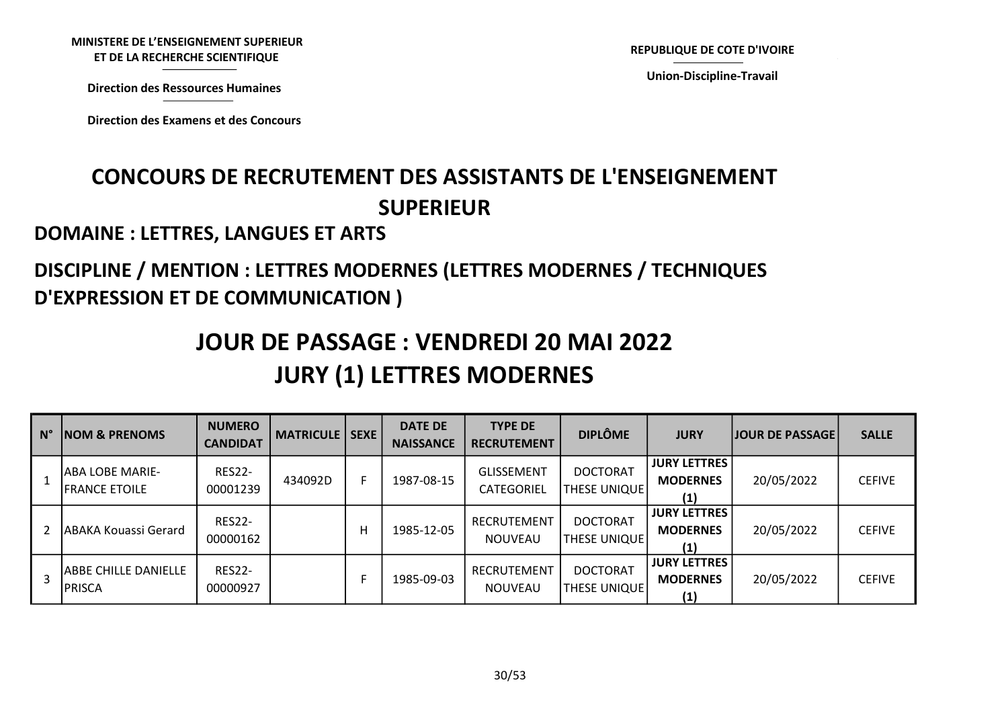SCIENTIFIC DE L'ANGUERRO DE L'ANGUERRO DE L'ANGUERRO DE L'ANGUERRO DE L'ANGUERRO DE L'ANGUERRO DE L'ANGUERRO D<br>SI ANGUERRO DE L'ANGUERRO DE L'ANGUERRO DE L'ANGUERRO DE L'ANGUERRO DE L'ANGUERRO DE L'ANGUERRO DE L'ANGUERRO

humaines

Direction des Ressources Direction des Ressources Humaines

Direction des Examens et des

Union-Discipline-Travail

# CONCOURS DE RECRUTEMENT DES ASSISTANTS DE L'ENSEIGNEMENT SUPERIEUR NISTERE DE L'ENSEIGNEMENT SUPERIEUR<br>
ET DE LA RECHERCHE SCIENTIFIQUE<br>
Direction des Ressources Humaines<br>
Direction des Examens et des Concours<br>
CONCOURS DE RECRUTEMENT DES ASSISTANTS DE L'EN<br>
SLIPERIELIR

#### DOMAINE : LETTRES, LANGUES ET ARTS

#### DISCIPLINE / MENTION : LETTRES MODERNES (LETTRES MODERNES / TECHNIQUES D'EXPRESSION ET DE COMMUNICATION )

# JOUR DE PASSAGE : VENDREDI 20 MAI 2022 JURY (1) LETTRES MODERNES

| N° | <b>NOM &amp; PRENOMS</b>                       | <b>NUMERO</b><br><b>CANDIDAT</b> | <b>MATRICULE   SEXE  </b> |   | <b>DATE DE</b><br><b>NAISSANCE</b> | <b>TYPE DE</b><br><b>RECRUTEMENT</b>   | <b>DIPLÔME</b>                          | <b>JURY</b>                                   | <b>JOUR DE PASSAGE</b> | <b>SALLE</b>  |
|----|------------------------------------------------|----------------------------------|---------------------------|---|------------------------------------|----------------------------------------|-----------------------------------------|-----------------------------------------------|------------------------|---------------|
|    | <b>ABA LOBE MARIE-</b><br><b>FRANCE ETOILE</b> | <b>RES22-</b><br>00001239        | 434092D                   | F | 1987-08-15                         | <b>GLISSEMENT</b><br><b>CATEGORIEL</b> | <b>DOCTORAT</b><br><b>THESE UNIQUE!</b> | <b>JURY LETTRES</b><br><b>MODERNES</b><br>(1) | 20/05/2022             | <b>CEFIVE</b> |
|    | lABAKA Kouassi Gerard                          | <b>RES22-</b><br>00000162        |                           | н | 1985-12-05                         | RECRUTEMENT<br><b>NOUVEAU</b>          | <b>DOCTORAT</b><br><b>THESE UNIQUE</b>  | <b>JURY LETTRES</b><br><b>MODERNES</b><br>(1) | 20/05/2022             | <b>CEFIVE</b> |
|    | ABBE CHILLE DANIELLE<br><b>PRISCA</b>          | <b>RES22-</b><br>00000927        |                           |   | 1985-09-03                         | RECRUTEMENT<br><b>NOUVEAU</b>          | <b>DOCTORAT</b><br>THESE UNIQUE         | <b>JURY LETTRES</b><br><b>MODERNES</b><br>(1) | 20/05/2022             | <b>CEFIVE</b> |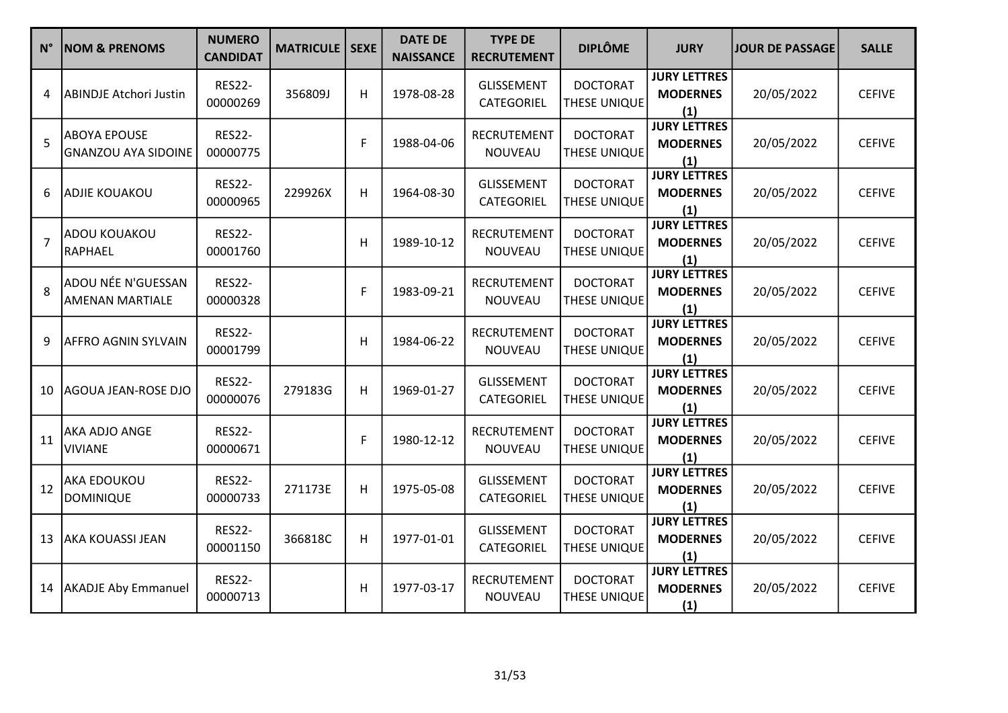| $N^{\circ}$    | <b>NOM &amp; PRENOMS</b>                          | <b>NUMERO</b><br><b>CANDIDAT</b> | <b>MATRICULE</b> | <b>SEXE</b> | <b>DATE DE</b><br><b>NAISSANCE</b> | <b>TYPE DE</b><br><b>RECRUTEMENT</b> | <b>DIPLÔME</b>                         | <b>JURY</b>                                   | <b>JOUR DE PASSAGE</b> | <b>SALLE</b>  |
|----------------|---------------------------------------------------|----------------------------------|------------------|-------------|------------------------------------|--------------------------------------|----------------------------------------|-----------------------------------------------|------------------------|---------------|
| 4              | <b>ABINDJE Atchori Justin</b>                     | <b>RES22-</b><br>00000269        | 356809J          | H           | 1978-08-28                         | <b>GLISSEMENT</b><br>CATEGORIEL      | <b>DOCTORAT</b><br>THESE UNIQUE        | <b>JURY LETTRES</b><br><b>MODERNES</b><br>(1) | 20/05/2022             | <b>CEFIVE</b> |
| 5              | <b>ABOYA EPOUSE</b><br><b>GNANZOU AYA SIDOINE</b> | <b>RES22-</b><br>00000775        |                  | F           | 1988-04-06                         | <b>RECRUTEMENT</b><br>NOUVEAU        | <b>DOCTORAT</b><br>THESE UNIQUE        | <b>JURY LETTRES</b><br><b>MODERNES</b><br>(1) | 20/05/2022             | <b>CEFIVE</b> |
| 6              | ADJIE KOUAKOU                                     | <b>RES22-</b><br>00000965        | 229926X          | H           | 1964-08-30                         | <b>GLISSEMENT</b><br>CATEGORIEL      | <b>DOCTORAT</b><br><b>THESE UNIQUE</b> | <b>JURY LETTRES</b><br><b>MODERNES</b><br>(1) | 20/05/2022             | <b>CEFIVE</b> |
| $\overline{7}$ | ADOU KOUAKOU<br>RAPHAEL                           | <b>RES22-</b><br>00001760        |                  | H           | 1989-10-12                         | RECRUTEMENT<br>NOUVEAU               | <b>DOCTORAT</b><br><b>THESE UNIQUE</b> | <b>JURY LETTRES</b><br><b>MODERNES</b><br>(1) | 20/05/2022             | <b>CEFIVE</b> |
| 8              | ADOU NÉE N'GUESSAN<br><b>AMENAN MARTIALE</b>      | <b>RES22-</b><br>00000328        |                  | F           | 1983-09-21                         | RECRUTEMENT<br>NOUVEAU               | <b>DOCTORAT</b><br><b>THESE UNIQUE</b> | <b>JURY LETTRES</b><br><b>MODERNES</b><br>(1) | 20/05/2022             | <b>CEFIVE</b> |
| 9              | AFFRO AGNIN SYLVAIN                               | <b>RES22-</b><br>00001799        |                  | H           | 1984-06-22                         | RECRUTEMENT<br>NOUVEAU               | <b>DOCTORAT</b><br>THESE UNIQUE        | <b>JURY LETTRES</b><br><b>MODERNES</b><br>(1) | 20/05/2022             | <b>CEFIVE</b> |
| 10             | AGOUA JEAN-ROSE DJO                               | <b>RES22-</b><br>00000076        | 279183G          | H           | 1969-01-27                         | <b>GLISSEMENT</b><br>CATEGORIEL      | <b>DOCTORAT</b><br>THESE UNIQUE        | <b>JURY LETTRES</b><br><b>MODERNES</b><br>(1) | 20/05/2022             | <b>CEFIVE</b> |
| 11             | AKA ADJO ANGE<br><b>VIVIANE</b>                   | <b>RES22-</b><br>00000671        |                  | F           | 1980-12-12                         | RECRUTEMENT<br>NOUVEAU               | <b>DOCTORAT</b><br>THESE UNIQUE        | <b>JURY LETTRES</b><br><b>MODERNES</b><br>(1) | 20/05/2022             | <b>CEFIVE</b> |
| 12             | AKA EDOUKOU<br><b>DOMINIQUE</b>                   | <b>RES22-</b><br>00000733        | 271173E          | H           | 1975-05-08                         | <b>GLISSEMENT</b><br>CATEGORIEL      | <b>DOCTORAT</b><br>THESE UNIQUE        | <b>JURY LETTRES</b><br><b>MODERNES</b><br>(1) | 20/05/2022             | <b>CEFIVE</b> |
| 13             | <b>AKA KOUASSI JEAN</b>                           | <b>RES22-</b><br>00001150        | 366818C          | H           | 1977-01-01                         | <b>GLISSEMENT</b><br>CATEGORIEL      | <b>DOCTORAT</b><br>THESE UNIQUE        | <b>JURY LETTRES</b><br><b>MODERNES</b><br>(1) | 20/05/2022             | <b>CEFIVE</b> |
|                | 14   AKADJE Aby Emmanuel                          | <b>RES22-</b><br>00000713        |                  | н           | 1977-03-17                         | RECRUTEMENT<br>NOUVEAU               | <b>DOCTORAT</b><br><b>THESE UNIQUE</b> | <b>JURY LETTRES</b><br><b>MODERNES</b><br>(1) | 20/05/2022             | <b>CEFIVE</b> |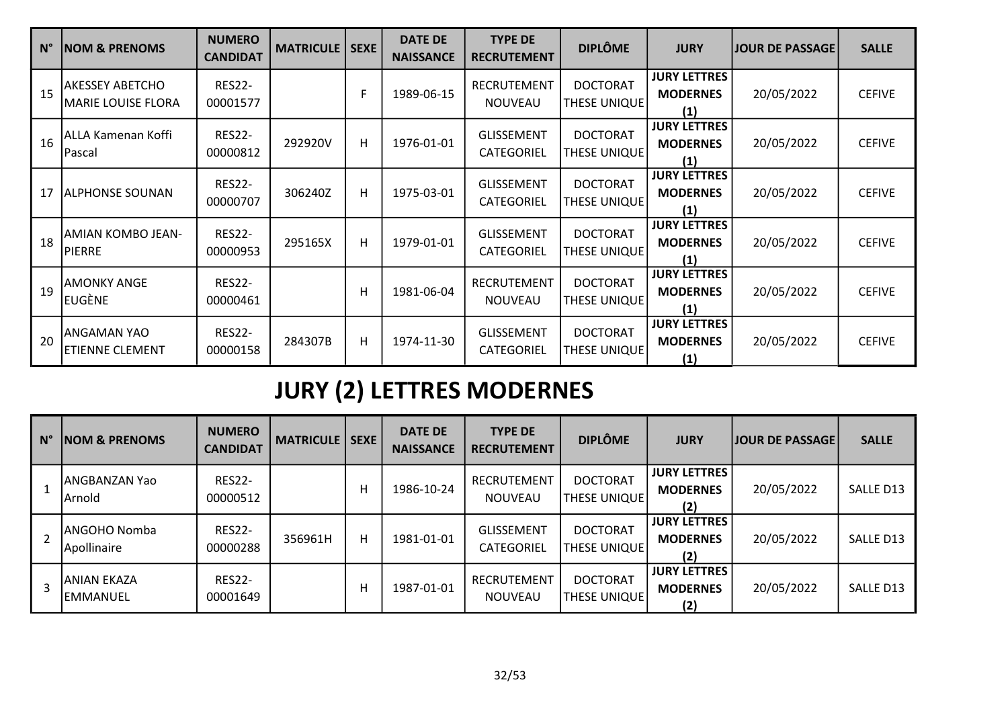| $N^{\circ}$ | <b>NOM &amp; PRENOMS</b>                     | <b>NUMERO</b><br><b>CANDIDAT</b> | <b>MATRICULE</b> | <b>SEXE</b> | <b>DATE DE</b><br><b>NAISSANCE</b> | <b>TYPE DE</b><br><b>RECRUTEMENT</b>   | <b>DIPLÔME</b>                  | <b>JURY</b>                                   | <b>JOUR DE PASSAGE</b> | <b>SALLE</b>  |
|-------------|----------------------------------------------|----------------------------------|------------------|-------------|------------------------------------|----------------------------------------|---------------------------------|-----------------------------------------------|------------------------|---------------|
| 15          | AKESSEY ABETCHO<br><b>MARIE LOUISE FLORA</b> | <b>RES22-</b><br>00001577        |                  | F           | 1989-06-15                         | <b>RECRUTEMENT</b><br><b>NOUVEAU</b>   | <b>DOCTORAT</b><br>THESE UNIQUE | <b>JURY LETTRES</b><br><b>MODERNES</b><br>(1) | 20/05/2022             | <b>CEFIVE</b> |
| 16          | ALLA Kamenan Koffi<br> Pascal                | <b>RES22-</b><br>00000812        | 292920V          | H           | 1976-01-01                         | <b>GLISSEMENT</b><br>CATEGORIEL        | <b>DOCTORAT</b><br>THESE UNIQUE | <b>JURY LETTRES</b><br><b>MODERNES</b><br>(1) | 20/05/2022             | <b>CEFIVE</b> |
| 17          | IALPHONSE SOUNAN                             | <b>RES22-</b><br>00000707        | 306240Z          | H           | 1975-03-01                         | <b>GLISSEMENT</b><br>CATEGORIEL        | <b>DOCTORAT</b><br>THESE UNIQUE | <b>JURY LETTRES</b><br><b>MODERNES</b><br>(1) | 20/05/2022             | <b>CEFIVE</b> |
| 18          | AMIAN KOMBO JEAN-<br>PIERRE                  | <b>RES22-</b><br>00000953        | 295165X          | H           | 1979-01-01                         | <b>GLISSEMENT</b><br><b>CATEGORIEL</b> | <b>DOCTORAT</b><br>THESE UNIQUE | <b>JURY LETTRES</b><br><b>MODERNES</b><br>(1) | 20/05/2022             | <b>CEFIVE</b> |
| 19          | <b>AMONKY ANGE</b><br>leugène                | <b>RES22-</b><br>00000461        |                  | H           | 1981-06-04                         | RECRUTEMENT<br><b>NOUVEAU</b>          | <b>DOCTORAT</b><br>THESE UNIQUE | <b>JURY LETTRES</b><br><b>MODERNES</b><br>(1) | 20/05/2022             | <b>CEFIVE</b> |
| 20          | <b>ANGAMAN YAO</b><br><b>ETIENNE CLEMENT</b> | <b>RES22-</b><br>00000158        | 284307B          | H           | 1974-11-30                         | <b>GLISSEMENT</b><br>CATEGORIEL        | <b>DOCTORAT</b><br>THESE UNIQUE | <b>JURY LETTRES</b><br><b>MODERNES</b><br>(1) | 20/05/2022             | <b>CEFIVE</b> |

# JURY (2) LETTRES MODERNES

| $N^{\circ}$ | <b>INOM &amp; PRENOMS</b>      | <b>NUMERO</b><br><b>CANDIDAT</b> | <b>MATRICULE   SEXE</b> |   | <b>DATE DE</b><br><b>NAISSANCE</b> | <b>TYPE DE</b><br><b>RECRUTEMENT</b> | <b>DIPLÔME</b>                         | <b>JURY</b>                                   | <b>JOUR DE PASSAGE</b> | <b>SALLE</b>     |
|-------------|--------------------------------|----------------------------------|-------------------------|---|------------------------------------|--------------------------------------|----------------------------------------|-----------------------------------------------|------------------------|------------------|
|             | lANGBANZAN Yao<br>lArnold      | <b>RES22-</b><br>00000512        |                         | н | 1986-10-24                         | <b>RECRUTEMENT</b><br><b>NOUVEAU</b> | <b>DOCTORAT</b><br><b>THESE UNIQUE</b> | <b>JURY LETTRES</b><br><b>MODERNES</b><br>(2) | 20/05/2022             | SALLE D13        |
|             | IANGOHO Nomba<br>Apollinaire   | <b>RES22-</b><br>00000288        | 356961H                 | H | 1981-01-01                         | <b>GLISSEMENT</b><br>CATEGORIEL      | <b>DOCTORAT</b><br><b>THESE UNIQUE</b> | <b>JURY LETTRES</b><br><b>MODERNES</b><br>(2) | 20/05/2022             | SALLE D13        |
|             | ANIAN EKAZA<br><b>EMMANUEL</b> | <b>RES22-</b><br>00001649        |                         | н | 1987-01-01                         | <b>RECRUTEMENT</b><br><b>NOUVEAU</b> | <b>DOCTORAT</b><br>THESE UNIQUE        | <b>JURY LETTRES</b><br><b>MODERNES</b><br>(2) | 20/05/2022             | <b>SALLE D13</b> |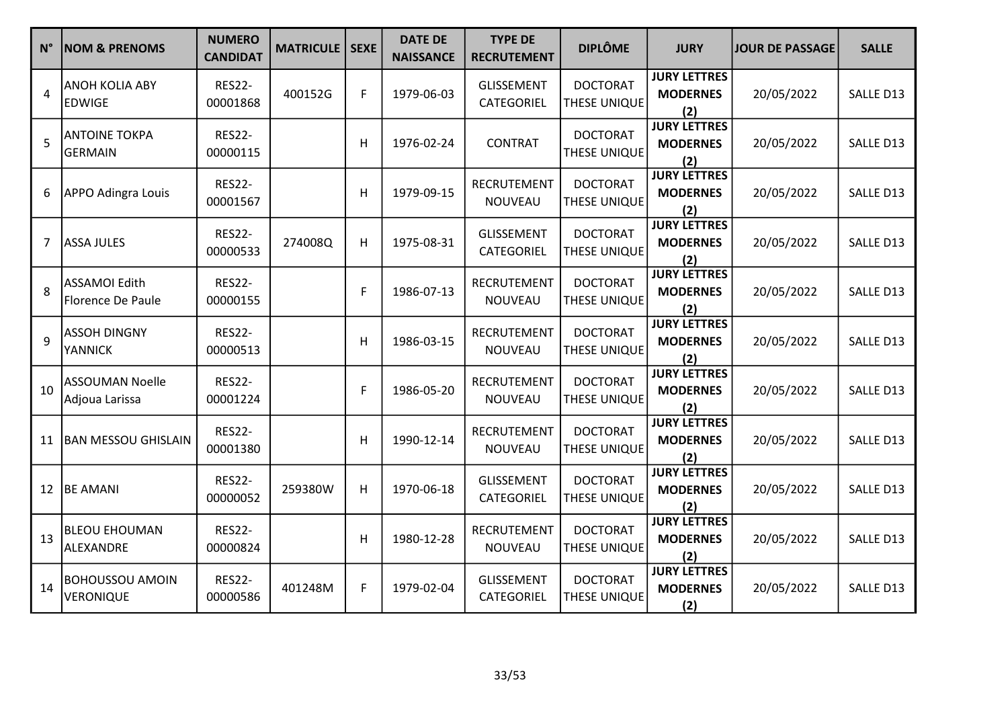| $N^{\circ}$ | <b>NOM &amp; PRENOMS</b>                  | <b>NUMERO</b><br><b>CANDIDAT</b> | <b>MATRICULE</b> | <b>SEXE</b> | <b>DATE DE</b><br><b>NAISSANCE</b> | <b>TYPE DE</b><br><b>RECRUTEMENT</b> | <b>DIPLÔME</b>                         | <b>JURY</b>                                   | <b>JOUR DE PASSAGE</b> | <b>SALLE</b> |
|-------------|-------------------------------------------|----------------------------------|------------------|-------------|------------------------------------|--------------------------------------|----------------------------------------|-----------------------------------------------|------------------------|--------------|
| 4           | ANOH KOLIA ABY<br><b>EDWIGE</b>           | <b>RES22-</b><br>00001868        | 400152G          | F.          | 1979-06-03                         | <b>GLISSEMENT</b><br>CATEGORIEL      | <b>DOCTORAT</b><br><b>THESE UNIQUE</b> | <b>JURY LETTRES</b><br><b>MODERNES</b><br>(2) | 20/05/2022             | SALLE D13    |
| 5           | <b>ANTOINE TOKPA</b><br><b>GERMAIN</b>    | <b>RES22-</b><br>00000115        |                  | H           | 1976-02-24                         | <b>CONTRAT</b>                       | <b>DOCTORAT</b><br>THESE UNIQUE        | <b>JURY LETTRES</b><br><b>MODERNES</b><br>(2) | 20/05/2022             | SALLE D13    |
| 6           | APPO Adingra Louis                        | <b>RES22-</b><br>00001567        |                  | Н           | 1979-09-15                         | <b>RECRUTEMENT</b><br>NOUVEAU        | <b>DOCTORAT</b><br>THESE UNIQUE        | <b>JURY LETTRES</b><br><b>MODERNES</b><br>(2) | 20/05/2022             | SALLE D13    |
| 7           | <b>ASSA JULES</b>                         | <b>RES22-</b><br>00000533        | 274008Q          | H           | 1975-08-31                         | <b>GLISSEMENT</b><br>CATEGORIEL      | <b>DOCTORAT</b><br>THESE UNIQUE        | <b>JURY LETTRES</b><br><b>MODERNES</b><br>(2) | 20/05/2022             | SALLE D13    |
| 8           | <b>ASSAMOI Edith</b><br>Florence De Paule | <b>RES22-</b><br>00000155        |                  | F           | 1986-07-13                         | RECRUTEMENT<br>NOUVEAU               | <b>DOCTORAT</b><br>THESE UNIQUE        | <b>JURY LETTRES</b><br><b>MODERNES</b><br>(2) | 20/05/2022             | SALLE D13    |
| 9           | <b>ASSOH DINGNY</b><br><b>YANNICK</b>     | <b>RES22-</b><br>00000513        |                  | Н           | 1986-03-15                         | <b>RECRUTEMENT</b><br>NOUVEAU        | <b>DOCTORAT</b><br>THESE UNIQUE        | <b>JURY LETTRES</b><br><b>MODERNES</b><br>(2) | 20/05/2022             | SALLE D13    |
| 10          | <b>ASSOUMAN Noelle</b><br>Adjoua Larissa  | <b>RES22-</b><br>00001224        |                  | F           | 1986-05-20                         | <b>RECRUTEMENT</b><br>NOUVEAU        | <b>DOCTORAT</b><br>THESE UNIQUE        | <b>JURY LETTRES</b><br><b>MODERNES</b><br>(2) | 20/05/2022             | SALLE D13    |
| 11          | <b>BAN MESSOU GHISLAIN</b>                | <b>RES22-</b><br>00001380        |                  | H           | 1990-12-14                         | <b>RECRUTEMENT</b><br>NOUVEAU        | <b>DOCTORAT</b><br>THESE UNIQUE        | <b>JURY LETTRES</b><br><b>MODERNES</b><br>(2) | 20/05/2022             | SALLE D13    |
| 12          | <b>BE AMANI</b>                           | <b>RES22-</b><br>00000052        | 259380W          | H           | 1970-06-18                         | <b>GLISSEMENT</b><br>CATEGORIEL      | <b>DOCTORAT</b><br>THESE UNIQUE        | <b>JURY LETTRES</b><br><b>MODERNES</b><br>(2) | 20/05/2022             | SALLE D13    |
| 13          | <b>BLEOU EHOUMAN</b><br>ALEXANDRE         | <b>RES22-</b><br>00000824        |                  | Н           | 1980-12-28                         | <b>RECRUTEMENT</b><br>NOUVEAU        | <b>DOCTORAT</b><br>THESE UNIQUE        | <b>JURY LETTRES</b><br><b>MODERNES</b><br>(2) | 20/05/2022             | SALLE D13    |
| 14          | <b>BOHOUSSOU AMOIN</b><br>VERONIQUE       | <b>RES22-</b><br>00000586        | 401248M          | F           | 1979-02-04                         | <b>GLISSEMENT</b><br>CATEGORIEL      | <b>DOCTORAT</b><br><b>THESE UNIQUE</b> | <b>JURY LETTRES</b><br><b>MODERNES</b><br>(2) | 20/05/2022             | SALLE D13    |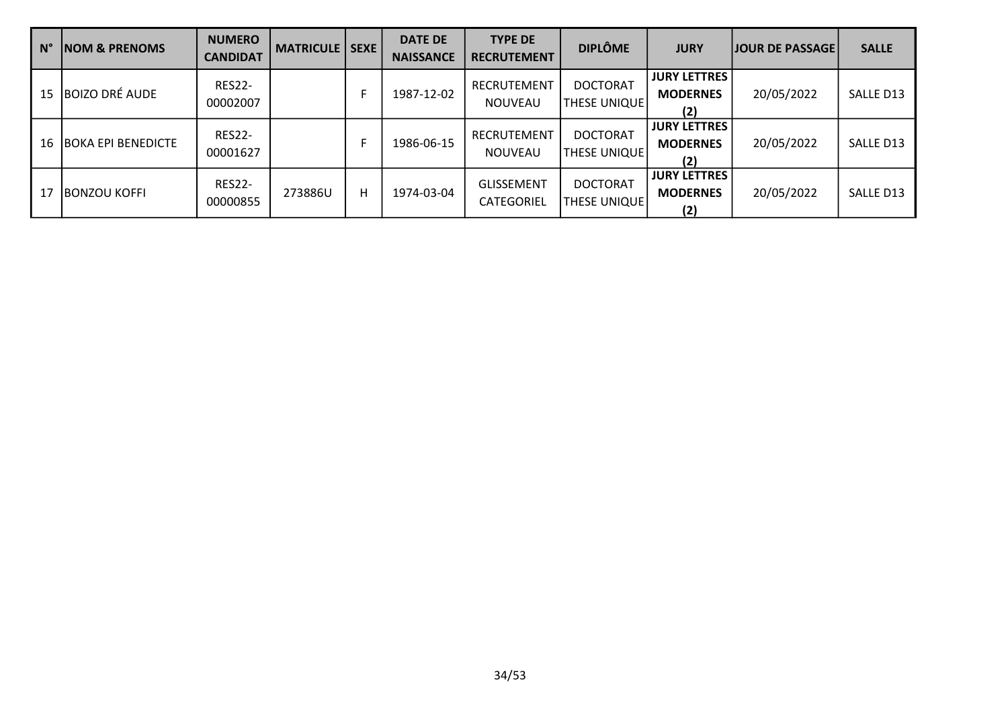| $N^{\circ}$ | <b>NOM &amp; PRENOMS</b> | <b>NUMERO</b><br><b>CANDIDAT</b> | <b>MATRICULE   SEXE  </b> |   | <b>DATE DE</b><br><b>NAISSANCE</b> | <b>TYPE DE</b><br><b>RECRUTEMENT</b>   | <b>DIPLÔME</b>                         | <b>JURY</b>                                   | <b>JOUR DE PASSAGE</b> | <b>SALLE</b> |
|-------------|--------------------------|----------------------------------|---------------------------|---|------------------------------------|----------------------------------------|----------------------------------------|-----------------------------------------------|------------------------|--------------|
| 15          | <b>BOIZO DRÉ AUDE</b>    | <b>RES22-</b><br>00002007        |                           | F | 1987-12-02                         | RECRUTEMENT<br><b>NOUVEAU</b>          | <b>DOCTORAT</b><br><b>THESE UNIQUE</b> | <b>JURY LETTRES</b><br><b>MODERNES</b><br>(2) | 20/05/2022             | SALLE D13    |
| 16          | BOKA EPI BENEDICTE       | <b>RES22-</b><br>00001627        |                           | F | 1986-06-15                         | <b>RECRUTEMENT</b><br><b>NOUVEAU</b>   | <b>DOCTORAT</b><br><b>THESE UNIQUE</b> | <b>JURY LETTRES</b><br><b>MODERNES</b><br>(2) | 20/05/2022             | SALLE D13    |
| 17          | IBONZOU KOFFI            | <b>RES22-</b><br>00000855        | 273886U                   | H | 1974-03-04                         | <b>GLISSEMENT</b><br><b>CATEGORIEL</b> | <b>DOCTORAT</b><br><b>THESE UNIQUE</b> | <b>JURY LETTRES</b><br><b>MODERNES</b><br>(2) | 20/05/2022             | SALLE D13    |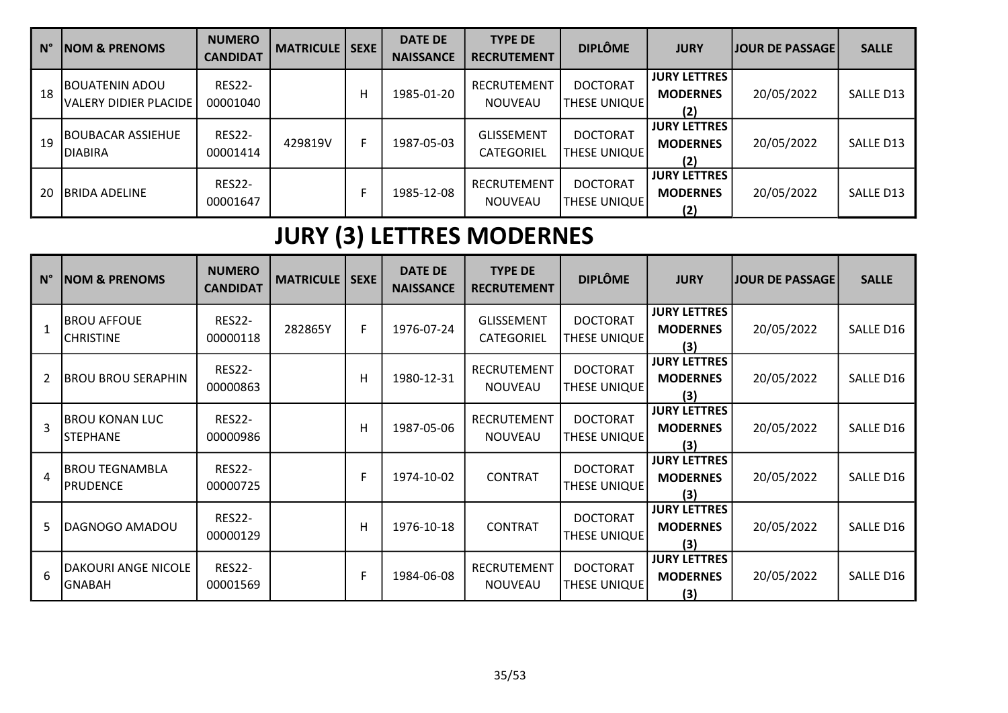| l N° | <b>NOM &amp; PRENOMS</b>                  | <b>NUMERO</b><br><b>CANDIDAT</b> | <b>MATRICULE   SEXE</b> |   | <b>DATE DE</b><br><b>NAISSANCE</b> | <b>TYPE DE</b><br><b>RECRUTEMENT</b> | <b>DIPLÔME</b>                         | <b>JURY</b>                                   | <b>JOUR DE PASSAGE</b> | <b>SALLE</b> |
|------|-------------------------------------------|----------------------------------|-------------------------|---|------------------------------------|--------------------------------------|----------------------------------------|-----------------------------------------------|------------------------|--------------|
| 18   | IBOUATENIN ADOU<br> VALERY DIDIER PLACIDE | <b>RES22-</b><br>00001040        |                         | н | 1985-01-20                         | RECRUTEMENT<br><b>NOUVEAU</b>        | <b>DOCTORAT</b><br><b>THESE UNIQUE</b> | <b>JURY LETTRES</b><br><b>MODERNES</b><br>(2) | 20/05/2022             | SALLE D13    |
| 19   | IBOUBACAR ASSIEHUE<br>DIABIRA             | <b>RES22-</b><br>00001414        | 429819V                 | F | 1987-05-03                         | <b>GLISSEMENT</b><br>CATEGORIEL      | <b>DOCTORAT</b><br><b>THESE UNIQUE</b> | <b>JURY LETTRES</b><br><b>MODERNES</b><br>(2) | 20/05/2022             | SALLE D13    |
| 20   | <b>IBRIDA ADELINE</b>                     | <b>RES22-</b><br>00001647        |                         | F | 1985-12-08                         | <b>RECRUTEMENT</b><br><b>NOUVEAU</b> | <b>DOCTORAT</b><br><b>THESE UNIQUE</b> | <b>JURY LETTRES</b><br><b>MODERNES</b><br>(2) | 20/05/2022             | SALLE D13    |

# JURY (3) LETTRES MODERNES

| $N^{\circ}$    | <b>NOM &amp; PRENOMS</b>               | <b>NUMERO</b><br><b>CANDIDAT</b> | <b>MATRICULE</b> | <b>SEXE</b> | <b>DATE DE</b><br><b>NAISSANCE</b> | <b>TYPE DE</b><br><b>RECRUTEMENT</b> | <b>DIPLÔME</b>                  | <b>JURY</b>                                   | <b>JOUR DE PASSAGE</b> | <b>SALLE</b> |
|----------------|----------------------------------------|----------------------------------|------------------|-------------|------------------------------------|--------------------------------------|---------------------------------|-----------------------------------------------|------------------------|--------------|
| $\mathbf{1}$   | <b>BROU AFFOUE</b><br><b>CHRISTINE</b> | <b>RES22-</b><br>00000118        | 282865Y          | F.          | 1976-07-24                         | <b>GLISSEMENT</b><br>CATEGORIEL      | <b>DOCTORAT</b><br>THESE UNIQUE | <b>JURY LETTRES</b><br><b>MODERNES</b><br>(3) | 20/05/2022             | SALLE D16    |
| $\overline{2}$ | <b>BROU BROU SERAPHIN</b>              | <b>RES22-</b><br>00000863        |                  | H           | 1980-12-31                         | RECRUTEMENT<br><b>NOUVEAU</b>        | <b>DOCTORAT</b><br>THESE UNIQUE | <b>JURY LETTRES</b><br><b>MODERNES</b><br>(3) | 20/05/2022             | SALLE D16    |
| $\overline{3}$ | <b>BROU KONAN LUC</b><br>STEPHANE      | <b>RES22-</b><br>00000986        |                  | Н           | 1987-05-06                         | <b>RECRUTEMENT</b><br><b>NOUVEAU</b> | <b>DOCTORAT</b><br>THESE UNIQUE | <b>JURY LETTRES</b><br><b>MODERNES</b><br>(3) | 20/05/2022             | SALLE D16    |
| $\overline{4}$ | <b>BROU TEGNAMBLA</b><br>IPRUDENCE     | <b>RES22-</b><br>00000725        |                  | F           | 1974-10-02                         | <b>CONTRAT</b>                       | <b>DOCTORAT</b><br>THESE UNIQUE | <b>JURY LETTRES</b><br><b>MODERNES</b><br>(3) | 20/05/2022             | SALLE D16    |
| 5.             | DAGNOGO AMADOU                         | <b>RES22-</b><br>00000129        |                  | H           | 1976-10-18                         | <b>CONTRAT</b>                       | <b>DOCTORAT</b><br>THESE UNIQUE | <b>JURY LETTRES</b><br><b>MODERNES</b><br>(3) | 20/05/2022             | SALLE D16    |
| 6              | DAKOURI ANGE NICOLE<br>GNABAH          | <b>RES22-</b><br>00001569        |                  | F           | 1984-06-08                         | <b>RECRUTEMENT</b><br><b>NOUVEAU</b> | <b>DOCTORAT</b><br>THESE UNIQUE | <b>JURY LETTRES</b><br><b>MODERNES</b><br>(3) | 20/05/2022             | SALLE D16    |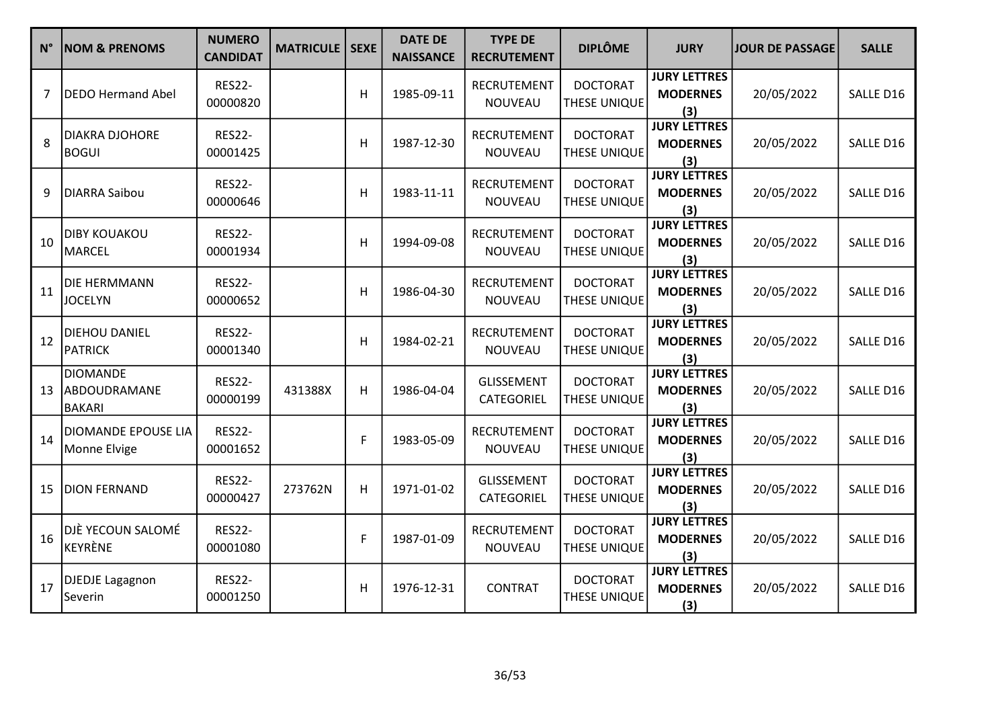| $N^{\circ}$ | <b>NOM &amp; PRENOMS</b>                         | <b>NUMERO</b><br><b>CANDIDAT</b> | <b>MATRICULE</b> | <b>SEXE</b> | <b>DATE DE</b><br><b>NAISSANCE</b> | <b>TYPE DE</b><br><b>RECRUTEMENT</b> | <b>DIPLÔME</b>                         | <b>JURY</b>                                   | JOUR DE PASSAGE | <b>SALLE</b> |
|-------------|--------------------------------------------------|----------------------------------|------------------|-------------|------------------------------------|--------------------------------------|----------------------------------------|-----------------------------------------------|-----------------|--------------|
| 7           | <b>DEDO Hermand Abel</b>                         | <b>RES22-</b><br>00000820        |                  | H           | 1985-09-11                         | <b>RECRUTEMENT</b><br>NOUVEAU        | <b>DOCTORAT</b><br><b>THESE UNIQUE</b> | <b>JURY LETTRES</b><br><b>MODERNES</b><br>(3) | 20/05/2022      | SALLE D16    |
| 8           | <b>DIAKRA DJOHORE</b><br><b>BOGUI</b>            | <b>RES22-</b><br>00001425        |                  | H           | 1987-12-30                         | RECRUTEMENT<br>NOUVEAU               | <b>DOCTORAT</b><br>THESE UNIQUE        | <b>JURY LETTRES</b><br><b>MODERNES</b><br>(3) | 20/05/2022      | SALLE D16    |
| 9           | <b>DIARRA Saibou</b>                             | <b>RES22-</b><br>00000646        |                  | $\mathsf H$ | 1983-11-11                         | <b>RECRUTEMENT</b><br>NOUVEAU        | <b>DOCTORAT</b><br>THESE UNIQUE        | <b>JURY LETTRES</b><br><b>MODERNES</b><br>(3) | 20/05/2022      | SALLE D16    |
| 10          | <b>DIBY KOUAKOU</b><br><b>MARCEL</b>             | <b>RES22-</b><br>00001934        |                  | H           | 1994-09-08                         | <b>RECRUTEMENT</b><br>NOUVEAU        | <b>DOCTORAT</b><br>THESE UNIQUE        | <b>JURY LETTRES</b><br><b>MODERNES</b><br>(3) | 20/05/2022      | SALLE D16    |
| 11          | DIE HERMMANN<br><b>JOCELYN</b>                   | <b>RES22-</b><br>00000652        |                  | H           | 1986-04-30                         | <b>RECRUTEMENT</b><br>NOUVEAU        | <b>DOCTORAT</b><br><b>THESE UNIQUE</b> | <b>JURY LETTRES</b><br><b>MODERNES</b><br>(3) | 20/05/2022      | SALLE D16    |
| 12          | DIEHOU DANIEL<br><b>PATRICK</b>                  | <b>RES22-</b><br>00001340        |                  | $\mathsf H$ | 1984-02-21                         | <b>RECRUTEMENT</b><br>NOUVEAU        | <b>DOCTORAT</b><br>THESE UNIQUE        | <b>JURY LETTRES</b><br><b>MODERNES</b><br>(3) | 20/05/2022      | SALLE D16    |
| 13          | <b>DIOMANDE</b><br>ABDOUDRAMANE<br><b>BAKARI</b> | <b>RES22-</b><br>00000199        | 431388X          | H           | 1986-04-04                         | <b>GLISSEMENT</b><br>CATEGORIEL      | <b>DOCTORAT</b><br>THESE UNIQUE        | <b>JURY LETTRES</b><br><b>MODERNES</b><br>(3) | 20/05/2022      | SALLE D16    |
| 14          | <b>DIOMANDE EPOUSE LIA</b><br>Monne Elvige       | <b>RES22-</b><br>00001652        |                  | F           | 1983-05-09                         | <b>RECRUTEMENT</b><br>NOUVEAU        | <b>DOCTORAT</b><br><b>THESE UNIQUE</b> | <b>JURY LETTRES</b><br><b>MODERNES</b><br>(3) | 20/05/2022      | SALLE D16    |
| 15          | <b>DION FERNAND</b>                              | <b>RES22-</b><br>00000427        | 273762N          | H           | 1971-01-02                         | <b>GLISSEMENT</b><br>CATEGORIEL      | <b>DOCTORAT</b><br>THESE UNIQUE        | <b>JURY LETTRES</b><br><b>MODERNES</b><br>(3) | 20/05/2022      | SALLE D16    |
| 16          | DJÈ YECOUN SALOMÉ<br><b>KEYRÈNE</b>              | <b>RES22-</b><br>00001080        |                  | F           | 1987-01-09                         | <b>RECRUTEMENT</b><br>NOUVEAU        | <b>DOCTORAT</b><br>THESE UNIQUE        | <b>JURY LETTRES</b><br><b>MODERNES</b><br>(3) | 20/05/2022      | SALLE D16    |
| 17          | <b>DJEDJE Lagagnon</b><br>Severin                | <b>RES22-</b><br>00001250        |                  | Н           | 1976-12-31                         | <b>CONTRAT</b>                       | <b>DOCTORAT</b><br><b>THESE UNIQUE</b> | <b>JURY LETTRES</b><br><b>MODERNES</b><br>(3) | 20/05/2022      | SALLE D16    |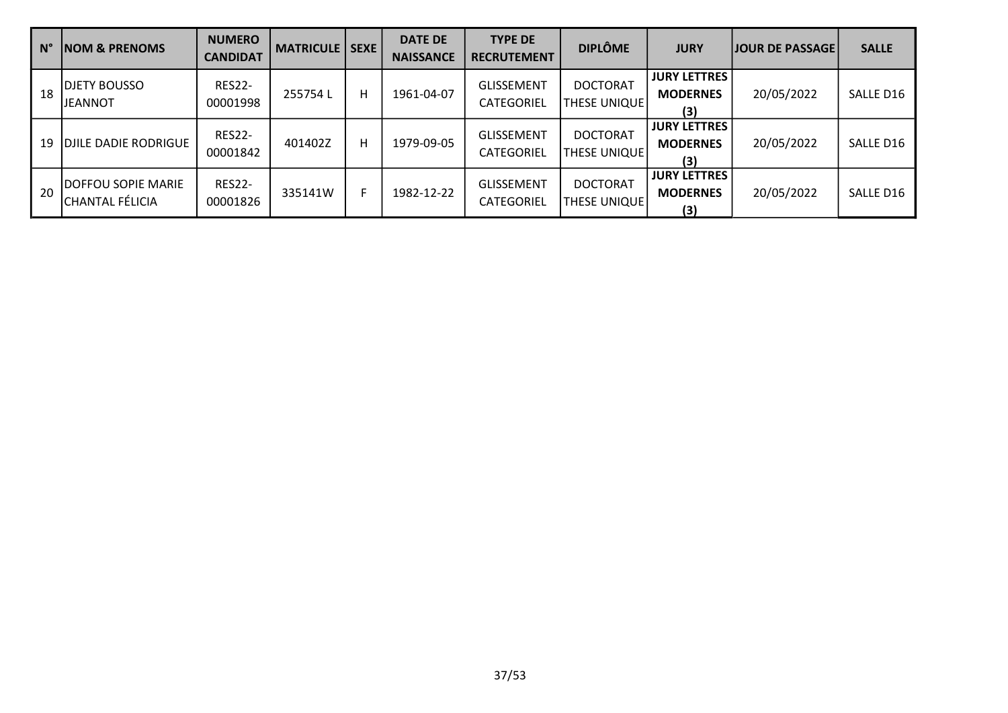| $N^{\circ}$ | <b>NOM &amp; PRENOMS</b>              | <b>NUMERO</b><br><b>CANDIDAT</b> | <b>MATRICULE</b> | <b>SEXE</b> | <b>DATE DE</b><br><b>NAISSANCE</b> | <b>TYPE DE</b><br><b>RECRUTEMENT</b>   | <b>DIPLÔME</b>                         | <b>JURY</b>                                   | <b>JOUR DE PASSAGE</b> | <b>SALLE</b> |
|-------------|---------------------------------------|----------------------------------|------------------|-------------|------------------------------------|----------------------------------------|----------------------------------------|-----------------------------------------------|------------------------|--------------|
| 18          | DJETY BOUSSO<br><b>JEANNOT</b>        | <b>RES22-</b><br>00001998        | 255754L          | н           | 1961-04-07                         | <b>GLISSEMENT</b><br><b>CATEGORIEL</b> | <b>DOCTORAT</b><br> THESE UNIQUE       | <b>JURY LETTRES</b><br><b>MODERNES</b><br>(3) | 20/05/2022             | SALLE D16    |
| 19          | DJILE DADIE RODRIGUE                  | <b>RES22-</b><br>00001842        | 401402Z          | н           | 1979-09-05                         | <b>GLISSEMENT</b><br>CATEGORIEL        | <b>DOCTORAT</b><br><b>THESE UNIQUE</b> | <b>JURY LETTRES</b><br><b>MODERNES</b><br>(3) | 20/05/2022             | SALLE D16    |
| 20          | DOFFOU SOPIE MARIE<br>CHANTAL FÉLICIA | <b>RES22-</b><br>00001826        | 335141W          | F.          | 1982-12-22                         | <b>GLISSEMENT</b><br><b>CATEGORIEL</b> | <b>DOCTORAT</b><br><b>THESE UNIQUE</b> | <b>JURY LETTRES</b><br><b>MODERNES</b><br>(3) | 20/05/2022             | SALLE D16    |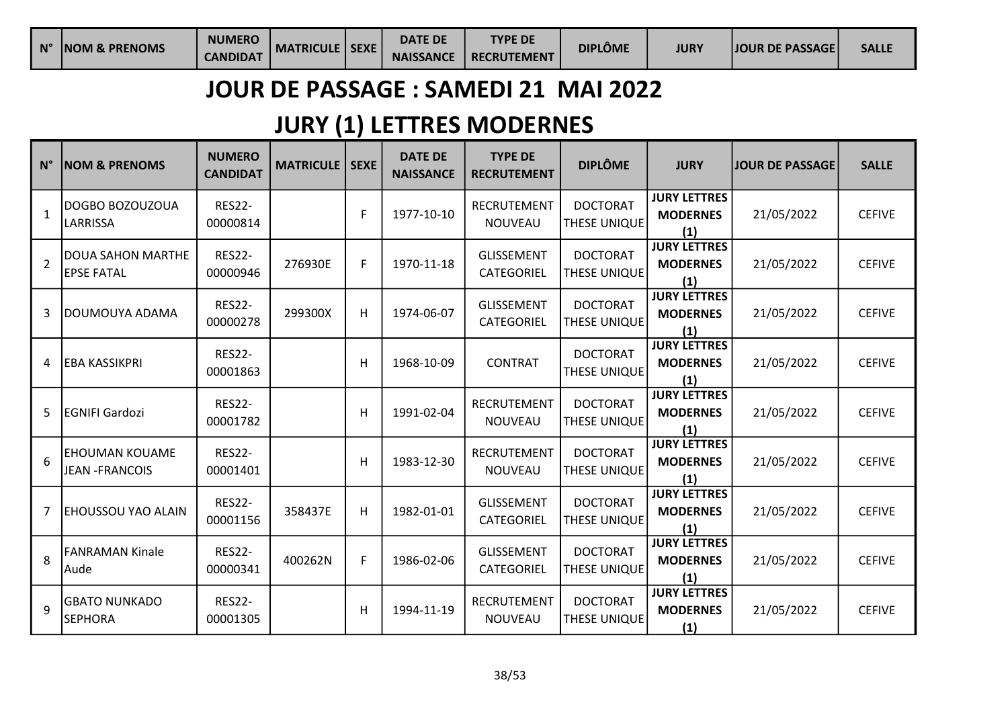| $N^{\circ}$ | <b>NOM &amp; PRENOMS</b> | <b>NUMERO</b>   | <b>MATRICULE   SEXE</b> | <b>DATE DE</b>   | <b>TYPE DE</b>     | <b>DIPLÔME</b> | <b>JURY</b> | <b>JOUR DE PASSAGE</b> | <b>SALLE</b> |
|-------------|--------------------------|-----------------|-------------------------|------------------|--------------------|----------------|-------------|------------------------|--------------|
|             |                          | <b>CANDIDAT</b> |                         | <b>NAISSANCE</b> | <b>RECRUTEMENT</b> |                |             |                        |              |

#### JOUR DE PASSAGE : SAMEDI 21 MAI 2022

# JURY (1) LETTRES MODERNES

| $N^{\circ}$    | <b>NOM &amp; PRENOMS</b>                       | <b>NUMERO</b><br><b>CANDIDAT</b> | <b>MATRICULE</b> | <b>SEXE</b> | <b>DATE DE</b><br><b>NAISSANCE</b> | <b>TYPE DE</b><br><b>RECRUTEMENT</b> | <b>DIPLÔME</b>                  | <b>JURY</b>                                   | <b>JOUR DE PASSAGE</b> | <b>SALLE</b>  |
|----------------|------------------------------------------------|----------------------------------|------------------|-------------|------------------------------------|--------------------------------------|---------------------------------|-----------------------------------------------|------------------------|---------------|
| $\mathbf{1}$   | DOGBO BOZOUZOUA<br>LARRISSA                    | <b>RES22-</b><br>00000814        |                  | F           | 1977-10-10                         | <b>RECRUTEMENT</b><br><b>NOUVEAU</b> | <b>DOCTORAT</b><br>THESE UNIQUE | <b>JURY LETTRES</b><br><b>MODERNES</b><br>(1) | 21/05/2022             | <b>CEFIVE</b> |
| $\overline{2}$ | <b>DOUA SAHON MARTHE</b><br><b>EPSE FATAL</b>  | <b>RES22-</b><br>00000946        | 276930E          | F           | 1970-11-18                         | <b>GLISSEMENT</b><br>CATEGORIEL      | <b>DOCTORAT</b><br>THESE UNIQUE | <b>JURY LETTRES</b><br><b>MODERNES</b><br>(1) | 21/05/2022             | <b>CEFIVE</b> |
| 3              | DOUMOUYA ADAMA                                 | <b>RES22-</b><br>00000278        | 299300X          | H           | 1974-06-07                         | <b>GLISSEMENT</b><br>CATEGORIEL      | <b>DOCTORAT</b><br>THESE UNIQUE | <b>JURY LETTRES</b><br><b>MODERNES</b><br>(1) | 21/05/2022             | <b>CEFIVE</b> |
| 4              | <b>EBA KASSIKPRI</b>                           | <b>RES22-</b><br>00001863        |                  | н           | 1968-10-09                         | <b>CONTRAT</b>                       | <b>DOCTORAT</b><br>THESE UNIQUE | <b>JURY LETTRES</b><br><b>MODERNES</b><br>(1) | 21/05/2022             | <b>CEFIVE</b> |
| 5              | <b>EGNIFI Gardozi</b>                          | <b>RES22-</b><br>00001782        |                  | H           | 1991-02-04                         | <b>RECRUTEMENT</b><br><b>NOUVEAU</b> | <b>DOCTORAT</b><br>THESE UNIQUE | <b>JURY LETTRES</b><br><b>MODERNES</b><br>(1) | 21/05/2022             | <b>CEFIVE</b> |
| 6              | <b>EHOUMAN KOUAME</b><br><b>JEAN -FRANCOIS</b> | <b>RES22-</b><br>00001401        |                  | H           | 1983-12-30                         | RECRUTEMENT<br><b>NOUVEAU</b>        | <b>DOCTORAT</b><br>THESE UNIQUE | <b>JURY LETTRES</b><br><b>MODERNES</b><br>(1) | 21/05/2022             | <b>CEFIVE</b> |
| 7              | EHOUSSOU YAO ALAIN                             | <b>RES22-</b><br>00001156        | 358437E          | H           | 1982-01-01                         | <b>GLISSEMENT</b><br>CATEGORIEL      | <b>DOCTORAT</b><br>THESE UNIQUE | <b>JURY LETTRES</b><br><b>MODERNES</b><br>(1) | 21/05/2022             | <b>CEFIVE</b> |
| 8              | <b>FANRAMAN Kinale</b><br>Aude                 | <b>RES22-</b><br>00000341        | 400262N          | F           | 1986-02-06                         | <b>GLISSEMENT</b><br>CATEGORIEL      | <b>DOCTORAT</b><br>THESE UNIQUE | <b>JURY LETTRES</b><br><b>MODERNES</b><br>(1) | 21/05/2022             | <b>CEFIVE</b> |
| 9              | <b>GBATO NUNKADO</b><br><b>SEPHORA</b>         | <b>RES22-</b><br>00001305        |                  | H           | 1994-11-19                         | <b>RECRUTEMENT</b><br><b>NOUVEAU</b> | <b>DOCTORAT</b><br>THESE UNIQUE | <b>JURY LETTRES</b><br><b>MODERNES</b><br>(1) | 21/05/2022             | <b>CEFIVE</b> |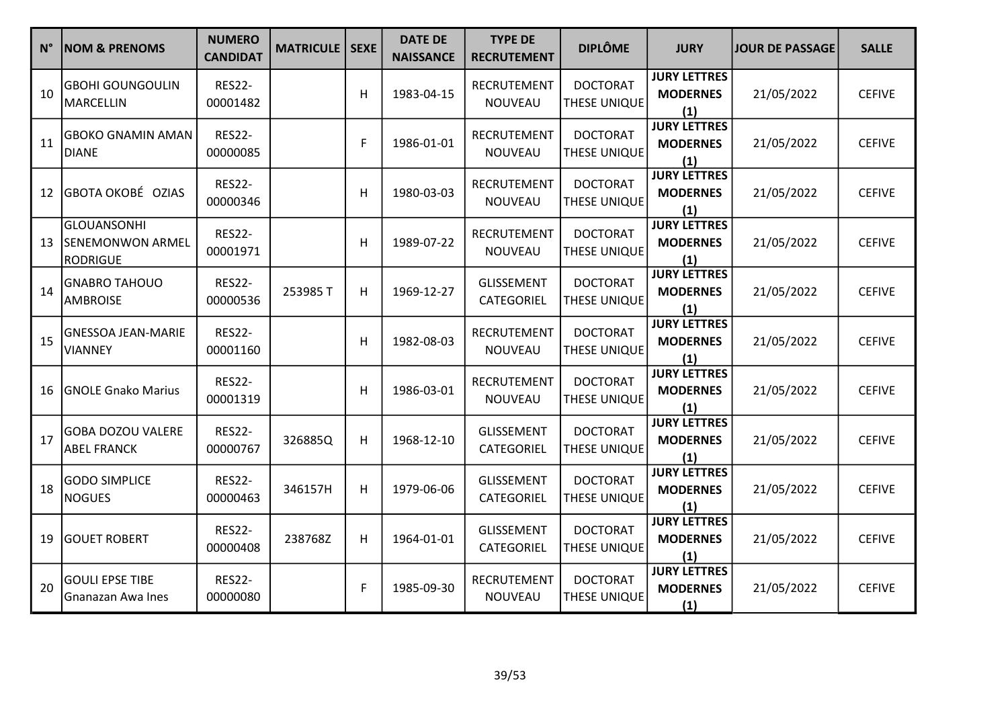| $N^{\circ}$ | <b>NOM &amp; PRENOMS</b>                                         | <b>NUMERO</b><br><b>CANDIDAT</b> | <b>MATRICULE</b> | SEXE | <b>DATE DE</b><br><b>NAISSANCE</b> | <b>TYPE DE</b><br><b>RECRUTEMENT</b> | <b>DIPLÔME</b>                         | <b>JURY</b>                                   | <b>JOUR DE PASSAGE</b> | <b>SALLE</b>  |
|-------------|------------------------------------------------------------------|----------------------------------|------------------|------|------------------------------------|--------------------------------------|----------------------------------------|-----------------------------------------------|------------------------|---------------|
| 10          | <b>GBOHI GOUNGOULIN</b><br><b>MARCELLIN</b>                      | <b>RES22-</b><br>00001482        |                  | H    | 1983-04-15                         | <b>RECRUTEMENT</b><br>NOUVEAU        | <b>DOCTORAT</b><br><b>THESE UNIQUE</b> | <b>JURY LETTRES</b><br><b>MODERNES</b><br>(1) | 21/05/2022             | <b>CEFIVE</b> |
| 11          | <b>GBOKO GNAMIN AMAN</b><br><b>DIANE</b>                         | <b>RES22-</b><br>00000085        |                  | F    | 1986-01-01                         | RECRUTEMENT<br>NOUVEAU               | <b>DOCTORAT</b><br>THESE UNIQUE        | <b>JURY LETTRES</b><br><b>MODERNES</b><br>(1) | 21/05/2022             | <b>CEFIVE</b> |
| 12          | GBOTA OKOBÉ OZIAS                                                | <b>RES22-</b><br>00000346        |                  | H    | 1980-03-03                         | <b>RECRUTEMENT</b><br>NOUVEAU        | <b>DOCTORAT</b><br>THESE UNIQUE        | <b>JURY LETTRES</b><br><b>MODERNES</b><br>(1) | 21/05/2022             | <b>CEFIVE</b> |
| 13          | <b>GLOUANSONHI</b><br><b>SENEMONWON ARMEL</b><br><b>RODRIGUE</b> | <b>RES22-</b><br>00001971        |                  | H    | 1989-07-22                         | <b>RECRUTEMENT</b><br>NOUVEAU        | <b>DOCTORAT</b><br>THESE UNIQUE        | <b>JURY LETTRES</b><br><b>MODERNES</b><br>(1) | 21/05/2022             | <b>CEFIVE</b> |
| 14          | <b>GNABRO TAHOUO</b><br><b>AMBROISE</b>                          | <b>RES22-</b><br>00000536        | 253985T          | H    | 1969-12-27                         | <b>GLISSEMENT</b><br>CATEGORIEL      | <b>DOCTORAT</b><br><b>THESE UNIQUE</b> | <b>JURY LETTRES</b><br><b>MODERNES</b><br>(1) | 21/05/2022             | <b>CEFIVE</b> |
| 15          | <b>GNESSOA JEAN-MARIE</b><br><b>VIANNEY</b>                      | <b>RES22-</b><br>00001160        |                  | H    | 1982-08-03                         | RECRUTEMENT<br>NOUVEAU               | <b>DOCTORAT</b><br>THESE UNIQUE        | <b>JURY LETTRES</b><br><b>MODERNES</b><br>(1) | 21/05/2022             | <b>CEFIVE</b> |
| 16          | <b>GNOLE Gnako Marius</b>                                        | <b>RES22-</b><br>00001319        |                  | H    | 1986-03-01                         | RECRUTEMENT<br>NOUVEAU               | <b>DOCTORAT</b><br>THESE UNIQUE        | <b>JURY LETTRES</b><br><b>MODERNES</b><br>(1) | 21/05/2022             | <b>CEFIVE</b> |
| 17          | <b>GOBA DOZOU VALERE</b><br><b>ABEL FRANCK</b>                   | <b>RES22-</b><br>00000767        | 326885Q          | H    | 1968-12-10                         | <b>GLISSEMENT</b><br>CATEGORIEL      | <b>DOCTORAT</b><br>THESE UNIQUE        | <b>JURY LETTRES</b><br><b>MODERNES</b><br>(1) | 21/05/2022             | <b>CEFIVE</b> |
| 18          | <b>GODO SIMPLICE</b><br><b>NOGUES</b>                            | <b>RES22-</b><br>00000463        | 346157H          | H    | 1979-06-06                         | <b>GLISSEMENT</b><br>CATEGORIEL      | <b>DOCTORAT</b><br>THESE UNIQUE        | <b>JURY LETTRES</b><br><b>MODERNES</b><br>(1) | 21/05/2022             | <b>CEFIVE</b> |
| 19          | <b>GOUET ROBERT</b>                                              | <b>RES22-</b><br>00000408        | 238768Z          | H    | 1964-01-01                         | <b>GLISSEMENT</b><br>CATEGORIEL      | <b>DOCTORAT</b><br><b>THESE UNIQUE</b> | <b>JURY LETTRES</b><br><b>MODERNES</b><br>(1) | 21/05/2022             | <b>CEFIVE</b> |
| 20          | <b>GOULI EPSE TIBE</b><br>Gnanazan Awa Ines                      | <b>RES22-</b><br>00000080        |                  | F    | 1985-09-30                         | <b>RECRUTEMENT</b><br>NOUVEAU        | <b>DOCTORAT</b><br>THESE UNIQUE        | <b>JURY LETTRES</b><br><b>MODERNES</b><br>(1) | 21/05/2022             | <b>CEFIVE</b> |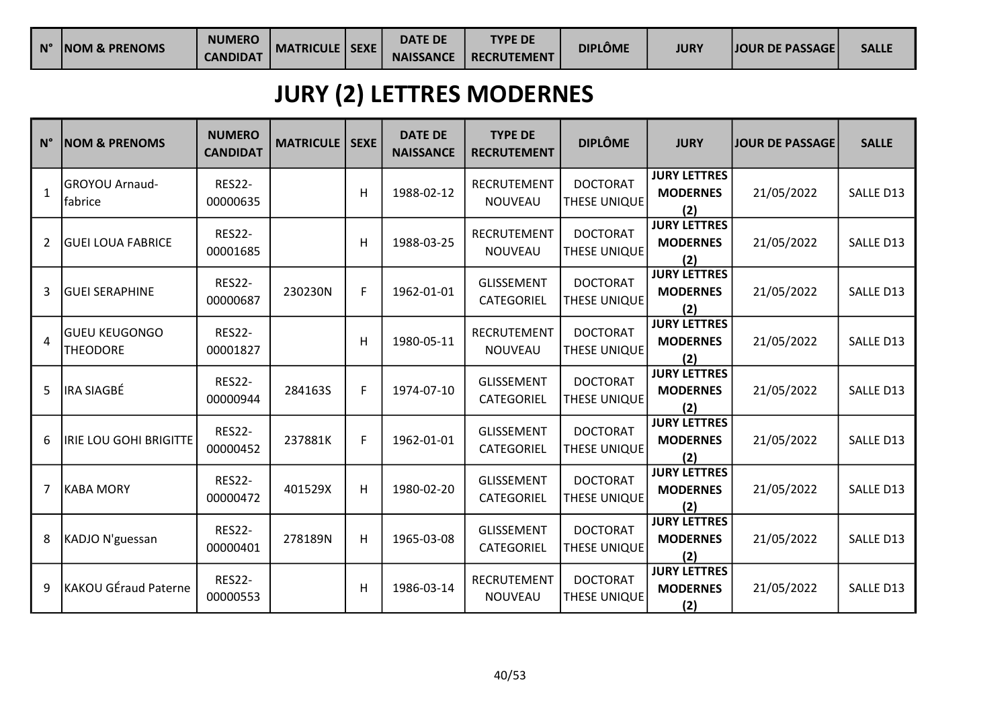| $N^{\circ}$ | <b>NOM &amp; PRENOMS</b> | <b>NUMERO</b><br>CANDIDAT | <b>MATRICULE</b> | l SEXE | <b>DATE DE</b><br><b>NAISSANCE</b> | <b>TYPE DE</b><br><b>RECRUTEMENT</b> | DIPLÔME | <b>JURY</b> | <b>JOUR DE PASSAGE</b> | <b>SALLE</b> |
|-------------|--------------------------|---------------------------|------------------|--------|------------------------------------|--------------------------------------|---------|-------------|------------------------|--------------|
|-------------|--------------------------|---------------------------|------------------|--------|------------------------------------|--------------------------------------|---------|-------------|------------------------|--------------|

# JURY (2) LETTRES MODERNES

| $N^{\circ}$  | <b>NOM &amp; PRENOMS</b>                | <b>NUMERO</b><br><b>CANDIDAT</b> | <b>MATRICULE</b> | <b>SEXE</b> | <b>DATE DE</b><br><b>NAISSANCE</b> | <b>TYPE DE</b><br><b>RECRUTEMENT</b> | <b>DIPLÔME</b>                  | <b>JURY</b>                                   | <b>JOUR DE PASSAGE</b> | <b>SALLE</b> |
|--------------|-----------------------------------------|----------------------------------|------------------|-------------|------------------------------------|--------------------------------------|---------------------------------|-----------------------------------------------|------------------------|--------------|
| $\mathbf{1}$ | <b>GROYOU Arnaud-</b><br>fabrice        | <b>RES22-</b><br>00000635        |                  | H           | 1988-02-12                         | <b>RECRUTEMENT</b><br>NOUVEAU        | <b>DOCTORAT</b><br>THESE UNIQUE | <b>JURY LETTRES</b><br><b>MODERNES</b><br>(2) | 21/05/2022             | SALLE D13    |
| 2            | <b>GUEI LOUA FABRICE</b>                | <b>RES22-</b><br>00001685        |                  | H           | 1988-03-25                         | RECRUTEMENT<br>NOUVEAU               | <b>DOCTORAT</b><br>THESE UNIQUE | <b>JURY LETTRES</b><br><b>MODERNES</b><br>(2) | 21/05/2022             | SALLE D13    |
| 3            | <b>GUEI SERAPHINE</b>                   | <b>RES22-</b><br>00000687        | 230230N          | F.          | 1962-01-01                         | <b>GLISSEMENT</b><br>CATEGORIEL      | <b>DOCTORAT</b><br>THESE UNIQUE | <b>JURY LETTRES</b><br><b>MODERNES</b><br>(2) | 21/05/2022             | SALLE D13    |
| 4            | <b>GUEU KEUGONGO</b><br><b>THEODORE</b> | <b>RES22-</b><br>00001827        |                  | н           | 1980-05-11                         | <b>RECRUTEMENT</b><br><b>NOUVEAU</b> | <b>DOCTORAT</b><br>THESE UNIQUE | <b>JURY LETTRES</b><br><b>MODERNES</b><br>(2) | 21/05/2022             | SALLE D13    |
| 5            | IRA SIAGBÉ                              | <b>RES22-</b><br>00000944        | 284163S          | F           | 1974-07-10                         | GLISSEMENT<br>CATEGORIEL             | <b>DOCTORAT</b><br>THESE UNIQUE | <b>JURY LETTRES</b><br><b>MODERNES</b><br>(2) | 21/05/2022             | SALLE D13    |
| 6            | <b>IRIE LOU GOHI BRIGITTE</b>           | <b>RES22-</b><br>00000452        | 237881K          | F           | 1962-01-01                         | <b>GLISSEMENT</b><br>CATEGORIEL      | <b>DOCTORAT</b><br>THESE UNIQUE | <b>JURY LETTRES</b><br><b>MODERNES</b><br>(2) | 21/05/2022             | SALLE D13    |
| 7            | <b>KABA MORY</b>                        | <b>RES22-</b><br>00000472        | 401529X          | H           | 1980-02-20                         | <b>GLISSEMENT</b><br>CATEGORIEL      | <b>DOCTORAT</b><br>THESE UNIQUE | <b>JURY LETTRES</b><br><b>MODERNES</b><br>(2) | 21/05/2022             | SALLE D13    |
| 8            | KADJO N'guessan                         | <b>RES22-</b><br>00000401        | 278189N          | H           | 1965-03-08                         | <b>GLISSEMENT</b><br>CATEGORIEL      | <b>DOCTORAT</b><br>THESE UNIQUE | <b>JURY LETTRES</b><br><b>MODERNES</b><br>(2) | 21/05/2022             | SALLE D13    |
| 9            | KAKOU GÉraud Paterne                    | <b>RES22-</b><br>00000553        |                  | Н           | 1986-03-14                         | <b>RECRUTEMENT</b><br>NOUVEAU        | <b>DOCTORAT</b><br>THESE UNIQUE | <b>JURY LETTRES</b><br><b>MODERNES</b><br>(2) | 21/05/2022             | SALLE D13    |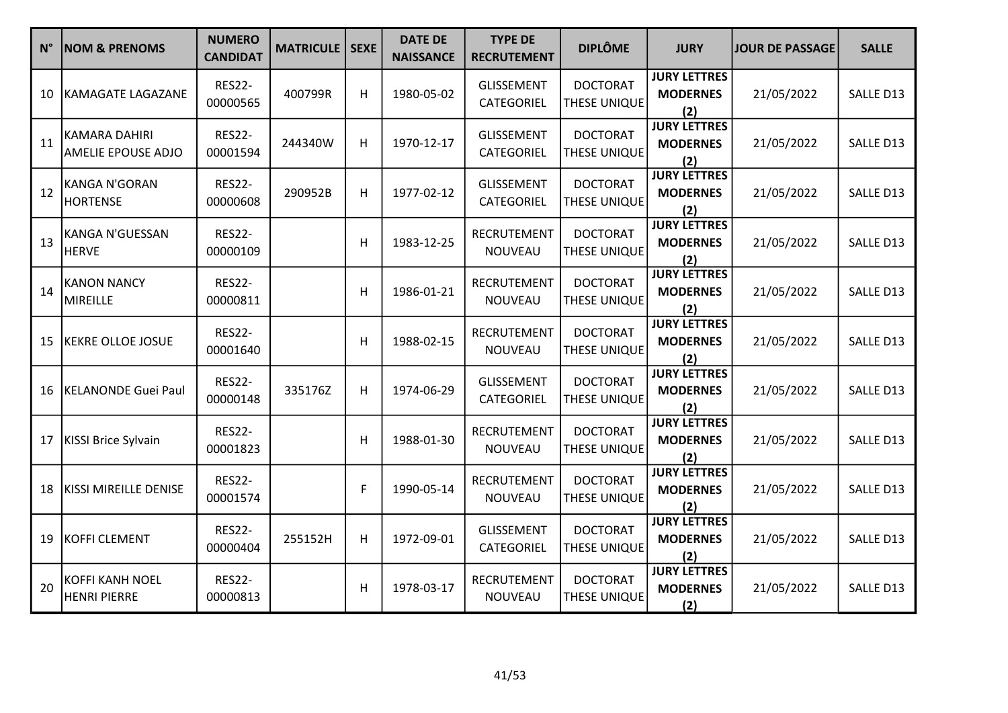| $N^{\circ}$ | <b>NOM &amp; PRENOMS</b>                          | <b>NUMERO</b><br><b>CANDIDAT</b> | <b>MATRICULE</b> | <b>SEXE</b> | <b>DATE DE</b><br><b>NAISSANCE</b> | <b>TYPE DE</b><br><b>RECRUTEMENT</b> | <b>DIPLÔME</b>                         | <b>JURY</b>                                   | <b>JOUR DE PASSAGE</b> | <b>SALLE</b> |
|-------------|---------------------------------------------------|----------------------------------|------------------|-------------|------------------------------------|--------------------------------------|----------------------------------------|-----------------------------------------------|------------------------|--------------|
| 10          | KAMAGATE LAGAZANE                                 | <b>RES22-</b><br>00000565        | 400799R          | H           | 1980-05-02                         | <b>GLISSEMENT</b><br>CATEGORIEL      | <b>DOCTORAT</b><br>THESE UNIQUE        | <b>JURY LETTRES</b><br><b>MODERNES</b><br>(2) | 21/05/2022             | SALLE D13    |
| 11          | <b>KAMARA DAHIRI</b><br><b>AMELIE EPOUSE ADJO</b> | <b>RES22-</b><br>00001594        | 244340W          | Н           | 1970-12-17                         | <b>GLISSEMENT</b><br>CATEGORIEL      | <b>DOCTORAT</b><br>THESE UNIQUE        | <b>JURY LETTRES</b><br><b>MODERNES</b><br>(2) | 21/05/2022             | SALLE D13    |
| 12          | <b>KANGA N'GORAN</b><br><b>HORTENSE</b>           | <b>RES22-</b><br>00000608        | 290952B          | H           | 1977-02-12                         | <b>GLISSEMENT</b><br>CATEGORIEL      | <b>DOCTORAT</b><br>THESE UNIQUE        | <b>JURY LETTRES</b><br><b>MODERNES</b><br>(2) | 21/05/2022             | SALLE D13    |
| 13          | <b>KANGA N'GUESSAN</b><br><b>HERVE</b>            | <b>RES22-</b><br>00000109        |                  | H           | 1983-12-25                         | <b>RECRUTEMENT</b><br>NOUVEAU        | <b>DOCTORAT</b><br>THESE UNIQUE        | <b>JURY LETTRES</b><br><b>MODERNES</b><br>(2) | 21/05/2022             | SALLE D13    |
| 14          | <b>KANON NANCY</b><br><b>MIREILLE</b>             | <b>RES22-</b><br>00000811        |                  | Н           | 1986-01-21                         | RECRUTEMENT<br>NOUVEAU               | <b>DOCTORAT</b><br><b>THESE UNIQUE</b> | <b>JURY LETTRES</b><br><b>MODERNES</b><br>(2) | 21/05/2022             | SALLE D13    |
| 15          | <b>KEKRE OLLOE JOSUE</b>                          | <b>RES22-</b><br>00001640        |                  | H           | 1988-02-15                         | RECRUTEMENT<br>NOUVEAU               | <b>DOCTORAT</b><br>THESE UNIQUE        | <b>JURY LETTRES</b><br><b>MODERNES</b><br>(2) | 21/05/2022             | SALLE D13    |
| 16          | <b>KELANONDE Guei Paul</b>                        | <b>RES22-</b><br>00000148        | 335176Z          | H           | 1974-06-29                         | <b>GLISSEMENT</b><br>CATEGORIEL      | <b>DOCTORAT</b><br>THESE UNIQUE        | <b>JURY LETTRES</b><br><b>MODERNES</b><br>(2) | 21/05/2022             | SALLE D13    |
| 17          | KISSI Brice Sylvain                               | <b>RES22-</b><br>00001823        |                  | H           | 1988-01-30                         | RECRUTEMENT<br>NOUVEAU               | <b>DOCTORAT</b><br>THESE UNIQUE        | <b>JURY LETTRES</b><br><b>MODERNES</b><br>(2) | 21/05/2022             | SALLE D13    |
| 18          | <b>KISSI MIREILLE DENISE</b>                      | <b>RES22-</b><br>00001574        |                  | F           | 1990-05-14                         | RECRUTEMENT<br>NOUVEAU               | <b>DOCTORAT</b><br>THESE UNIQUE        | <b>JURY LETTRES</b><br><b>MODERNES</b><br>(2) | 21/05/2022             | SALLE D13    |
| 19          | <b>KOFFI CLEMENT</b>                              | <b>RES22-</b><br>00000404        | 255152H          | Н           | 1972-09-01                         | <b>GLISSEMENT</b><br>CATEGORIEL      | <b>DOCTORAT</b><br>THESE UNIQUE        | <b>JURY LETTRES</b><br><b>MODERNES</b><br>(2) | 21/05/2022             | SALLE D13    |
| 20          | <b>KOFFI KANH NOEL</b><br><b>HENRI PIERRE</b>     | <b>RES22-</b><br>00000813        |                  | Н           | 1978-03-17                         | <b>RECRUTEMENT</b><br>NOUVEAU        | <b>DOCTORAT</b><br>THESE UNIQUE        | <b>JURY LETTRES</b><br><b>MODERNES</b><br>(2) | 21/05/2022             | SALLE D13    |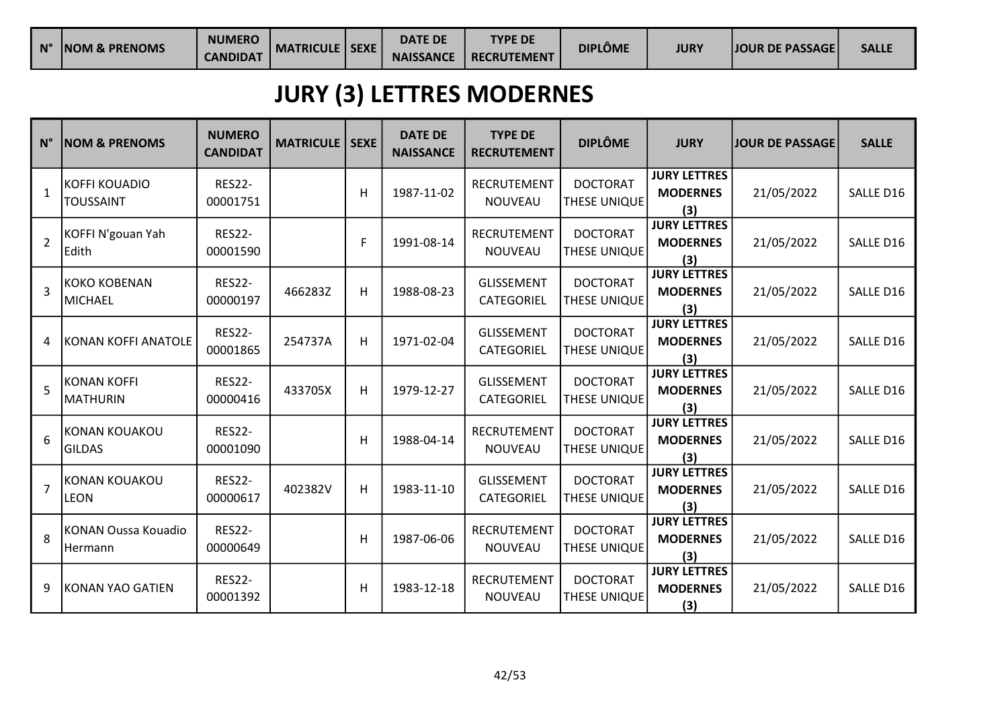| $N^{\circ}$ | <b>NOM &amp; PRENOMS</b> | <b>NUMERO</b><br>CANDIDAT | <b>MATRICULE</b> I | SEXE | <b>DATE DE</b><br><b>NAISSANCE</b> | <b>TYPE DE</b><br><b>RECRUTEMENT</b> | DIPLÔME | <b>JURY</b> | <b>JJOUR DE PASSAGE</b> | <b>SALLE</b> |
|-------------|--------------------------|---------------------------|--------------------|------|------------------------------------|--------------------------------------|---------|-------------|-------------------------|--------------|
|-------------|--------------------------|---------------------------|--------------------|------|------------------------------------|--------------------------------------|---------|-------------|-------------------------|--------------|

# JURY (3) LETTRES MODERNES

| $N^{\circ}$    | <b>NOM &amp; PRENOMS</b>                 | <b>NUMERO</b><br><b>CANDIDAT</b> | <b>MATRICULE</b> | <b>SEXE</b> | <b>DATE DE</b><br><b>NAISSANCE</b> | <b>TYPE DE</b><br><b>RECRUTEMENT</b> | <b>DIPLÔME</b>                         | <b>JURY</b>                                   | <b>JOUR DE PASSAGE</b> | <b>SALLE</b> |
|----------------|------------------------------------------|----------------------------------|------------------|-------------|------------------------------------|--------------------------------------|----------------------------------------|-----------------------------------------------|------------------------|--------------|
| $\mathbf{1}$   | <b>KOFFI KOUADIO</b><br><b>TOUSSAINT</b> | <b>RES22-</b><br>00001751        |                  | Н           | 1987-11-02                         | RECRUTEMENT<br><b>NOUVEAU</b>        | <b>DOCTORAT</b><br>THESE UNIQUE        | <b>JURY LETTRES</b><br><b>MODERNES</b><br>(3) | 21/05/2022             | SALLE D16    |
| $\overline{2}$ | KOFFI N'gouan Yah<br>Edith               | <b>RES22-</b><br>00001590        |                  | F.          | 1991-08-14                         | <b>RECRUTEMENT</b><br>NOUVEAU        | <b>DOCTORAT</b><br><b>THESE UNIQUE</b> | <b>JURY LETTRES</b><br><b>MODERNES</b><br>(3) | 21/05/2022             | SALLE D16    |
| 3              | <b>KOKO KOBENAN</b><br><b>MICHAEL</b>    | <b>RES22-</b><br>00000197        | 466283Z          | Н           | 1988-08-23                         | <b>GLISSEMENT</b><br>CATEGORIEL      | <b>DOCTORAT</b><br>THESE UNIQUE        | <b>JURY LETTRES</b><br><b>MODERNES</b><br>(3) | 21/05/2022             | SALLE D16    |
| 4              | KONAN KOFFI ANATOLE                      | <b>RES22-</b><br>00001865        | 254737A          | H           | 1971-02-04                         | <b>GLISSEMENT</b><br>CATEGORIEL      | <b>DOCTORAT</b><br><b>THESE UNIQUE</b> | <b>JURY LETTRES</b><br><b>MODERNES</b><br>(3) | 21/05/2022             | SALLE D16    |
| 5              | <b>KONAN KOFFI</b><br><b>MATHURIN</b>    | <b>RES22-</b><br>00000416        | 433705X          | Н           | 1979-12-27                         | <b>GLISSEMENT</b><br>CATEGORIEL      | <b>DOCTORAT</b><br>THESE UNIQUE        | <b>JURY LETTRES</b><br><b>MODERNES</b><br>(3) | 21/05/2022             | SALLE D16    |
| 6              | <b>KONAN KOUAKOU</b><br><b>GILDAS</b>    | <b>RES22-</b><br>00001090        |                  | н           | 1988-04-14                         | <b>RECRUTEMENT</b><br>NOUVEAU        | <b>DOCTORAT</b><br><b>THESE UNIQUE</b> | <b>JURY LETTRES</b><br><b>MODERNES</b><br>(3) | 21/05/2022             | SALLE D16    |
| $\overline{7}$ | <b>KONAN KOUAKOU</b><br><b>LEON</b>      | <b>RES22-</b><br>00000617        | 402382V          | н           | 1983-11-10                         | <b>GLISSEMENT</b><br>CATEGORIEL      | <b>DOCTORAT</b><br>THESE UNIQUE        | <b>JURY LETTRES</b><br><b>MODERNES</b><br>(3) | 21/05/2022             | SALLE D16    |
| 8              | <b>KONAN Oussa Kouadio</b><br>Hermann    | <b>RES22-</b><br>00000649        |                  | н           | 1987-06-06                         | <b>RECRUTEMENT</b><br><b>NOUVEAU</b> | <b>DOCTORAT</b><br><b>THESE UNIQUE</b> | <b>JURY LETTRES</b><br><b>MODERNES</b><br>(3) | 21/05/2022             | SALLE D16    |
| 9              | KONAN YAO GATIEN                         | <b>RES22-</b><br>00001392        |                  | н           | 1983-12-18                         | RECRUTEMENT<br><b>NOUVEAU</b>        | <b>DOCTORAT</b><br>THESE UNIQUE        | <b>JURY LETTRES</b><br><b>MODERNES</b><br>(3) | 21/05/2022             | SALLE D16    |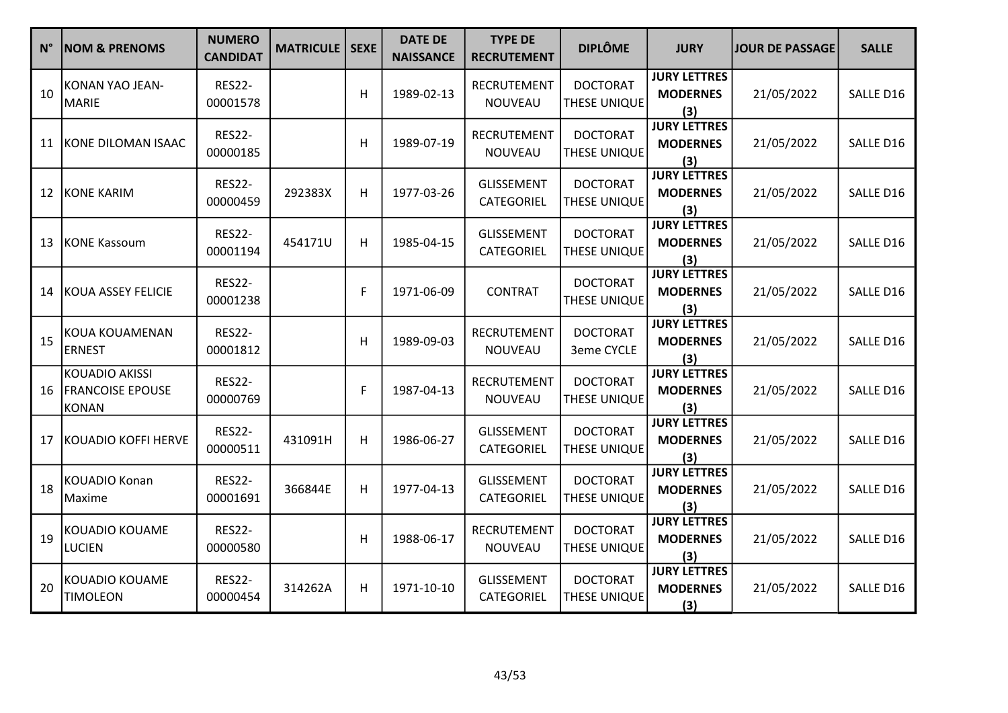| $N^{\circ}$ | <b>NOM &amp; PRENOMS</b>                                         | <b>NUMERO</b><br><b>CANDIDAT</b> | <b>MATRICULE</b> | SEXE | <b>DATE DE</b><br><b>NAISSANCE</b> | <b>TYPE DE</b><br><b>RECRUTEMENT</b> | <b>DIPLÔME</b>                         | <b>JURY</b>                                   | JOUR DE PASSAGE | <b>SALLE</b> |
|-------------|------------------------------------------------------------------|----------------------------------|------------------|------|------------------------------------|--------------------------------------|----------------------------------------|-----------------------------------------------|-----------------|--------------|
| 10          | KONAN YAO JEAN-<br><b>MARIE</b>                                  | <b>RES22-</b><br>00001578        |                  | H    | 1989-02-13                         | RECRUTEMENT<br>NOUVEAU               | <b>DOCTORAT</b><br>THESE UNIQUE        | <b>JURY LETTRES</b><br><b>MODERNES</b><br>(3) | 21/05/2022      | SALLE D16    |
| 11          | KONE DILOMAN ISAAC                                               | <b>RES22-</b><br>00000185        |                  | H    | 1989-07-19                         | RECRUTEMENT<br>NOUVEAU               | <b>DOCTORAT</b><br>THESE UNIQUE        | <b>JURY LETTRES</b><br><b>MODERNES</b><br>(3) | 21/05/2022      | SALLE D16    |
| 12          | <b>KONE KARIM</b>                                                | <b>RES22-</b><br>00000459        | 292383X          | H    | 1977-03-26                         | <b>GLISSEMENT</b><br>CATEGORIEL      | <b>DOCTORAT</b><br>THESE UNIQUE        | <b>JURY LETTRES</b><br><b>MODERNES</b><br>(3) | 21/05/2022      | SALLE D16    |
| 13          | <b>KONE Kassoum</b>                                              | <b>RES22-</b><br>00001194        | 454171U          | H    | 1985-04-15                         | <b>GLISSEMENT</b><br>CATEGORIEL      | <b>DOCTORAT</b><br><b>THESE UNIQUE</b> | <b>JURY LETTRES</b><br><b>MODERNES</b><br>(3) | 21/05/2022      | SALLE D16    |
| 14          | KOUA ASSEY FELICIE                                               | <b>RES22-</b><br>00001238        |                  | F    | 1971-06-09                         | <b>CONTRAT</b>                       | <b>DOCTORAT</b><br>THESE UNIQUE        | <b>JURY LETTRES</b><br><b>MODERNES</b><br>(3) | 21/05/2022      | SALLE D16    |
| 15          | KOUA KOUAMENAN<br><b>ERNEST</b>                                  | <b>RES22-</b><br>00001812        |                  | H    | 1989-09-03                         | <b>RECRUTEMENT</b><br>NOUVEAU        | <b>DOCTORAT</b><br>3eme CYCLE          | <b>JURY LETTRES</b><br><b>MODERNES</b><br>(3) | 21/05/2022      | SALLE D16    |
| 16          | <b>KOUADIO AKISSI</b><br><b>FRANCOISE EPOUSE</b><br><b>KONAN</b> | <b>RES22-</b><br>00000769        |                  | F    | 1987-04-13                         | <b>RECRUTEMENT</b><br><b>NOUVEAU</b> | <b>DOCTORAT</b><br>THESE UNIQUE        | <b>JURY LETTRES</b><br><b>MODERNES</b><br>(3) | 21/05/2022      | SALLE D16    |
| 17          | <b>KOUADIO KOFFI HERVE</b>                                       | <b>RES22-</b><br>00000511        | 431091H          | H    | 1986-06-27                         | GLISSEMENT<br>CATEGORIEL             | <b>DOCTORAT</b><br>THESE UNIQUE        | <b>JURY LETTRES</b><br><b>MODERNES</b><br>(3) | 21/05/2022      | SALLE D16    |
| 18          | KOUADIO Konan<br>Maxime                                          | <b>RES22-</b><br>00001691        | 366844E          | H    | 1977-04-13                         | GLISSEMENT<br>CATEGORIEL             | <b>DOCTORAT</b><br>THESE UNIQUE        | <b>JURY LETTRES</b><br><b>MODERNES</b><br>(3) | 21/05/2022      | SALLE D16    |
| 19          | <b>KOUADIO KOUAME</b><br><b>LUCIEN</b>                           | <b>RES22-</b><br>00000580        |                  | H    | 1988-06-17                         | <b>RECRUTEMENT</b><br><b>NOUVEAU</b> | <b>DOCTORAT</b><br>THESE UNIQUE        | <b>JURY LETTRES</b><br><b>MODERNES</b><br>(3) | 21/05/2022      | SALLE D16    |
| 20          | <b>KOUADIO KOUAME</b><br><b>TIMOLEON</b>                         | <b>RES22-</b><br>00000454        | 314262A          | н    | 1971-10-10                         | <b>GLISSEMENT</b><br>CATEGORIEL      | <b>DOCTORAT</b><br>THESE UNIQUE        | <b>JURY LETTRES</b><br><b>MODERNES</b><br>(3) | 21/05/2022      | SALLE D16    |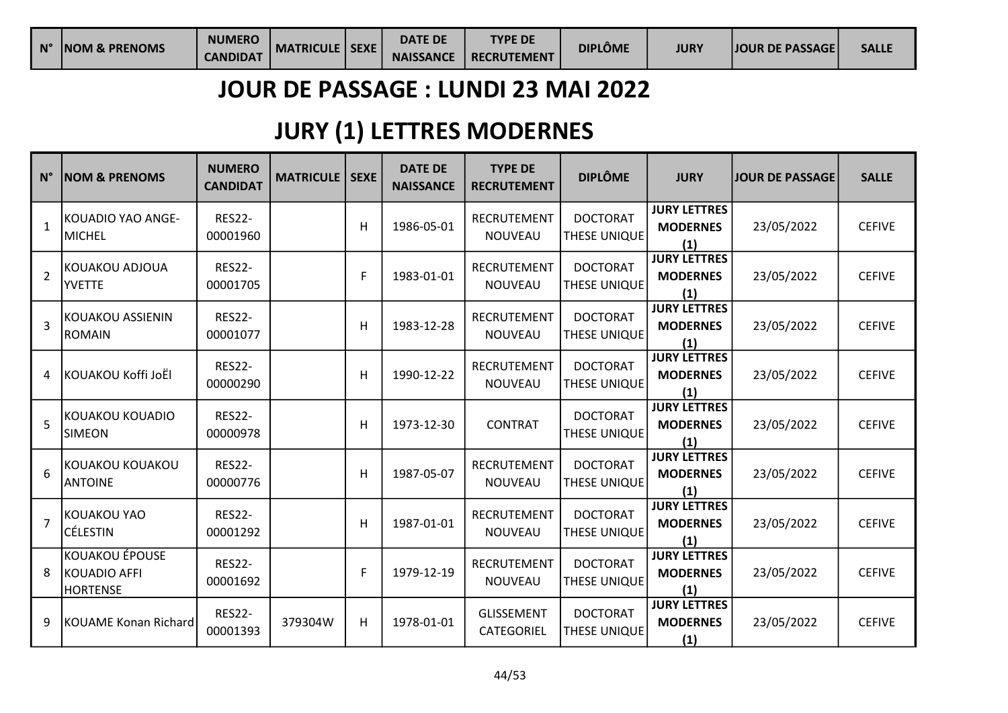| $N^{\circ}$ | <b>NOM &amp; PRENOMS</b> | <b>NUMERO</b>   | <b>MATRICULE   SEXE</b> | <b>DATE DE</b>   | <b>TYPE DE</b>     | DIPLÔME | <b>JURY</b> | <b>JOUR DE PASSAGE</b> | <b>SALLL</b> |
|-------------|--------------------------|-----------------|-------------------------|------------------|--------------------|---------|-------------|------------------------|--------------|
|             |                          | <b>CANDIDAT</b> |                         | <b>NAISSANCE</b> | <b>RECRUTEMENT</b> |         |             |                        |              |

#### JOUR DE PASSAGE : LUNDI 23 MAI 2022

# JURY (1) LETTRES MODERNES

| $N^{\circ}$    | <b>NOM &amp; PRENOMS</b>                                 | <b>NUMERO</b><br><b>CANDIDAT</b> | <b>MATRICULE</b> | <b>SEXE</b>  | <b>DATE DE</b><br><b>NAISSANCE</b> | <b>TYPE DE</b><br><b>RECRUTEMENT</b> | <b>DIPLÔME</b>                  | <b>JURY</b>                                   | <b>JOUR DE PASSAGE</b> | <b>SALLE</b>  |
|----------------|----------------------------------------------------------|----------------------------------|------------------|--------------|------------------------------------|--------------------------------------|---------------------------------|-----------------------------------------------|------------------------|---------------|
| $\mathbf{1}$   | KOUADIO YAO ANGE-<br><b>MICHEL</b>                       | <b>RES22-</b><br>00001960        |                  | H            | 1986-05-01                         | <b>RECRUTEMENT</b><br>NOUVEAU        | <b>DOCTORAT</b><br>THESE UNIQUE | <b>JURY LETTRES</b><br><b>MODERNES</b><br>(1) | 23/05/2022             | <b>CEFIVE</b> |
| $\overline{2}$ | KOUAKOU ADJOUA<br><b>YVETTE</b>                          | <b>RES22-</b><br>00001705        |                  | F            | 1983-01-01                         | <b>RECRUTEMENT</b><br><b>NOUVEAU</b> | <b>DOCTORAT</b><br>THESE UNIQUE | <b>JURY LETTRES</b><br><b>MODERNES</b><br>(1) | 23/05/2022             | <b>CEFIVE</b> |
| $\overline{3}$ | KOUAKOU ASSIENIN<br><b>ROMAIN</b>                        | <b>RES22-</b><br>00001077        |                  | H            | 1983-12-28                         | <b>RECRUTEMENT</b><br><b>NOUVEAU</b> | <b>DOCTORAT</b><br>THESE UNIQUE | <b>JURY LETTRES</b><br><b>MODERNES</b><br>(1) | 23/05/2022             | <b>CEFIVE</b> |
| 4              | KOUAKOU Koffi JoËI                                       | <b>RES22-</b><br>00000290        |                  | н            | 1990-12-22                         | <b>RECRUTEMENT</b><br><b>NOUVEAU</b> | <b>DOCTORAT</b><br>THESE UNIQUE | <b>JURY LETTRES</b><br><b>MODERNES</b><br>(1) | 23/05/2022             | <b>CEFIVE</b> |
| 5              | KOUAKOU KOUADIO<br><b>SIMEON</b>                         | <b>RES22-</b><br>00000978        |                  | Н            | 1973-12-30                         | <b>CONTRAT</b>                       | <b>DOCTORAT</b><br>THESE UNIQUE | <b>JURY LETTRES</b><br><b>MODERNES</b><br>(1) | 23/05/2022             | <b>CEFIVE</b> |
| 6              | KOUAKOU KOUAKOU<br><b>ANTOINE</b>                        | <b>RES22-</b><br>00000776        |                  | н            | 1987-05-07                         | RECRUTEMENT<br><b>NOUVEAU</b>        | <b>DOCTORAT</b><br>THESE UNIQUE | <b>JURY LETTRES</b><br><b>MODERNES</b><br>(1) | 23/05/2022             | <b>CEFIVE</b> |
| $\overline{7}$ | KOUAKOU YAO<br>CÉLESTIN                                  | <b>RES22-</b><br>00001292        |                  | $\mathsf{H}$ | 1987-01-01                         | <b>RECRUTEMENT</b><br><b>NOUVEAU</b> | <b>DOCTORAT</b><br>THESE UNIQUE | <b>JURY LETTRES</b><br><b>MODERNES</b><br>(1) | 23/05/2022             | <b>CEFIVE</b> |
| 8              | <b>KOUAKOU ÉPOUSE</b><br>KOUADIO AFFI<br><b>HORTENSE</b> | <b>RES22-</b><br>00001692        |                  | F            | 1979-12-19                         | <b>RECRUTEMENT</b><br><b>NOUVEAU</b> | <b>DOCTORAT</b><br>THESE UNIQUE | <b>JURY LETTRES</b><br><b>MODERNES</b><br>(1) | 23/05/2022             | <b>CEFIVE</b> |
| 9              | KOUAME Konan Richard                                     | <b>RES22-</b><br>00001393        | 379304W          | H            | 1978-01-01                         | <b>GLISSEMENT</b><br>CATEGORIEL      | <b>DOCTORAT</b><br>THESE UNIQUE | <b>JURY LETTRES</b><br><b>MODERNES</b><br>(1) | 23/05/2022             | <b>CEFIVE</b> |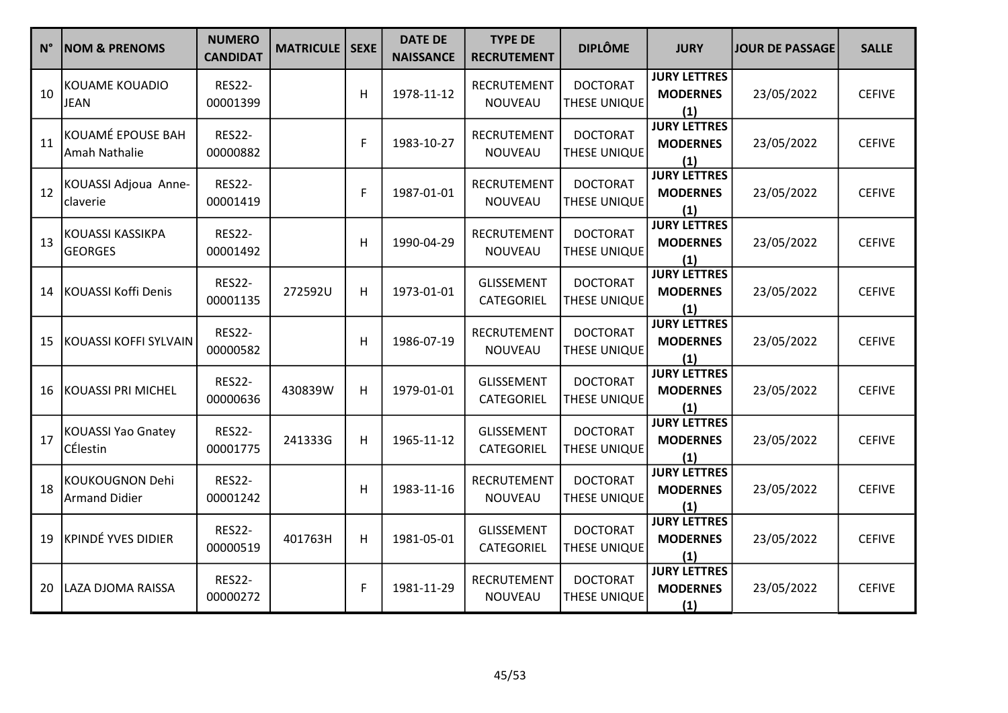| $N^{\circ}$ | <b>NOM &amp; PRENOMS</b>                | <b>NUMERO</b><br><b>CANDIDAT</b> | <b>MATRICULE</b> | SEXE | <b>DATE DE</b><br><b>NAISSANCE</b> | <b>TYPE DE</b><br><b>RECRUTEMENT</b> | <b>DIPLÔME</b>                         | <b>JURY</b>                                   | JOUR DE PASSAGE | <b>SALLE</b>  |
|-------------|-----------------------------------------|----------------------------------|------------------|------|------------------------------------|--------------------------------------|----------------------------------------|-----------------------------------------------|-----------------|---------------|
| 10          | KOUAME KOUADIO<br><b>JEAN</b>           | <b>RES22-</b><br>00001399        |                  | H    | 1978-11-12                         | RECRUTEMENT<br>NOUVEAU               | <b>DOCTORAT</b><br>THESE UNIQUE        | <b>JURY LETTRES</b><br><b>MODERNES</b><br>(1) | 23/05/2022      | <b>CEFIVE</b> |
| 11          | KOUAMÉ EPOUSE BAH<br>Amah Nathalie      | <b>RES22-</b><br>00000882        |                  | F    | 1983-10-27                         | RECRUTEMENT<br>NOUVEAU               | <b>DOCTORAT</b><br>THESE UNIQUE        | <b>JURY LETTRES</b><br><b>MODERNES</b><br>(1) | 23/05/2022      | <b>CEFIVE</b> |
| 12          | KOUASSI Adjoua Anne-<br>claverie        | <b>RES22-</b><br>00001419        |                  | F    | 1987-01-01                         | RECRUTEMENT<br><b>NOUVEAU</b>        | <b>DOCTORAT</b><br>THESE UNIQUE        | <b>JURY LETTRES</b><br><b>MODERNES</b><br>(1) | 23/05/2022      | <b>CEFIVE</b> |
| 13          | KOUASSI KASSIKPA<br><b>GEORGES</b>      | <b>RES22-</b><br>00001492        |                  | H    | 1990-04-29                         | RECRUTEMENT<br>NOUVEAU               | <b>DOCTORAT</b><br><b>THESE UNIQUE</b> | <b>JURY LETTRES</b><br><b>MODERNES</b><br>(1) | 23/05/2022      | <b>CEFIVE</b> |
| 14          | <b>KOUASSI Koffi Denis</b>              | <b>RES22-</b><br>00001135        | 272592U          | H    | 1973-01-01                         | <b>GLISSEMENT</b><br>CATEGORIEL      | <b>DOCTORAT</b><br>THESE UNIQUE        | <b>JURY LETTRES</b><br><b>MODERNES</b><br>(1) | 23/05/2022      | <b>CEFIVE</b> |
| 15          | KOUASSI KOFFI SYLVAIN                   | <b>RES22-</b><br>00000582        |                  | H    | 1986-07-19                         | RECRUTEMENT<br>NOUVEAU               | <b>DOCTORAT</b><br>THESE UNIQUE        | <b>JURY LETTRES</b><br><b>MODERNES</b><br>(1) | 23/05/2022      | <b>CEFIVE</b> |
| 16          | <b>KOUASSI PRI MICHEL</b>               | <b>RES22-</b><br>00000636        | 430839W          | H    | 1979-01-01                         | GLISSEMENT<br>CATEGORIEL             | <b>DOCTORAT</b><br>THESE UNIQUE        | <b>JURY LETTRES</b><br><b>MODERNES</b><br>(1) | 23/05/2022      | <b>CEFIVE</b> |
| 17          | <b>KOUASSI Yao Gnatey</b><br>CÉlestin   | <b>RES22-</b><br>00001775        | 241333G          | H    | 1965-11-12                         | GLISSEMENT<br>CATEGORIEL             | <b>DOCTORAT</b><br>THESE UNIQUE        | <b>JURY LETTRES</b><br><b>MODERNES</b><br>(1) | 23/05/2022      | <b>CEFIVE</b> |
| 18          | KOUKOUGNON Dehi<br><b>Armand Didier</b> | <b>RES22-</b><br>00001242        |                  | H    | 1983-11-16                         | RECRUTEMENT<br>NOUVEAU               | <b>DOCTORAT</b><br>THESE UNIQUE        | <b>JURY LETTRES</b><br><b>MODERNES</b><br>(1) | 23/05/2022      | <b>CEFIVE</b> |
| 19          | KPINDÉ YVES DIDIER                      | <b>RES22-</b><br>00000519        | 401763H          | H    | 1981-05-01                         | <b>GLISSEMENT</b><br>CATEGORIEL      | <b>DOCTORAT</b><br>THESE UNIQUE        | <b>JURY LETTRES</b><br><b>MODERNES</b><br>(1) | 23/05/2022      | <b>CEFIVE</b> |
| 20          | LAZA DJOMA RAISSA                       | <b>RES22-</b><br>00000272        |                  | F    | 1981-11-29                         | RECRUTEMENT<br>NOUVEAU               | <b>DOCTORAT</b><br><b>THESE UNIQUE</b> | <b>JURY LETTRES</b><br><b>MODERNES</b><br>(1) | 23/05/2022      | <b>CEFIVE</b> |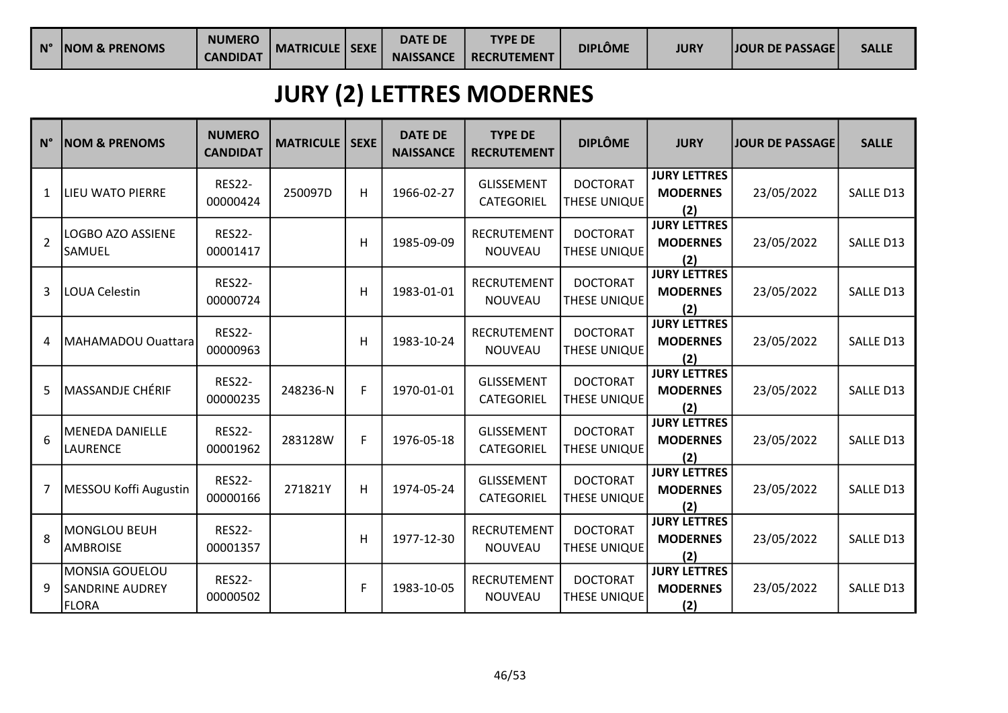| $\mathbb{N}^{\circ}$ | <b>NOM &amp; PRENOMS</b> | <b>NUMERO</b>   | <b>MATRICULE   SEXE</b> | <b>DATE DE</b>   | <b>TYPE DE</b>     | DIPLÔME | <b>JURY</b> | <b>JJOUR DE PASSAGE</b> | <b>SALLE</b> |
|----------------------|--------------------------|-----------------|-------------------------|------------------|--------------------|---------|-------------|-------------------------|--------------|
|                      |                          | <b>CANDIDAT</b> |                         | <b>NAISSANCE</b> | <b>RECRUTEMENT</b> |         |             |                         |              |

# JURY (2) LETTRES MODERNES

| $N^{\circ}$    | <b>NOM &amp; PRENOMS</b>                          | <b>NUMERO</b><br><b>CANDIDAT</b> | <b>MATRICULE</b> | <b>SEXE</b> | <b>DATE DE</b><br><b>NAISSANCE</b> | <b>TYPE DE</b><br><b>RECRUTEMENT</b> | <b>DIPLÔME</b>                         | <b>JURY</b>                                   | <b>JOUR DE PASSAGE</b> | <b>SALLE</b> |
|----------------|---------------------------------------------------|----------------------------------|------------------|-------------|------------------------------------|--------------------------------------|----------------------------------------|-----------------------------------------------|------------------------|--------------|
| 1              | <b>LIEU WATO PIERRE</b>                           | <b>RES22-</b><br>00000424        | 250097D          | H           | 1966-02-27                         | <b>GLISSEMENT</b><br>CATEGORIEL      | <b>DOCTORAT</b><br>THESE UNIQUE        | <b>JURY LETTRES</b><br><b>MODERNES</b><br>(2) | 23/05/2022             | SALLE D13    |
| $\overline{2}$ | LOGBO AZO ASSIENE<br>SAMUEL                       | <b>RES22-</b><br>00001417        |                  | H           | 1985-09-09                         | <b>RECRUTEMENT</b><br>NOUVEAU        | <b>DOCTORAT</b><br>THESE UNIQUE        | <b>JURY LETTRES</b><br><b>MODERNES</b><br>(2) | 23/05/2022             | SALLE D13    |
| 3              | LOUA Celestin                                     | <b>RES22-</b><br>00000724        |                  | H           | 1983-01-01                         | <b>RECRUTEMENT</b><br><b>NOUVEAU</b> | <b>DOCTORAT</b><br>THESE UNIQUE        | <b>JURY LETTRES</b><br><b>MODERNES</b><br>(2) | 23/05/2022             | SALLE D13    |
| 4              | MAHAMADOU Ouattara                                | <b>RES22-</b><br>00000963        |                  | Н           | 1983-10-24                         | <b>RECRUTEMENT</b><br><b>NOUVEAU</b> | <b>DOCTORAT</b><br><b>THESE UNIQUE</b> | <b>JURY LETTRES</b><br><b>MODERNES</b><br>(2) | 23/05/2022             | SALLE D13    |
| 5              | MASSANDJE CHÉRIF                                  | <b>RES22-</b><br>00000235        | 248236-N         | F           | 1970-01-01                         | <b>GLISSEMENT</b><br>CATEGORIEL      | <b>DOCTORAT</b><br>THESE UNIQUE        | <b>JURY LETTRES</b><br><b>MODERNES</b><br>(2) | 23/05/2022             | SALLE D13    |
| 6              | <b>MENEDA DANIELLE</b><br><b>LAURENCE</b>         | <b>RES22-</b><br>00001962        | 283128W          | F           | 1976-05-18                         | <b>GLISSEMENT</b><br>CATEGORIEL      | <b>DOCTORAT</b><br>THESE UNIQUE        | <b>JURY LETTRES</b><br><b>MODERNES</b><br>(2) | 23/05/2022             | SALLE D13    |
| 7              | MESSOU Koffi Augustin                             | <b>RES22-</b><br>00000166        | 271821Y          | H           | 1974-05-24                         | <b>GLISSEMENT</b><br>CATEGORIEL      | <b>DOCTORAT</b><br>THESE UNIQUE        | <b>JURY LETTRES</b><br><b>MODERNES</b><br>(2) | 23/05/2022             | SALLE D13    |
| 8              | <b>MONGLOU BEUH</b><br><b>AMBROISE</b>            | <b>RES22-</b><br>00001357        |                  | H           | 1977-12-30                         | <b>RECRUTEMENT</b><br><b>NOUVEAU</b> | <b>DOCTORAT</b><br>THESE UNIQUE        | <b>JURY LETTRES</b><br><b>MODERNES</b><br>(2) | 23/05/2022             | SALLE D13    |
| 9              | MONSIA GOUELOU<br><b>SANDRINE AUDREY</b><br>FLORA | <b>RES22-</b><br>00000502        |                  | F           | 1983-10-05                         | RECRUTEMENT<br><b>NOUVEAU</b>        | <b>DOCTORAT</b><br>THESE UNIQUE        | <b>JURY LETTRES</b><br><b>MODERNES</b><br>(2) | 23/05/2022             | SALLE D13    |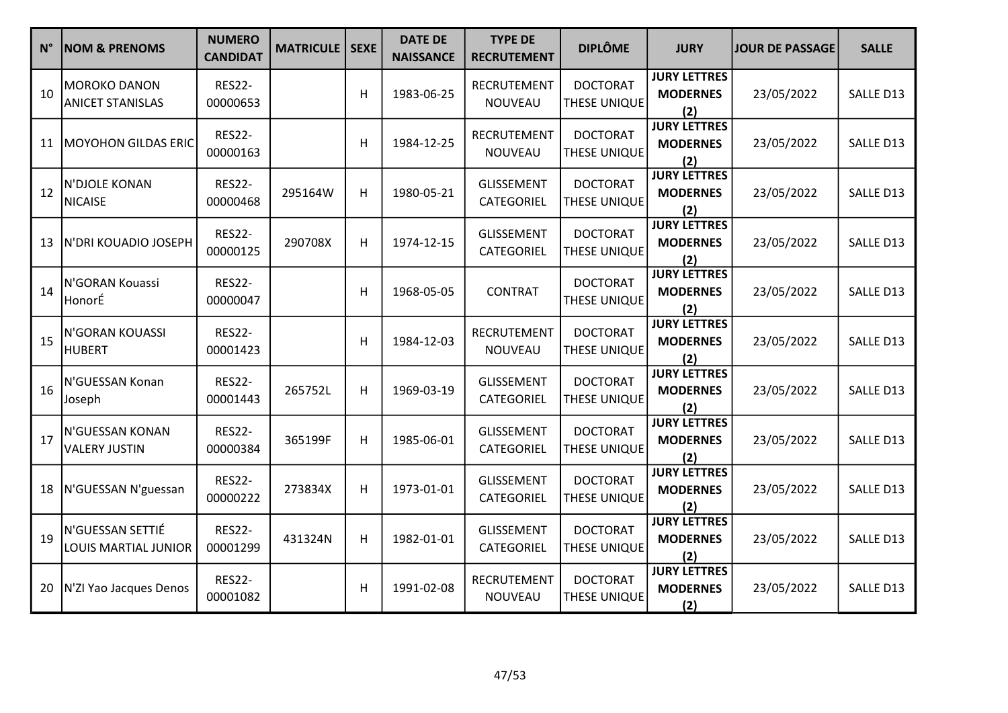| $N^{\circ}$ | <b>NOM &amp; PRENOMS</b>                        | <b>NUMERO</b><br><b>CANDIDAT</b> | <b>MATRICULE</b> | <b>SEXE</b> | <b>DATE DE</b><br><b>NAISSANCE</b> | <b>TYPE DE</b><br><b>RECRUTEMENT</b> | <b>DIPLÔME</b>                         | <b>JURY</b>                                   | JOUR DE PASSAGE | <b>SALLE</b> |
|-------------|-------------------------------------------------|----------------------------------|------------------|-------------|------------------------------------|--------------------------------------|----------------------------------------|-----------------------------------------------|-----------------|--------------|
| 10          | <b>MOROKO DANON</b><br><b>ANICET STANISLAS</b>  | <b>RES22-</b><br>00000653        |                  | H           | 1983-06-25                         | <b>RECRUTEMENT</b><br>NOUVEAU        | <b>DOCTORAT</b><br>THESE UNIQUE        | <b>JURY LETTRES</b><br><b>MODERNES</b><br>(2) | 23/05/2022      | SALLE D13    |
| 11          | <b>MOYOHON GILDAS ERIC</b>                      | <b>RES22-</b><br>00000163        |                  | H           | 1984-12-25                         | RECRUTEMENT<br>NOUVEAU               | <b>DOCTORAT</b><br>THESE UNIQUE        | <b>JURY LETTRES</b><br><b>MODERNES</b><br>(2) | 23/05/2022      | SALLE D13    |
| 12          | N'DJOLE KONAN<br><b>NICAISE</b>                 | <b>RES22-</b><br>00000468        | 295164W          | H           | 1980-05-21                         | <b>GLISSEMENT</b><br>CATEGORIEL      | <b>DOCTORAT</b><br>THESE UNIQUE        | <b>JURY LETTRES</b><br><b>MODERNES</b><br>(2) | 23/05/2022      | SALLE D13    |
| 13          | N'DRI KOUADIO JOSEPH                            | <b>RES22-</b><br>00000125        | 290708X          | H           | 1974-12-15                         | GLISSEMENT<br>CATEGORIEL             | <b>DOCTORAT</b><br><b>THESE UNIQUE</b> | <b>JURY LETTRES</b><br><b>MODERNES</b><br>(2) | 23/05/2022      | SALLE D13    |
| 14          | N'GORAN Kouassi<br>HonorÉ                       | <b>RES22-</b><br>00000047        |                  | H           | 1968-05-05                         | <b>CONTRAT</b>                       | <b>DOCTORAT</b><br>THESE UNIQUE        | <b>JURY LETTRES</b><br><b>MODERNES</b><br>(2) | 23/05/2022      | SALLE D13    |
| 15          | N'GORAN KOUASSI<br><b>HUBERT</b>                | <b>RES22-</b><br>00001423        |                  | H           | 1984-12-03                         | RECRUTEMENT<br>NOUVEAU               | <b>DOCTORAT</b><br>THESE UNIQUE        | <b>JURY LETTRES</b><br><b>MODERNES</b><br>(2) | 23/05/2022      | SALLE D13    |
| 16          | N'GUESSAN Konan<br>Joseph                       | <b>RES22-</b><br>00001443        | 265752L          | H           | 1969-03-19                         | <b>GLISSEMENT</b><br>CATEGORIEL      | <b>DOCTORAT</b><br>THESE UNIQUE        | <b>JURY LETTRES</b><br><b>MODERNES</b><br>(2) | 23/05/2022      | SALLE D13    |
| 17          | N'GUESSAN KONAN<br><b>VALERY JUSTIN</b>         | <b>RES22-</b><br>00000384        | 365199F          | H           | 1985-06-01                         | <b>GLISSEMENT</b><br>CATEGORIEL      | <b>DOCTORAT</b><br>THESE UNIQUE        | <b>JURY LETTRES</b><br><b>MODERNES</b><br>(2) | 23/05/2022      | SALLE D13    |
| 18          | N'GUESSAN N'guessan                             | <b>RES22-</b><br>00000222        | 273834X          | H           | 1973-01-01                         | <b>GLISSEMENT</b><br>CATEGORIEL      | <b>DOCTORAT</b><br>THESE UNIQUE        | <b>JURY LETTRES</b><br><b>MODERNES</b><br>(2) | 23/05/2022      | SALLE D13    |
| 19          | N'GUESSAN SETTIÉ<br><b>LOUIS MARTIAL JUNIOR</b> | <b>RES22-</b><br>00001299        | 431324N          | H           | 1982-01-01                         | GLISSEMENT<br>CATEGORIEL             | <b>DOCTORAT</b><br>THESE UNIQUE        | <b>JURY LETTRES</b><br><b>MODERNES</b><br>(2) | 23/05/2022      | SALLE D13    |
| 20          | N'ZI Yao Jacques Denos                          | <b>RES22-</b><br>00001082        |                  | H           | 1991-02-08                         | RECRUTEMENT<br>NOUVEAU               | <b>DOCTORAT</b><br>THESE UNIQUE        | <b>JURY LETTRES</b><br><b>MODERNES</b><br>(2) | 23/05/2022      | SALLE D13    |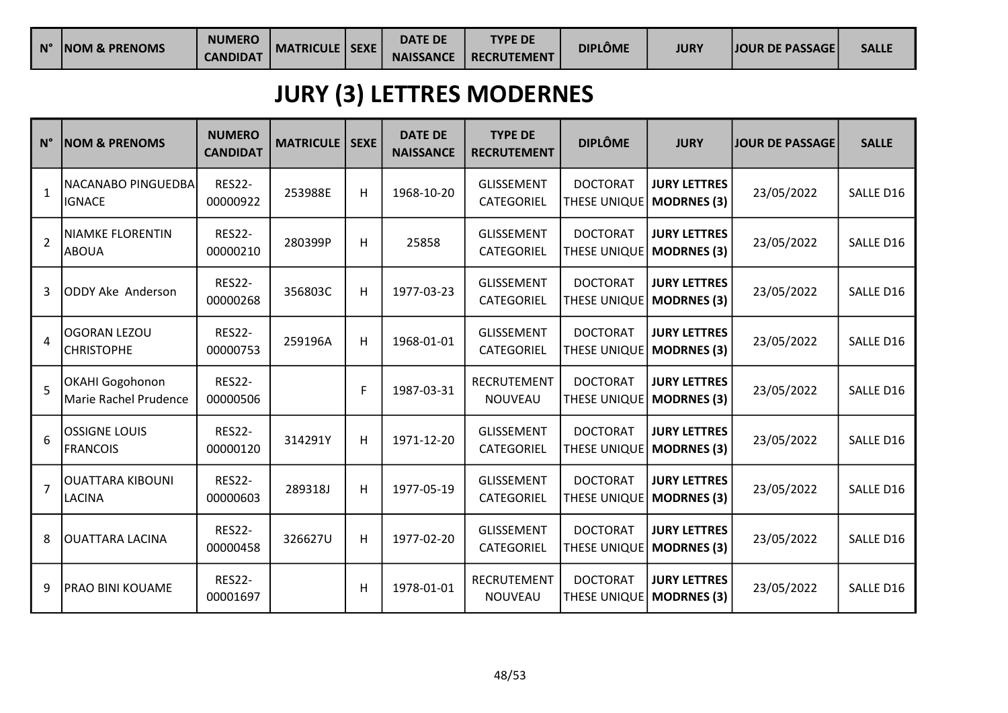| $\mathbb{N}^{\circ}$ | <b>NOM &amp; PRENOMS</b> | <b>NUMERO</b>   | <b>MATRICULE   SEXE</b> | <b>DATE DE</b>   | <b>TYPE DE</b>     | DIPLÔME | <b>JURY</b> | <b>JJOUR DE PASSAGE</b> | <b>SALLE</b> |
|----------------------|--------------------------|-----------------|-------------------------|------------------|--------------------|---------|-------------|-------------------------|--------------|
|                      |                          | <b>CANDIDAT</b> |                         | <b>NAISSANCE</b> | <b>RECRUTEMENT</b> |         |             |                         |              |

# JURY (3) LETTRES MODERNES

| $N^{\circ}$    | <b>NOM &amp; PRENOMS</b>                        | <b>NUMERO</b><br><b>CANDIDAT</b> | <b>MATRICULE</b> | <b>SEXE</b> | <b>DATE DE</b><br><b>NAISSANCE</b> | <b>TYPE DE</b><br><b>RECRUTEMENT</b> | <b>DIPLÔME</b>                  | <b>JURY</b>                               | <b>JOUR DE PASSAGE</b> | <b>SALLE</b> |
|----------------|-------------------------------------------------|----------------------------------|------------------|-------------|------------------------------------|--------------------------------------|---------------------------------|-------------------------------------------|------------------------|--------------|
| $\mathbf{1}$   | NACANABO PINGUEDBA<br><b>IGNACE</b>             | <b>RES22-</b><br>00000922        | 253988E          | H           | 1968-10-20                         | <b>GLISSEMENT</b><br>CATEGORIEL      | <b>DOCTORAT</b><br>THESE UNIQUE | <b>JURY LETTRES</b><br><b>MODRNES (3)</b> | 23/05/2022             | SALLE D16    |
| $\overline{2}$ | <b>NIAMKE FLORENTIN</b><br><b>ABOUA</b>         | <b>RES22-</b><br>00000210        | 280399P          | Н           | 25858                              | <b>GLISSEMENT</b><br>CATEGORIEL      | <b>DOCTORAT</b><br>THESE UNIQUE | <b>JURY LETTRES</b><br><b>MODRNES (3)</b> | 23/05/2022             | SALLE D16    |
| 3              | <b>ODDY Ake Anderson</b>                        | <b>RES22-</b><br>00000268        | 356803C          | Н           | 1977-03-23                         | <b>GLISSEMENT</b><br>CATEGORIEL      | <b>DOCTORAT</b><br>THESE UNIQUE | <b>JURY LETTRES</b><br><b>MODRNES (3)</b> | 23/05/2022             | SALLE D16    |
| $\overline{4}$ | <b>OGORAN LEZOU</b><br><b>CHRISTOPHE</b>        | <b>RES22-</b><br>00000753        | 259196A          | Н           | 1968-01-01                         | <b>GLISSEMENT</b><br>CATEGORIEL      | <b>DOCTORAT</b><br>THESE UNIQUE | <b>JURY LETTRES</b><br><b>MODRNES (3)</b> | 23/05/2022             | SALLE D16    |
| 5              | OKAHI Gogohonon<br><b>Marie Rachel Prudence</b> | <b>RES22-</b><br>00000506        |                  | F           | 1987-03-31                         | RECRUTEMENT<br><b>NOUVEAU</b>        | <b>DOCTORAT</b><br>THESE UNIQUE | <b>JURY LETTRES</b><br><b>MODRNES (3)</b> | 23/05/2022             | SALLE D16    |
| 6              | <b>OSSIGNE LOUIS</b><br><b>FRANCOIS</b>         | <b>RES22-</b><br>00000120        | 314291Y          | н           | 1971-12-20                         | <b>GLISSEMENT</b><br>CATEGORIEL      | <b>DOCTORAT</b><br>THESE UNIQUE | <b>JURY LETTRES</b><br><b>MODRNES (3)</b> | 23/05/2022             | SALLE D16    |
| $\overline{7}$ | <b>OUATTARA KIBOUNI</b><br>LACINA               | <b>RES22-</b><br>00000603        | 289318J          | Н           | 1977-05-19                         | <b>GLISSEMENT</b><br>CATEGORIEL      | <b>DOCTORAT</b><br>THESE UNIQUE | <b>JURY LETTRES</b><br><b>MODRNES (3)</b> | 23/05/2022             | SALLE D16    |
| 8              | OUATTARA LACINA                                 | <b>RES22-</b><br>00000458        | 326627U          | н           | 1977-02-20                         | <b>GLISSEMENT</b><br>CATEGORIEL      | <b>DOCTORAT</b><br>THESE UNIQUE | <b>JURY LETTRES</b><br><b>MODRNES (3)</b> | 23/05/2022             | SALLE D16    |
| 9              | <b>PRAO BINI KOUAME</b>                         | <b>RES22-</b><br>00001697        |                  | Η           | 1978-01-01                         | <b>RECRUTEMENT</b><br><b>NOUVEAU</b> | <b>DOCTORAT</b><br>THESE UNIQUE | <b>JURY LETTRES</b><br><b>MODRNES (3)</b> | 23/05/2022             | SALLE D16    |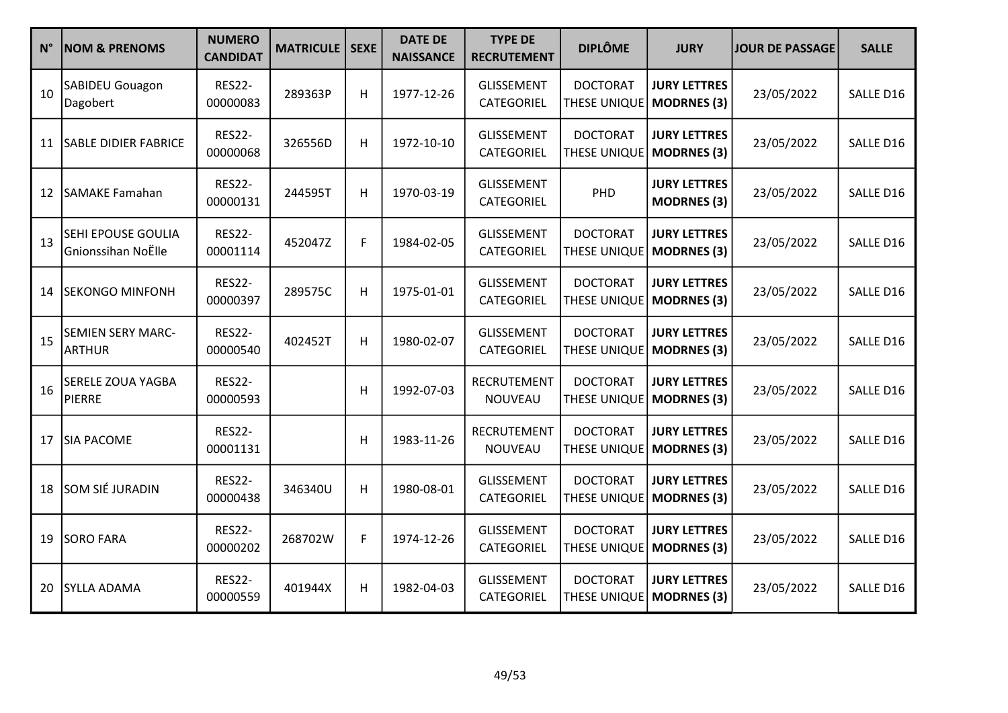| $N^{\circ}$ | <b>NOM &amp; PRENOMS</b>                  | <b>NUMERO</b><br><b>CANDIDAT</b> | <b>MATRICULE</b> | <b>SEXE</b> | <b>DATE DE</b><br><b>NAISSANCE</b> | <b>TYPE DE</b><br><b>RECRUTEMENT</b> | <b>DIPLÔME</b>                  | <b>JURY</b>                               | <b>JOUR DE PASSAGE</b> | <b>SALLE</b> |
|-------------|-------------------------------------------|----------------------------------|------------------|-------------|------------------------------------|--------------------------------------|---------------------------------|-------------------------------------------|------------------------|--------------|
| 10          | <b>SABIDEU Gouagon</b><br>Dagobert        | <b>RES22-</b><br>00000083        | 289363P          | H           | 1977-12-26                         | <b>GLISSEMENT</b><br>CATEGORIEL      | <b>DOCTORAT</b><br>THESE UNIQUE | <b>JURY LETTRES</b><br><b>MODRNES (3)</b> | 23/05/2022             | SALLE D16    |
| 11          | SABLE DIDIER FABRICE                      | <b>RES22-</b><br>00000068        | 326556D          | H           | 1972-10-10                         | <b>GLISSEMENT</b><br>CATEGORIEL      | <b>DOCTORAT</b><br>THESE UNIQUE | <b>JURY LETTRES</b><br><b>MODRNES (3)</b> | 23/05/2022             | SALLE D16    |
| 12          | <b>SAMAKE Famahan</b>                     | <b>RES22-</b><br>00000131        | 244595T          | H           | 1970-03-19                         | <b>GLISSEMENT</b><br>CATEGORIEL      | PHD                             | <b>JURY LETTRES</b><br><b>MODRNES (3)</b> | 23/05/2022             | SALLE D16    |
| 13          | SEHI EPOUSE GOULIA<br>Gnionssihan NoËlle  | <b>RES22-</b><br>00001114        | 452047Z          | F           | 1984-02-05                         | <b>GLISSEMENT</b><br>CATEGORIEL      | <b>DOCTORAT</b><br>THESE UNIQUE | <b>JURY LETTRES</b><br><b>MODRNES (3)</b> | 23/05/2022             | SALLE D16    |
| 14          | <b>SEKONGO MINFONH</b>                    | <b>RES22-</b><br>00000397        | 289575C          | H           | 1975-01-01                         | <b>GLISSEMENT</b><br>CATEGORIEL      | <b>DOCTORAT</b><br>THESE UNIQUE | <b>JURY LETTRES</b><br><b>MODRNES (3)</b> | 23/05/2022             | SALLE D16    |
| 15          | <b>SEMIEN SERY MARC-</b><br><b>ARTHUR</b> | <b>RES22-</b><br>00000540        | 402452T          | H           | 1980-02-07                         | <b>GLISSEMENT</b><br>CATEGORIEL      | <b>DOCTORAT</b><br>THESE UNIQUE | <b>JURY LETTRES</b><br><b>MODRNES (3)</b> | 23/05/2022             | SALLE D16    |
| 16          | SERELE ZOUA YAGBA<br><b>PIERRE</b>        | <b>RES22-</b><br>00000593        |                  | H           | 1992-07-03                         | <b>RECRUTEMENT</b><br>NOUVEAU        | <b>DOCTORAT</b><br>THESE UNIQUE | <b>JURY LETTRES</b><br><b>MODRNES (3)</b> | 23/05/2022             | SALLE D16    |
| 17          | <b>SIA PACOME</b>                         | <b>RES22-</b><br>00001131        |                  | H           | 1983-11-26                         | <b>RECRUTEMENT</b><br>NOUVEAU        | <b>DOCTORAT</b><br>THESE UNIQUE | <b>JURY LETTRES</b><br><b>MODRNES (3)</b> | 23/05/2022             | SALLE D16    |
| 18          | SOM SIÉ JURADIN                           | <b>RES22-</b><br>00000438        | 346340U          | H           | 1980-08-01                         | <b>GLISSEMENT</b><br>CATEGORIEL      | <b>DOCTORAT</b><br>THESE UNIQUE | <b>JURY LETTRES</b><br><b>MODRNES (3)</b> | 23/05/2022             | SALLE D16    |
| 19          | <b>SORO FARA</b>                          | <b>RES22-</b><br>00000202        | 268702W          | F           | 1974-12-26                         | <b>GLISSEMENT</b><br>CATEGORIEL      | <b>DOCTORAT</b><br>THESE UNIQUE | <b>JURY LETTRES</b><br><b>MODRNES (3)</b> | 23/05/2022             | SALLE D16    |
| 20          | SYLLA ADAMA                               | <b>RES22-</b><br>00000559        | 401944X          | H           | 1982-04-03                         | <b>GLISSEMENT</b><br>CATEGORIEL      | <b>DOCTORAT</b><br>THESE UNIQUE | <b>JURY LETTRES</b><br><b>MODRNES (3)</b> | 23/05/2022             | SALLE D16    |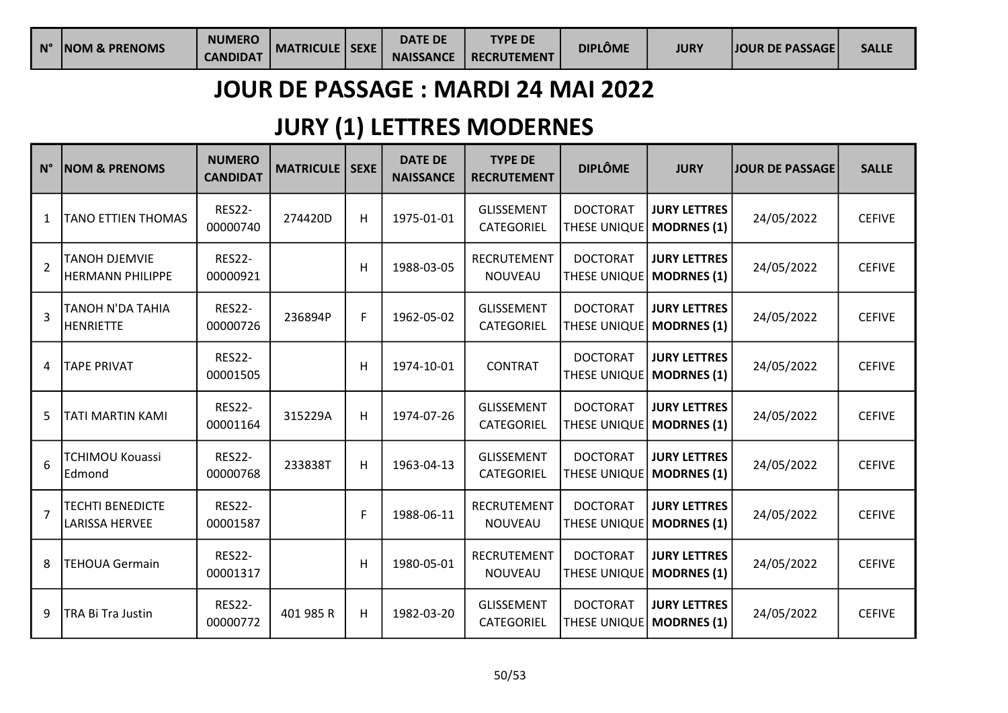| $N^{\circ}$ | <b>NOM &amp; PRENOMS</b> | <b>NUMERO</b>   | <b>MATRICULE   SEXE</b> | <b>DATE DE</b>   | <b>TYPE DE</b>     | <b>DIPLÔME</b> | <b>JURY</b> | <b>JOUR DE PASSAGE</b> | <b>SALLE</b> |
|-------------|--------------------------|-----------------|-------------------------|------------------|--------------------|----------------|-------------|------------------------|--------------|
|             |                          | <b>CANDIDAT</b> |                         | <b>NAISSANCE</b> | <b>RECRUTEMENT</b> |                |             |                        |              |

#### JOUR DE PASSAGE : MARDI 24 MAI 2022

# JURY (1) LETTRES MODERNES

| $N^{\circ}$    | <b>NOM &amp; PRENOMS</b>                         | <b>NUMERO</b><br><b>CANDIDAT</b> | <b>MATRICULE</b> | <b>SEXE</b> | <b>DATE DE</b><br><b>NAISSANCE</b> | <b>TYPE DE</b><br><b>RECRUTEMENT</b>   | <b>DIPLÔME</b>                                | <b>JURY</b>                               | <b>JOUR DE PASSAGE</b> | <b>SALLE</b>  |
|----------------|--------------------------------------------------|----------------------------------|------------------|-------------|------------------------------------|----------------------------------------|-----------------------------------------------|-------------------------------------------|------------------------|---------------|
| $\mathbf{1}$   | <b>TANO ETTIEN THOMAS</b>                        | <b>RES22-</b><br>00000740        | 274420D          | H           | 1975-01-01                         | <b>GLISSEMENT</b><br>CATEGORIEL        | <b>DOCTORAT</b><br><b>THESE UNIQUE</b>        | <b>JURY LETTRES</b><br><b>MODRNES (1)</b> | 24/05/2022             | <b>CEFIVE</b> |
| $\overline{2}$ | TANOH DJEMVIE<br><b>HERMANN PHILIPPE</b>         | <b>RES22-</b><br>00000921        |                  | H           | 1988-03-05                         | <b>RECRUTEMENT</b><br><b>NOUVEAU</b>   | <b>DOCTORAT</b><br>THESE UNIQUE               | <b>JURY LETTRES</b><br><b>MODRNES (1)</b> | 24/05/2022             | <b>CEFIVE</b> |
| $\overline{3}$ | TANOH N'DA TAHIA<br><b>HENRIETTE</b>             | <b>RES22-</b><br>00000726        | 236894P          | F           | 1962-05-02                         | <b>GLISSEMENT</b><br>CATEGORIEL        | <b>DOCTORAT</b><br><b>THESE UNIQUE</b>        | <b>JURY LETTRES</b><br><b>MODRNES (1)</b> | 24/05/2022             | <b>CEFIVE</b> |
| 4              | <b>TAPE PRIVAT</b>                               | <b>RES22-</b><br>00001505        |                  | н           | 1974-10-01                         | <b>CONTRAT</b>                         | <b>DOCTORAT</b><br>THESE UNIQUE   MODRNES (1) | <b>JURY LETTRES</b>                       | 24/05/2022             | <b>CEFIVE</b> |
| 5              | <b>TATI MARTIN KAMI</b>                          | <b>RES22-</b><br>00001164        | 315229A          | H           | 1974-07-26                         | <b>GLISSEMENT</b><br>CATEGORIEL        | <b>DOCTORAT</b><br>THESE UNIQUE               | <b>JURY LETTRES</b><br><b>MODRNES (1)</b> | 24/05/2022             | <b>CEFIVE</b> |
| 6              | <b>TCHIMOU Kouassi</b><br>Edmond                 | <b>RES22-</b><br>00000768        | 233838T          | H           | 1963-04-13                         | <b>GLISSEMENT</b><br>CATEGORIEL        | <b>DOCTORAT</b><br>THESE UNIQUE               | <b>JURY LETTRES</b><br><b>MODRNES (1)</b> | 24/05/2022             | <b>CEFIVE</b> |
| $\overline{7}$ | <b>TECHTI BENEDICTE</b><br><b>LARISSA HERVEE</b> | <b>RES22-</b><br>00001587        |                  | F           | 1988-06-11                         | <b>RECRUTEMENT</b><br><b>NOUVEAU</b>   | <b>DOCTORAT</b><br>THESE UNIQUE               | <b>JURY LETTRES</b><br><b>MODRNES (1)</b> | 24/05/2022             | <b>CEFIVE</b> |
| 8              | <b>TEHOUA Germain</b>                            | <b>RES22-</b><br>00001317        |                  | H           | 1980-05-01                         | RECRUTEMENT<br><b>NOUVEAU</b>          | <b>DOCTORAT</b><br>THESE UNIQUE   MODRNES (1) | <b>JURY LETTRES</b>                       | 24/05/2022             | <b>CEFIVE</b> |
| 9              | TRA Bi Tra Justin                                | <b>RES22-</b><br>00000772        | 401 985 R        | H           | 1982-03-20                         | <b>GLISSEMENT</b><br><b>CATEGORIEL</b> | <b>DOCTORAT</b><br><b>THESE UNIQUE</b>        | <b>JURY LETTRES</b><br><b>MODRNES</b> (1) | 24/05/2022             | <b>CEFIVE</b> |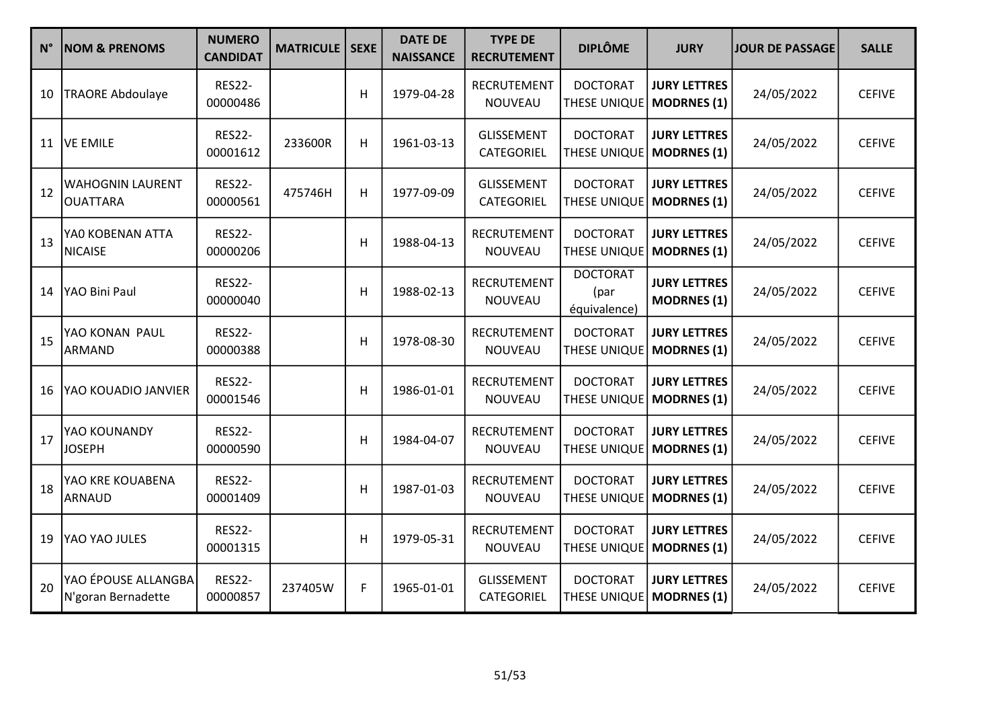| $N^{\circ}$ | <b>NOM &amp; PRENOMS</b>                   | <b>NUMERO</b><br><b>CANDIDAT</b> | <b>MATRICULE</b> | <b>SEXE</b> | <b>DATE DE</b><br><b>NAISSANCE</b> | <b>TYPE DE</b><br><b>RECRUTEMENT</b> | <b>DIPLÔME</b>                              | <b>JURY</b>                               | <b>JOUR DE PASSAGE</b> | <b>SALLE</b>  |
|-------------|--------------------------------------------|----------------------------------|------------------|-------------|------------------------------------|--------------------------------------|---------------------------------------------|-------------------------------------------|------------------------|---------------|
| 10          | <b>TRAORE Abdoulaye</b>                    | <b>RES22-</b><br>00000486        |                  | H           | 1979-04-28                         | <b>RECRUTEMENT</b><br>NOUVEAU        | <b>DOCTORAT</b><br><b>THESE UNIQUE</b>      | <b>JURY LETTRES</b><br><b>MODRNES (1)</b> | 24/05/2022             | <b>CEFIVE</b> |
| 11          | <b>VE EMILE</b>                            | <b>RES22-</b><br>00001612        | 233600R          | H           | 1961-03-13                         | <b>GLISSEMENT</b><br>CATEGORIEL      | <b>DOCTORAT</b><br>THESE UNIQUE             | <b>JURY LETTRES</b><br><b>MODRNES (1)</b> | 24/05/2022             | <b>CEFIVE</b> |
| 12          | <b>WAHOGNIN LAURENT</b><br><b>OUATTARA</b> | <b>RES22-</b><br>00000561        | 475746H          | H           | 1977-09-09                         | <b>GLISSEMENT</b><br>CATEGORIEL      | <b>DOCTORAT</b><br>THESE UNIQUE             | <b>JURY LETTRES</b><br><b>MODRNES (1)</b> | 24/05/2022             | <b>CEFIVE</b> |
| 13          | YA0 KOBENAN ATTA<br><b>NICAISE</b>         | <b>RES22-</b><br>00000206        |                  | Н           | 1988-04-13                         | <b>RECRUTEMENT</b><br>NOUVEAU        | <b>DOCTORAT</b><br>THESE UNIQUE             | <b>JURY LETTRES</b><br><b>MODRNES (1)</b> | 24/05/2022             | <b>CEFIVE</b> |
| 14          | YAO Bini Paul                              | <b>RES22-</b><br>00000040        |                  | Н           | 1988-02-13                         | <b>RECRUTEMENT</b><br>NOUVEAU        | <b>DOCTORAT</b><br>(par<br>équivalence)     | <b>JURY LETTRES</b><br><b>MODRNES (1)</b> | 24/05/2022             | <b>CEFIVE</b> |
| 15          | YAO KONAN PAUL<br><b>ARMAND</b>            | <b>RES22-</b><br>00000388        |                  | Н           | 1978-08-30                         | <b>RECRUTEMENT</b><br>NOUVEAU        | <b>DOCTORAT</b><br>THESE UNIQUE             | <b>JURY LETTRES</b><br><b>MODRNES (1)</b> | 24/05/2022             | <b>CEFIVE</b> |
| 16          | YAO KOUADIO JANVIER                        | <b>RES22-</b><br>00001546        |                  | н           | 1986-01-01                         | <b>RECRUTEMENT</b><br>NOUVEAU        | <b>DOCTORAT</b><br>THESE UNIQUE             | <b>JURY LETTRES</b><br><b>MODRNES (1)</b> | 24/05/2022             | <b>CEFIVE</b> |
| 17          | YAO KOUNANDY<br><b>JOSEPH</b>              | <b>RES22-</b><br>00000590        |                  | H           | 1984-04-07                         | <b>RECRUTEMENT</b><br>NOUVEAU        | <b>DOCTORAT</b><br>THESE UNIQUE             | <b>JURY LETTRES</b><br>MODRNES (1)        | 24/05/2022             | <b>CEFIVE</b> |
| 18          | YAO KRE KOUABENA<br><b>ARNAUD</b>          | <b>RES22-</b><br>00001409        |                  | Н           | 1987-01-03                         | RECRUTEMENT<br>NOUVEAU               | <b>DOCTORAT</b><br>THESE UNIQUE             | <b>JURY LETTRES</b><br><b>MODRNES (1)</b> | 24/05/2022             | <b>CEFIVE</b> |
| 19          | YAO YAO JULES                              | <b>RES22-</b><br>00001315        |                  | H           | 1979-05-31                         | <b>RECRUTEMENT</b><br>NOUVEAU        | <b>DOCTORAT</b><br>THESE UNIQUE             | <b>JURY LETTRES</b><br><b>MODRNES (1)</b> | 24/05/2022             | <b>CEFIVE</b> |
| 20          | YAO ÉPOUSE ALLANGBA<br>N'goran Bernadette  | <b>RES22-</b><br>00000857        | 237405W          | F           | 1965-01-01                         | <b>GLISSEMENT</b><br>CATEGORIEL      | <b>DOCTORAT</b><br>THESE UNIQUE MODRNES (1) | <b>JURY LETTRES</b>                       | 24/05/2022             | <b>CEFIVE</b> |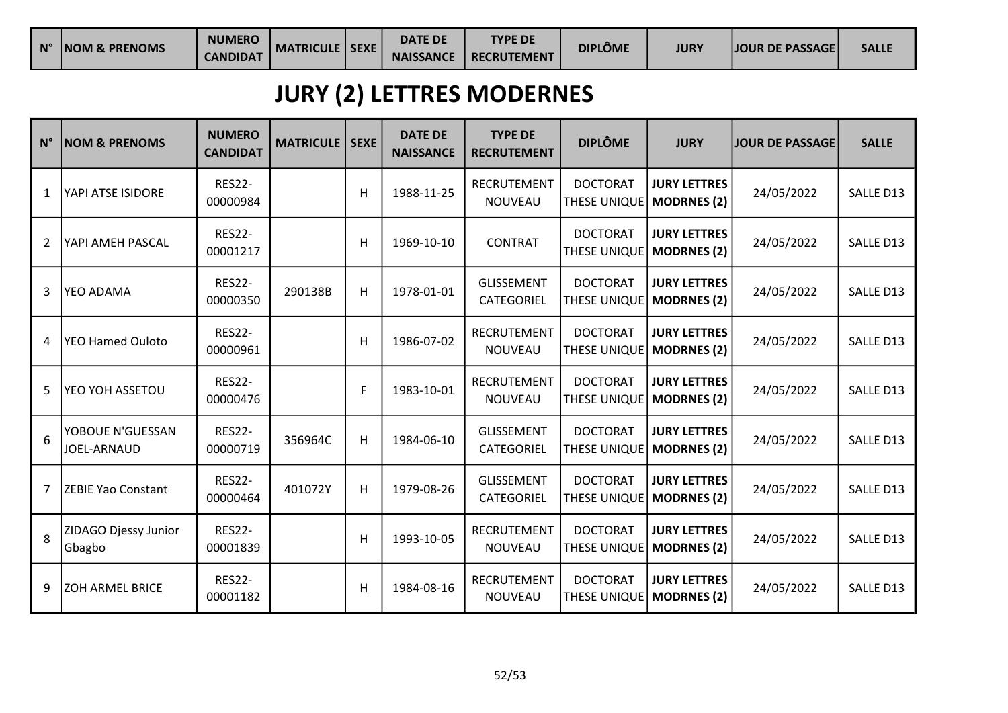| $\mathbb{N}^{\circ}$ | <b>NOM &amp; PRENOMS</b> | <b>NUMERO</b><br>CANDIDAT | <b>MATRICULE   SEXE</b> |  | <b>DATE DE</b><br><b>NAISSANCE</b> | <b>TYPE DE</b><br><b>RECRUTEMENT</b> | DIPLÔME | <b>JURY</b> | <b>JOUR DE PASSAGE</b> | <b>SALLE</b> |
|----------------------|--------------------------|---------------------------|-------------------------|--|------------------------------------|--------------------------------------|---------|-------------|------------------------|--------------|
|----------------------|--------------------------|---------------------------|-------------------------|--|------------------------------------|--------------------------------------|---------|-------------|------------------------|--------------|

# JURY (2) LETTRES MODERNES

| $N^{\circ}$ | <b>NOM &amp; PRENOMS</b>               | <b>NUMERO</b><br><b>CANDIDAT</b> | <b>MATRICULE</b> | <b>SEXE</b> | <b>DATE DE</b><br><b>NAISSANCE</b> | <b>TYPE DE</b><br><b>RECRUTEMENT</b> | <b>DIPLÔME</b>                                | <b>JURY</b>                               | <b>JOUR DE PASSAGE</b> | <b>SALLE</b> |
|-------------|----------------------------------------|----------------------------------|------------------|-------------|------------------------------------|--------------------------------------|-----------------------------------------------|-------------------------------------------|------------------------|--------------|
| 1           | YAPI ATSE ISIDORE                      | <b>RES22-</b><br>00000984        |                  | H           | 1988-11-25                         | <b>RECRUTEMENT</b><br>NOUVEAU        | <b>DOCTORAT</b><br>THESE UNIQUE   MODRNES (2) | <b>JURY LETTRES</b>                       | 24/05/2022             | SALLE D13    |
| 2           | YAPI AMEH PASCAL                       | <b>RES22-</b><br>00001217        |                  | н           | 1969-10-10                         | <b>CONTRAT</b>                       | <b>DOCTORAT</b><br>THESE UNIQUE   MODRNES (2) | <b>JURY LETTRES</b>                       | 24/05/2022             | SALLE D13    |
| 3           | YEO ADAMA                              | <b>RES22-</b><br>00000350        | 290138B          | H           | 1978-01-01                         | <b>GLISSEMENT</b><br>CATEGORIEL      | <b>DOCTORAT</b><br>THESE UNIQUE   MODRNES (2) | <b>JURY LETTRES</b>                       | 24/05/2022             | SALLE D13    |
| 4           | <b>YEO Hamed Ouloto</b>                | <b>RES22-</b><br>00000961        |                  | н           | 1986-07-02                         | <b>RECRUTEMENT</b><br><b>NOUVEAU</b> | <b>DOCTORAT</b><br>THESE UNIQUE   MODRNES (2) | <b>JURY LETTRES</b>                       | 24/05/2022             | SALLE D13    |
| 5           | YEO YOH ASSETOU                        | <b>RES22-</b><br>00000476        |                  | F           | 1983-10-01                         | <b>RECRUTEMENT</b><br>NOUVEAU        | <b>DOCTORAT</b><br>THESE UNIQUE               | <b>JURY LETTRES</b><br><b>MODRNES (2)</b> | 24/05/2022             | SALLE D13    |
| 6           | YOBOUE N'GUESSAN<br><b>JOEL-ARNAUD</b> | <b>RES22-</b><br>00000719        | 356964C          | H           | 1984-06-10                         | <b>GLISSEMENT</b><br>CATEGORIEL      | <b>DOCTORAT</b><br>THESE UNIQUE   MODRNES (2) | <b>JURY LETTRES</b>                       | 24/05/2022             | SALLE D13    |
| 7           | <b>ZEBIE Yao Constant</b>              | <b>RES22-</b><br>00000464        | 401072Y          | H           | 1979-08-26                         | <b>GLISSEMENT</b><br>CATEGORIEL      | <b>DOCTORAT</b><br><b>THESE UNIQUE</b>        | <b>JURY LETTRES</b><br><b>MODRNES (2)</b> | 24/05/2022             | SALLE D13    |
| 8           | ZIDAGO Djessy Junior<br>Gbagbo         | <b>RES22-</b><br>00001839        |                  | н           | 1993-10-05                         | <b>RECRUTEMENT</b><br><b>NOUVEAU</b> | <b>DOCTORAT</b><br>THESE UNIQUE   MODRNES (2) | <b>JURY LETTRES</b>                       | 24/05/2022             | SALLE D13    |
| 9           | <b>ZOH ARMEL BRICE</b>                 | <b>RES22-</b><br>00001182        |                  | H           | 1984-08-16                         | <b>RECRUTEMENT</b><br>NOUVEAU        | <b>DOCTORAT</b><br>THESE UNIQUE   MODRNES (2) | <b>JURY LETTRES</b>                       | 24/05/2022             | SALLE D13    |